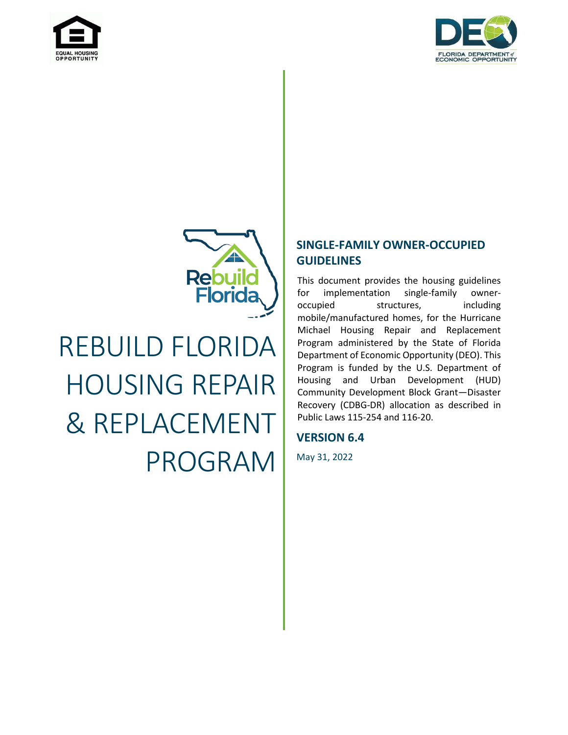





# REBUILD FLORIDA HOUSING REPAIR & REPLACEMENT PROGRAM

### **SINGLE-FAMILY OWNER-OCCUPIED GUIDELINES**

This document provides the housing guidelines for implementation single-family owneroccupied structures, including mobile/manufactured homes, for the Hurricane Michael Housing Repair and Replacement Program administered by the State of Florida Department of Economic Opportunity (DEO). This Program is funded by the U.S. Department of Housing and Urban Development (HUD) Community Development Block Grant—Disaster Recovery (CDBG-DR) allocation as described in Public Laws 115-254 and 116-20.

### **VERSION 6.4**

May 31, 2022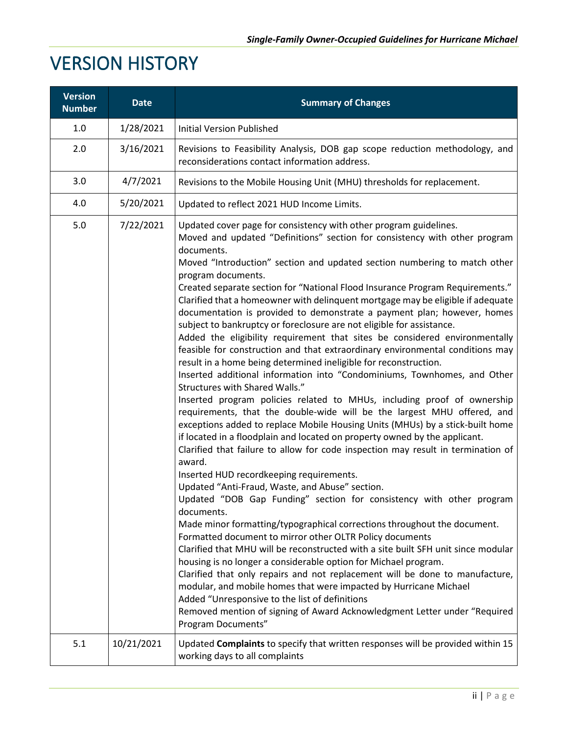# <span id="page-1-0"></span>VERSION HISTORY

| <b>Version</b><br><b>Number</b> | <b>Date</b> | <b>Summary of Changes</b>                                                                                                                                                                                                                                                                                                                                                                                                                                                                                                                                                                                                                                                                                                                                                                                                                                                                                                                                                                                                                                                                                                                                                                                                                                                                                                                                                                                                                                                                                                                                                                                                                                                                                                                                                                                                                                                                                                                                                                                                                                                                                                                                   |
|---------------------------------|-------------|-------------------------------------------------------------------------------------------------------------------------------------------------------------------------------------------------------------------------------------------------------------------------------------------------------------------------------------------------------------------------------------------------------------------------------------------------------------------------------------------------------------------------------------------------------------------------------------------------------------------------------------------------------------------------------------------------------------------------------------------------------------------------------------------------------------------------------------------------------------------------------------------------------------------------------------------------------------------------------------------------------------------------------------------------------------------------------------------------------------------------------------------------------------------------------------------------------------------------------------------------------------------------------------------------------------------------------------------------------------------------------------------------------------------------------------------------------------------------------------------------------------------------------------------------------------------------------------------------------------------------------------------------------------------------------------------------------------------------------------------------------------------------------------------------------------------------------------------------------------------------------------------------------------------------------------------------------------------------------------------------------------------------------------------------------------------------------------------------------------------------------------------------------------|
| 1.0                             | 1/28/2021   | <b>Initial Version Published</b>                                                                                                                                                                                                                                                                                                                                                                                                                                                                                                                                                                                                                                                                                                                                                                                                                                                                                                                                                                                                                                                                                                                                                                                                                                                                                                                                                                                                                                                                                                                                                                                                                                                                                                                                                                                                                                                                                                                                                                                                                                                                                                                            |
| 2.0                             | 3/16/2021   | Revisions to Feasibility Analysis, DOB gap scope reduction methodology, and<br>reconsiderations contact information address.                                                                                                                                                                                                                                                                                                                                                                                                                                                                                                                                                                                                                                                                                                                                                                                                                                                                                                                                                                                                                                                                                                                                                                                                                                                                                                                                                                                                                                                                                                                                                                                                                                                                                                                                                                                                                                                                                                                                                                                                                                |
| 3.0                             | 4/7/2021    | Revisions to the Mobile Housing Unit (MHU) thresholds for replacement.                                                                                                                                                                                                                                                                                                                                                                                                                                                                                                                                                                                                                                                                                                                                                                                                                                                                                                                                                                                                                                                                                                                                                                                                                                                                                                                                                                                                                                                                                                                                                                                                                                                                                                                                                                                                                                                                                                                                                                                                                                                                                      |
| 4.0                             | 5/20/2021   | Updated to reflect 2021 HUD Income Limits.                                                                                                                                                                                                                                                                                                                                                                                                                                                                                                                                                                                                                                                                                                                                                                                                                                                                                                                                                                                                                                                                                                                                                                                                                                                                                                                                                                                                                                                                                                                                                                                                                                                                                                                                                                                                                                                                                                                                                                                                                                                                                                                  |
| 5.0                             | 7/22/2021   | Updated cover page for consistency with other program guidelines.<br>Moved and updated "Definitions" section for consistency with other program<br>documents.<br>Moved "Introduction" section and updated section numbering to match other<br>program documents.<br>Created separate section for "National Flood Insurance Program Requirements."<br>Clarified that a homeowner with delinquent mortgage may be eligible if adequate<br>documentation is provided to demonstrate a payment plan; however, homes<br>subject to bankruptcy or foreclosure are not eligible for assistance.<br>Added the eligibility requirement that sites be considered environmentally<br>feasible for construction and that extraordinary environmental conditions may<br>result in a home being determined ineligible for reconstruction.<br>Inserted additional information into "Condominiums, Townhomes, and Other<br>Structures with Shared Walls."<br>Inserted program policies related to MHUs, including proof of ownership<br>requirements, that the double-wide will be the largest MHU offered, and<br>exceptions added to replace Mobile Housing Units (MHUs) by a stick-built home<br>if located in a floodplain and located on property owned by the applicant.<br>Clarified that failure to allow for code inspection may result in termination of<br>award.<br>Inserted HUD recordkeeping requirements.<br>Updated "Anti-Fraud, Waste, and Abuse" section.<br>Updated "DOB Gap Funding" section for consistency with other program<br>documents.<br>Made minor formatting/typographical corrections throughout the document.<br>Formatted document to mirror other OLTR Policy documents<br>Clarified that MHU will be reconstructed with a site built SFH unit since modular<br>housing is no longer a considerable option for Michael program.<br>Clarified that only repairs and not replacement will be done to manufacture,<br>modular, and mobile homes that were impacted by Hurricane Michael<br>Added "Unresponsive to the list of definitions<br>Removed mention of signing of Award Acknowledgment Letter under "Required<br>Program Documents" |
| 5.1                             | 10/21/2021  | Updated Complaints to specify that written responses will be provided within 15<br>working days to all complaints                                                                                                                                                                                                                                                                                                                                                                                                                                                                                                                                                                                                                                                                                                                                                                                                                                                                                                                                                                                                                                                                                                                                                                                                                                                                                                                                                                                                                                                                                                                                                                                                                                                                                                                                                                                                                                                                                                                                                                                                                                           |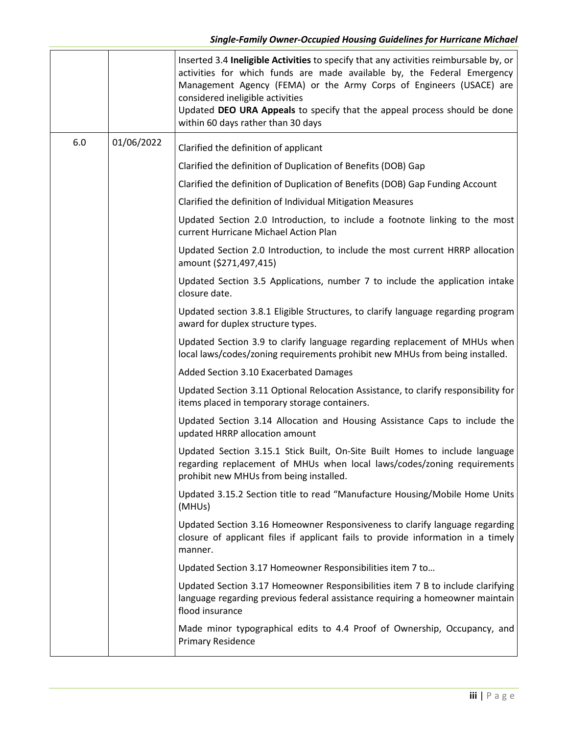|     |            | Inserted 3.4 Ineligible Activities to specify that any activities reimbursable by, or<br>activities for which funds are made available by, the Federal Emergency<br>Management Agency (FEMA) or the Army Corps of Engineers (USACE) are<br>considered ineligible activities<br>Updated DEO URA Appeals to specify that the appeal process should be done<br>within 60 days rather than 30 days |
|-----|------------|------------------------------------------------------------------------------------------------------------------------------------------------------------------------------------------------------------------------------------------------------------------------------------------------------------------------------------------------------------------------------------------------|
| 6.0 | 01/06/2022 | Clarified the definition of applicant                                                                                                                                                                                                                                                                                                                                                          |
|     |            | Clarified the definition of Duplication of Benefits (DOB) Gap                                                                                                                                                                                                                                                                                                                                  |
|     |            | Clarified the definition of Duplication of Benefits (DOB) Gap Funding Account                                                                                                                                                                                                                                                                                                                  |
|     |            | Clarified the definition of Individual Mitigation Measures                                                                                                                                                                                                                                                                                                                                     |
|     |            | Updated Section 2.0 Introduction, to include a footnote linking to the most<br>current Hurricane Michael Action Plan                                                                                                                                                                                                                                                                           |
|     |            | Updated Section 2.0 Introduction, to include the most current HRRP allocation<br>amount (\$271,497,415)                                                                                                                                                                                                                                                                                        |
|     |            | Updated Section 3.5 Applications, number 7 to include the application intake<br>closure date.                                                                                                                                                                                                                                                                                                  |
|     |            | Updated section 3.8.1 Eligible Structures, to clarify language regarding program<br>award for duplex structure types.                                                                                                                                                                                                                                                                          |
|     |            | Updated Section 3.9 to clarify language regarding replacement of MHUs when<br>local laws/codes/zoning requirements prohibit new MHUs from being installed.                                                                                                                                                                                                                                     |
|     |            | Added Section 3.10 Exacerbated Damages                                                                                                                                                                                                                                                                                                                                                         |
|     |            | Updated Section 3.11 Optional Relocation Assistance, to clarify responsibility for<br>items placed in temporary storage containers.                                                                                                                                                                                                                                                            |
|     |            | Updated Section 3.14 Allocation and Housing Assistance Caps to include the<br>updated HRRP allocation amount                                                                                                                                                                                                                                                                                   |
|     |            | Updated Section 3.15.1 Stick Built, On-Site Built Homes to include language<br>regarding replacement of MHUs when local laws/codes/zoning requirements<br>prohibit new MHUs from being installed.                                                                                                                                                                                              |
|     |            | Updated 3.15.2 Section title to read "Manufacture Housing/Mobile Home Units<br>(MHUs)                                                                                                                                                                                                                                                                                                          |
|     |            | Updated Section 3.16 Homeowner Responsiveness to clarify language regarding<br>closure of applicant files if applicant fails to provide information in a timely<br>manner.                                                                                                                                                                                                                     |
|     |            | Updated Section 3.17 Homeowner Responsibilities item 7 to                                                                                                                                                                                                                                                                                                                                      |
|     |            | Updated Section 3.17 Homeowner Responsibilities item 7 B to include clarifying<br>language regarding previous federal assistance requiring a homeowner maintain<br>flood insurance                                                                                                                                                                                                             |
|     |            | Made minor typographical edits to 4.4 Proof of Ownership, Occupancy, and<br><b>Primary Residence</b>                                                                                                                                                                                                                                                                                           |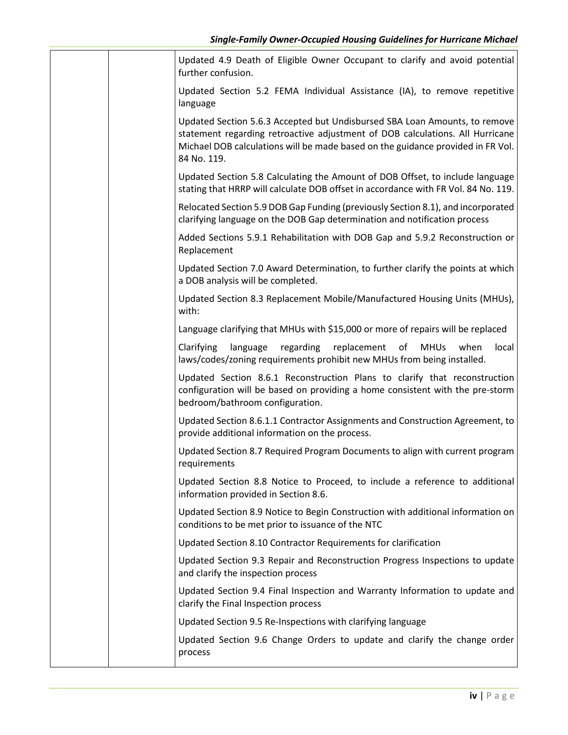|  | Updated 4.9 Death of Eligible Owner Occupant to clarify and avoid potential<br>further confusion.                                                                                                                                                             |
|--|---------------------------------------------------------------------------------------------------------------------------------------------------------------------------------------------------------------------------------------------------------------|
|  | Updated Section 5.2 FEMA Individual Assistance (IA), to remove repetitive<br>language                                                                                                                                                                         |
|  | Updated Section 5.6.3 Accepted but Undisbursed SBA Loan Amounts, to remove<br>statement regarding retroactive adjustment of DOB calculations. All Hurricane<br>Michael DOB calculations will be made based on the guidance provided in FR Vol.<br>84 No. 119. |
|  | Updated Section 5.8 Calculating the Amount of DOB Offset, to include language<br>stating that HRRP will calculate DOB offset in accordance with FR Vol. 84 No. 119.                                                                                           |
|  | Relocated Section 5.9 DOB Gap Funding (previously Section 8.1), and incorporated<br>clarifying language on the DOB Gap determination and notification process                                                                                                 |
|  | Added Sections 5.9.1 Rehabilitation with DOB Gap and 5.9.2 Reconstruction or<br>Replacement                                                                                                                                                                   |
|  | Updated Section 7.0 Award Determination, to further clarify the points at which<br>a DOB analysis will be completed.                                                                                                                                          |
|  | Updated Section 8.3 Replacement Mobile/Manufactured Housing Units (MHUs),<br>with:                                                                                                                                                                            |
|  | Language clarifying that MHUs with \$15,000 or more of repairs will be replaced                                                                                                                                                                               |
|  | language regarding replacement of<br>Clarifying<br><b>MHUs</b><br>when<br>local<br>laws/codes/zoning requirements prohibit new MHUs from being installed.                                                                                                     |
|  | Updated Section 8.6.1 Reconstruction Plans to clarify that reconstruction<br>configuration will be based on providing a home consistent with the pre-storm<br>bedroom/bathroom configuration.                                                                 |
|  | Updated Section 8.6.1.1 Contractor Assignments and Construction Agreement, to<br>provide additional information on the process.                                                                                                                               |
|  | Updated Section 8.7 Required Program Documents to align with current program<br>requirements                                                                                                                                                                  |
|  | Updated Section 8.8 Notice to Proceed, to include a reference to additional<br>information provided in Section 8.6.                                                                                                                                           |
|  | Updated Section 8.9 Notice to Begin Construction with additional information on<br>conditions to be met prior to issuance of the NTC                                                                                                                          |
|  | Updated Section 8.10 Contractor Requirements for clarification                                                                                                                                                                                                |
|  | Updated Section 9.3 Repair and Reconstruction Progress Inspections to update<br>and clarify the inspection process                                                                                                                                            |
|  | Updated Section 9.4 Final Inspection and Warranty Information to update and<br>clarify the Final Inspection process                                                                                                                                           |
|  | Updated Section 9.5 Re-Inspections with clarifying language                                                                                                                                                                                                   |
|  | Updated Section 9.6 Change Orders to update and clarify the change order<br>process                                                                                                                                                                           |
|  |                                                                                                                                                                                                                                                               |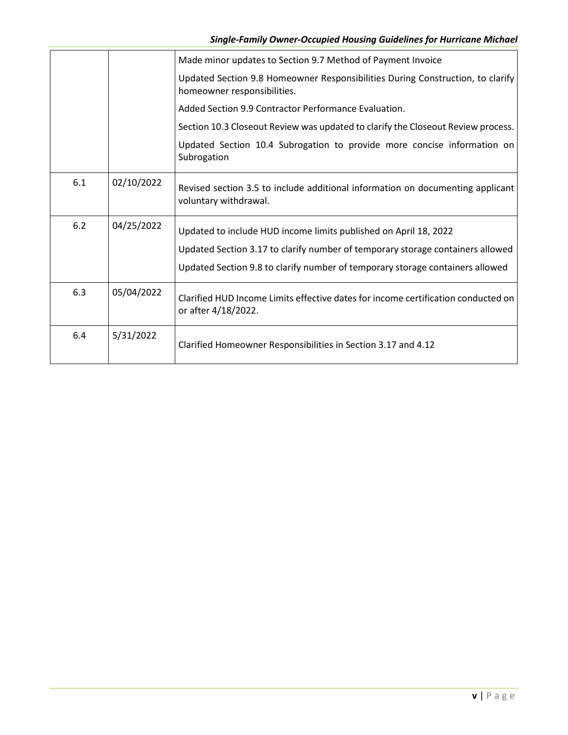|     |            | Made minor updates to Section 9.7 Method of Payment Invoice                                                   |
|-----|------------|---------------------------------------------------------------------------------------------------------------|
|     |            | Updated Section 9.8 Homeowner Responsibilities During Construction, to clarify<br>homeowner responsibilities. |
|     |            | Added Section 9.9 Contractor Performance Evaluation.                                                          |
|     |            | Section 10.3 Closeout Review was updated to clarify the Closeout Review process.                              |
|     |            | Updated Section 10.4 Subrogation to provide more concise information on<br>Subrogation                        |
| 6.1 | 02/10/2022 | Revised section 3.5 to include additional information on documenting applicant<br>voluntary withdrawal.       |
| 6.2 | 04/25/2022 | Updated to include HUD income limits published on April 18, 2022                                              |
|     |            | Updated Section 3.17 to clarify number of temporary storage containers allowed                                |
|     |            | Updated Section 9.8 to clarify number of temporary storage containers allowed                                 |
| 6.3 | 05/04/2022 | Clarified HUD Income Limits effective dates for income certification conducted on<br>or after 4/18/2022.      |
| 6.4 | 5/31/2022  | Clarified Homeowner Responsibilities in Section 3.17 and 4.12                                                 |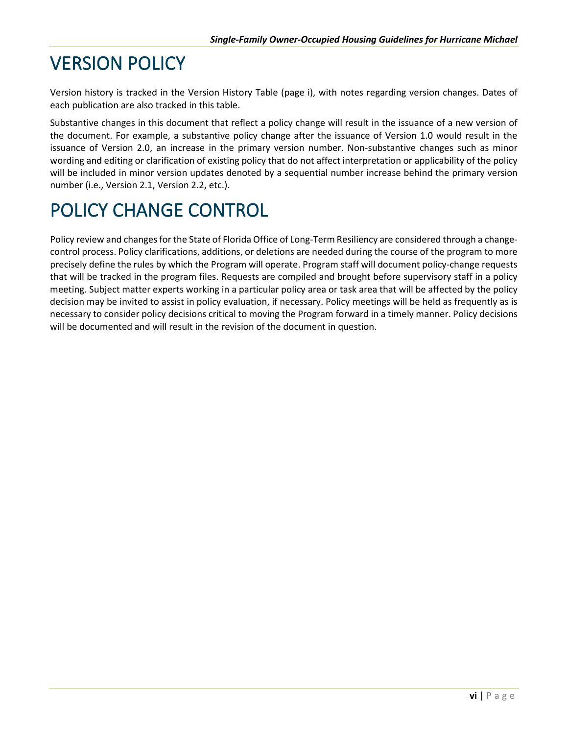# <span id="page-5-0"></span>VERSION POLICY

Version history is tracked in the Version History Table (page i), with notes regarding version changes. Dates of each publication are also tracked in this table.

Substantive changes in this document that reflect a policy change will result in the issuance of a new version of the document. For example, a substantive policy change after the issuance of Version 1.0 would result in the issuance of Version 2.0, an increase in the primary version number. Non-substantive changes such as minor wording and editing or clarification of existing policy that do not affect interpretation or applicability of the policy will be included in minor version updates denoted by a sequential number increase behind the primary version number (i.e., Version 2.1, Version 2.2, etc.).

# <span id="page-5-1"></span>POLICY CHANGE CONTROL

Policy review and changes for the State of Florida Office of Long-Term Resiliency are considered through a changecontrol process. Policy clarifications, additions, or deletions are needed during the course of the program to more precisely define the rules by which the Program will operate. Program staff will document policy-change requests that will be tracked in the program files. Requests are compiled and brought before supervisory staff in a policy meeting. Subject matter experts working in a particular policy area or task area that will be affected by the policy decision may be invited to assist in policy evaluation, if necessary. Policy meetings will be held as frequently as is necessary to consider policy decisions critical to moving the Program forward in a timely manner. Policy decisions will be documented and will result in the revision of the document in question.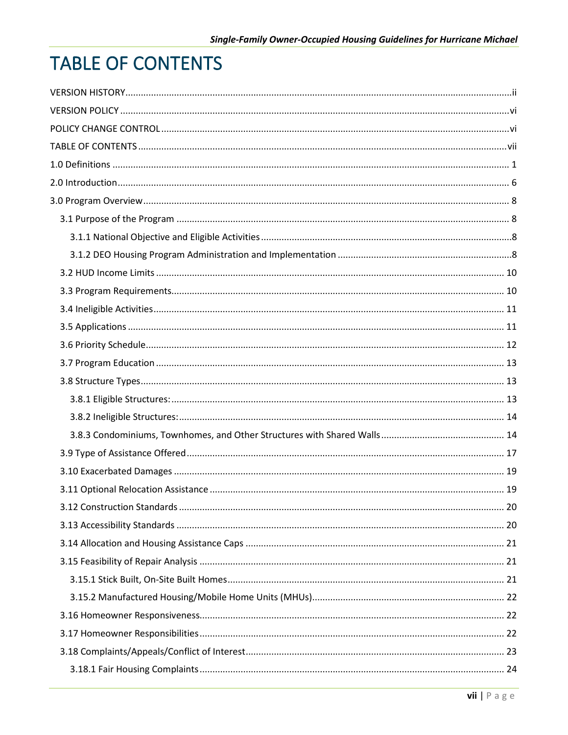# <span id="page-6-0"></span>**TABLE OF CONTENTS**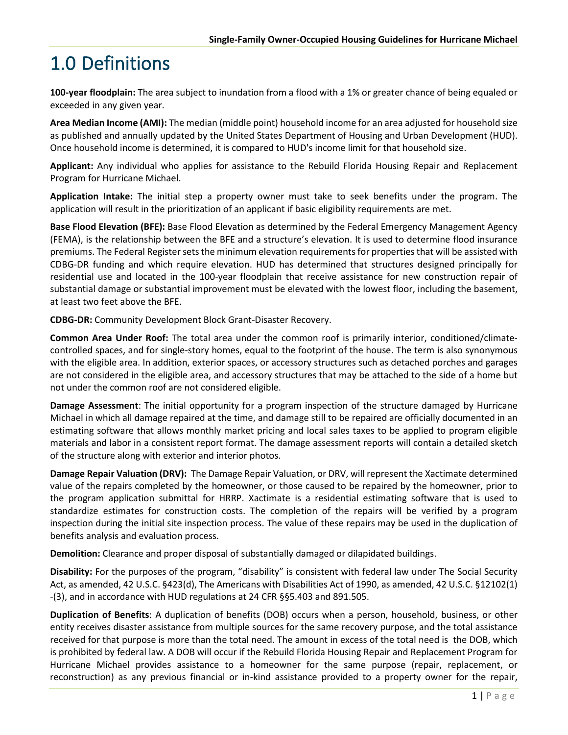# <span id="page-10-0"></span>1.0 Definitions

**100-year floodplain:** The area subject to inundation from a flood with a 1% or greater chance of being equaled or exceeded in any given year.

**Area Median Income (AMI):** The median (middle point) household income for an area adjusted for household size as published and annually updated by the United States Department of Housing and Urban Development (HUD). Once household income is determined, it is compared to HUD's income limit for that household size.

**Applicant:** Any individual who applies for assistance to the Rebuild Florida Housing Repair and Replacement Program for Hurricane Michael.

**Application Intake:** The initial step a property owner must take to seek benefits under the program. The application will result in the prioritization of an applicant if basic eligibility requirements are met.

**Base Flood Elevation (BFE):** Base Flood Elevation as determined by the Federal Emergency Management Agency (FEMA), is the relationship between the BFE and a structure's elevation. It is used to determine flood insurance premiums. The Federal Register sets the minimum elevation requirements for propertiesthat will be assisted with CDBG-DR funding and which require elevation. HUD has determined that structures designed principally for residential use and located in the 100-year floodplain that receive assistance for new construction repair of substantial damage or substantial improvement must be elevated with the lowest floor, including the basement, at least two feet above the BFE.

**CDBG-DR:** Community Development Block Grant-Disaster Recovery.

**Common Area Under Roof:** The total area under the common roof is primarily interior, conditioned/climatecontrolled spaces, and for single-story homes, equal to the footprint of the house. The term is also synonymous with the eligible area. In addition, exterior spaces, or accessory structures such as detached porches and garages are not considered in the eligible area, and accessory structures that may be attached to the side of a home but not under the common roof are not considered eligible.

**Damage Assessment**: The initial opportunity for a program inspection of the structure damaged by Hurricane Michael in which all damage repaired at the time, and damage still to be repaired are officially documented in an estimating software that allows monthly market pricing and local sales taxes to be applied to program eligible materials and labor in a consistent report format. The damage assessment reports will contain a detailed sketch of the structure along with exterior and interior photos.

**Damage Repair Valuation (DRV):** The Damage Repair Valuation, or DRV, will represent the Xactimate determined value of the repairs completed by the homeowner, or those caused to be repaired by the homeowner, prior to the program application submittal for HRRP. Xactimate is a residential estimating software that is used to standardize estimates for construction costs. The completion of the repairs will be verified by a program inspection during the initial site inspection process. The value of these repairs may be used in the duplication of benefits analysis and evaluation process.

**Demolition:** Clearance and proper disposal of substantially damaged or dilapidated buildings.

**Disability:** For the purposes of the program, "disability" is consistent with federal law under The Social Security Act, as amended, 42 U.S.C. §423(d), The Americans with Disabilities Act of 1990, as amended, 42 U.S.C. §12102(1) -(3), and in accordance with HUD regulations at 24 CFR §§5.403 and 891.505.

**Duplication of Benefits**: A duplication of benefits (DOB) occurs when a person, household, business, or other entity receives disaster assistance from multiple sources for the same recovery purpose, and the total assistance received for that purpose is more than the total need. The amount in excess of the total need is the DOB, which is prohibited by federal law. A DOB will occur if the Rebuild Florida Housing Repair and Replacement Program for Hurricane Michael provides assistance to a homeowner for the same purpose (repair, replacement, or reconstruction) as any previous financial or in-kind assistance provided to a property owner for the repair,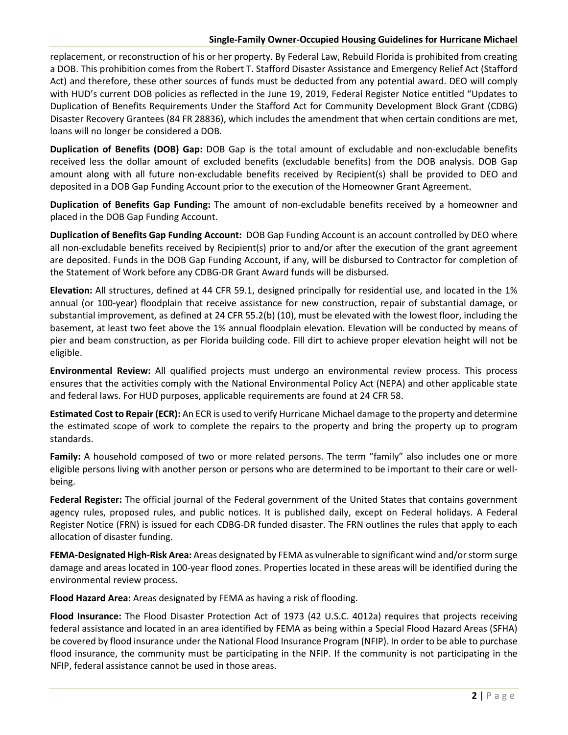replacement, or reconstruction of his or her property. By Federal Law, Rebuild Florida is prohibited from creating a DOB. This prohibition comes from the Robert T. Stafford Disaster Assistance and Emergency Relief Act (Stafford Act) and therefore, these other sources of funds must be deducted from any potential award. DEO will comply with HUD's current DOB policies as reflected in the June 19, 2019, Federal Register Notice entitled "Updates to Duplication of Benefits Requirements Under the Stafford Act for Community Development Block Grant (CDBG) Disaster Recovery Grantees (84 FR 28836), which includes the amendment that when certain conditions are met, loans will no longer be considered a DOB.

**Duplication of Benefits (DOB) Gap:** DOB Gap is the total amount of excludable and non-excludable benefits received less the dollar amount of excluded benefits (excludable benefits) from the DOB analysis. DOB Gap amount along with all future non-excludable benefits received by Recipient(s) shall be provided to DEO and deposited in a DOB Gap Funding Account prior to the execution of the Homeowner Grant Agreement.

**Duplication of Benefits Gap Funding:** The amount of non-excludable benefits received by a homeowner and placed in the DOB Gap Funding Account.

**Duplication of Benefits Gap Funding Account:** DOB Gap Funding Account is an account controlled by DEO where all non-excludable benefits received by Recipient(s) prior to and/or after the execution of the grant agreement are deposited. Funds in the DOB Gap Funding Account, if any, will be disbursed to Contractor for completion of the Statement of Work before any CDBG-DR Grant Award funds will be disbursed.

**Elevation:** All structures, defined at 44 CFR 59.1, designed principally for residential use, and located in the 1% annual (or 100-year) floodplain that receive assistance for new construction, repair of substantial damage, or substantial improvement, as defined at 24 CFR 55.2(b) (10), must be elevated with the lowest floor, including the basement, at least two feet above the 1% annual floodplain elevation. Elevation will be conducted by means of pier and beam construction, as per Florida building code. Fill dirt to achieve proper elevation height will not be eligible.

**Environmental Review:** All qualified projects must undergo an environmental review process. This process ensures that the activities comply with the National Environmental Policy Act (NEPA) and other applicable state and federal laws. For HUD purposes, applicable requirements are found at 24 CFR 58.

**Estimated Cost to Repair (ECR):** An ECR is used to verify Hurricane Michael damage to the property and determine the estimated scope of work to complete the repairs to the property and bring the property up to program standards.

**Family:** A household composed of two or more related persons. The term "family" also includes one or more eligible persons living with another person or persons who are determined to be important to their care or wellbeing.

**Federal Register:** The official journal of the Federal government of the United States that contains government agency rules, proposed rules, and public notices. It is published daily, except on Federal holidays. A Federal Register Notice (FRN) is issued for each CDBG-DR funded disaster. The FRN outlines the rules that apply to each allocation of disaster funding.

**FEMA-Designated High-Risk Area:** Areas designated by FEMA as vulnerable to significant wind and/or storm surge damage and areas located in 100-year flood zones. Properties located in these areas will be identified during the environmental review process.

**Flood Hazard Area:** Areas designated by FEMA as having a risk of flooding.

**Flood Insurance:** The Flood Disaster Protection Act of 1973 (42 U.S.C. 4012a) requires that projects receiving federal assistance and located in an area identified by FEMA as being within a Special Flood Hazard Areas (SFHA) be covered by flood insurance under the National Flood Insurance Program (NFIP). In order to be able to purchase flood insurance, the community must be participating in the NFIP. If the community is not participating in the NFIP, federal assistance cannot be used in those areas.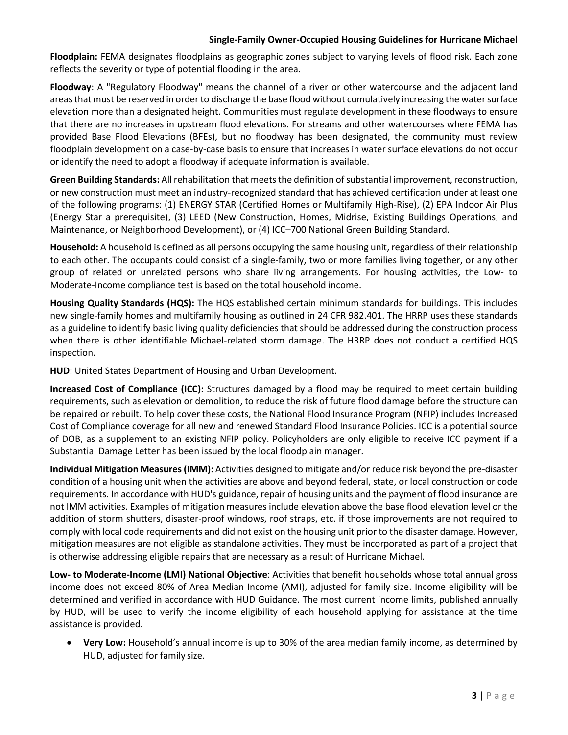**Floodplain:** FEMA designates floodplains as geographic zones subject to varying levels of flood risk. Each zone reflects the severity or type of potential flooding in the area.

**Floodway**: A "Regulatory Floodway" means the channel of a river or other watercourse and the adjacent land areas that must be reserved in order to discharge the base flood without cumulatively increasing the water surface elevation more than a designated height. Communities must regulate development in these floodways to ensure that there are no increases in upstream flood elevations. For streams and other watercourses where FEMA has provided Base Flood Elevations (BFEs), but no floodway has been designated, the community must review floodplain development on a case-by-case basis to ensure that increases in water surface elevations do not occur or identify the need to adopt a floodway if adequate information is available.

**Green Building Standards:** All rehabilitation that meets the definition of substantial improvement, reconstruction, or new construction must meet an industry-recognized standard that has achieved certification under at least one of the following programs: (1) ENERGY STAR (Certified Homes or Multifamily High-Rise), (2) EPA Indoor Air Plus (Energy Star a prerequisite), (3) LEED (New Construction, Homes, Midrise, Existing Buildings Operations, and Maintenance, or Neighborhood Development), or (4) ICC–700 National Green Building Standard.

**Household:** A household is defined as all persons occupying the same housing unit, regardless of their relationship to each other. The occupants could consist of a single-family, two or more families living together, or any other group of related or unrelated persons who share living arrangements. For housing activities, the Low- to Moderate-Income compliance test is based on the total household income.

**Housing Quality Standards (HQS):** The HQS established certain minimum standards for buildings. This includes new single-family homes and multifamily housing as outlined in 24 CFR 982.401. The HRRP uses these standards as a guideline to identify basic living quality deficiencies that should be addressed during the construction process when there is other identifiable Michael-related storm damage. The HRRP does not conduct a certified HQS inspection.

**HUD**: United States Department of Housing and Urban Development.

**Increased Cost of Compliance (ICC):** Structures damaged by a flood may be required to meet certain building requirements, such as elevation or demolition, to reduce the risk of future flood damage before the structure can be repaired or rebuilt. To help cover these costs, the National Flood Insurance Program (NFIP) includes Increased Cost of Compliance coverage for all new and renewed Standard Flood Insurance Policies. ICC is a potential source of DOB, as a supplement to an existing NFIP policy. Policyholders are only eligible to receive ICC payment if a Substantial Damage Letter has been issued by the local floodplain manager.

**Individual Mitigation Measures(IMM):** Activities designed to mitigate and/or reduce risk beyond the pre-disaster condition of a housing unit when the activities are above and beyond federal, state, or local construction or code requirements. In accordance with HUD's guidance, repair of housing units and the payment of flood insurance are not IMM activities. Examples of mitigation measures include elevation above the base flood elevation level or the addition of storm shutters, disaster-proof windows, roof straps, etc. if those improvements are not required to comply with local code requirements and did not exist on the housing unit prior to the disaster damage. However, mitigation measures are not eligible as standalone activities. They must be incorporated as part of a project that is otherwise addressing eligible repairs that are necessary as a result of Hurricane Michael.

**Low- to Moderate-Income (LMI) National Objective**: Activities that benefit households whose total annual gross income does not exceed 80% of Area Median Income (AMI), adjusted for family size. Income eligibility will be determined and verified in accordance with HUD Guidance. The most current income limits, published annually by HUD, will be used to verify the income eligibility of each household applying for assistance at the time assistance is provided.

• **Very Low:** Household's annual income is up to 30% of the area median family income, as determined by HUD, adjusted for family size.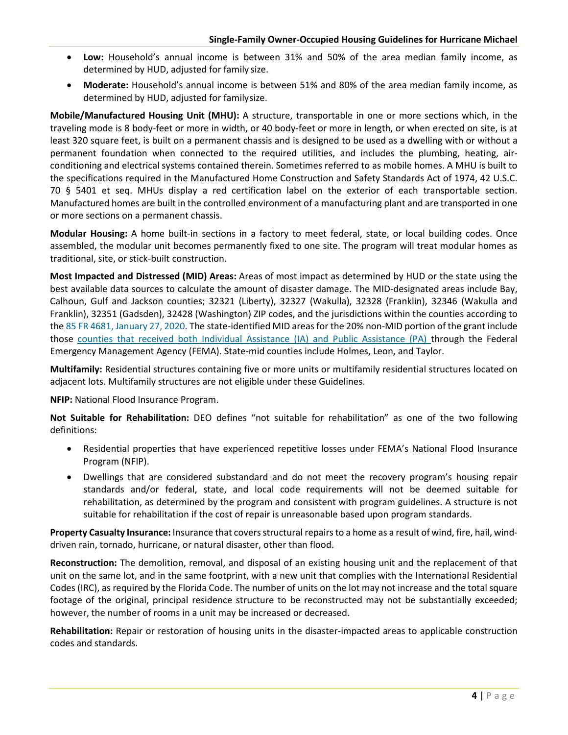- **Low:** Household's annual income is between 31% and 50% of the area median family income, as determined by HUD, adjusted for family size.
- **Moderate:** Household's annual income is between 51% and 80% of the area median family income, as determined by HUD, adjusted for familysize.

**Mobile/Manufactured Housing Unit (MHU):** A structure, transportable in one or more sections which, in the traveling mode is 8 body-feet or more in width, or 40 body-feet or more in length, or when erected on site, is at least 320 square feet, is built on a permanent chassis and is designed to be used as a dwelling with or without a permanent foundation when connected to the required utilities, and includes the plumbing, heating, airconditioning and electrical systems contained therein. Sometimes referred to as mobile homes. A MHU is built to the specifications required in the Manufactured Home Construction and Safety Standards Act of 1974[, 42 U.S.C.](https://www.google.com/search?sxsrf=qwu&q=42%2BU.S.C.&stick=H4sIAAAAAAAAAONgVuLSz9U3MLIwtzBKXsTKaWKkEKoXrOesBwCSiHM6GgAAAA&sa=X&ved=2ahUKEwj04fT6reniAhVC1qwKHeVNDjEQmxMoATAPegQIDBAP&sxsrf=seu)  70 § 5401 et seq. MHUs display a red certification label on the exterior of each transportable section. Manufactured homes are built in the controlled environment of a manufacturing plant and are transported in one or more sections on a permanent chassis.

**Modular Housing:** A home built-in sections in a factory to meet federal, state, or local building codes. Once assembled, the modular unit becomes permanently fixed to one site. The program will treat modular homes as traditional, site, or stick-built construction.

**Most Impacted and Distressed (MID) Areas:** Areas of most impact as determined by HUD or the state using the best available data sources to calculate the amount of disaster damage. The MID-designated areas include Bay, Calhoun, Gulf and Jackson counties; 32321 (Liberty), 32327 (Wakulla), 32328 (Franklin), 32346 (Wakulla and Franklin), 32351 (Gadsden), 32428 (Washington) ZIP codes, and the jurisdictions within the counties according to the [85 FR 4681, January 2](https://www.govinfo.gov/content/pkg/FR-2018-02-09/pdf/2018-02693.pdf)7, 2020. The state-identified MID areas for the 20% non-MID portion of the grant include those [counties that received both Individual](https://www.fema.gov/disaster/4337) [Assistance \(IA\) and Public Assistance \(PA\) t](https://www.fema.gov/disaster/4337)hrough the Federal Emergency Management Agency (FEMA). State-mid counties include Holmes, Leon, and Taylor.

**Multifamily:** Residential structures containing five or more units or multifamily residential structures located on adjacent lots. Multifamily structures are not eligible under these Guidelines.

**NFIP:** National Flood Insurance Program.

**Not Suitable for Rehabilitation:** DEO defines "not suitable for rehabilitation" as one of the two following definitions:

- Residential properties that have experienced repetitive losses under FEMA's National Flood Insurance Program (NFIP).
- Dwellings that are considered substandard and do not meet the recovery program's housing repair standards and/or federal, state, and local code requirements will not be deemed suitable for rehabilitation, as determined by the program and consistent with program guidelines. A structure is not suitable for rehabilitation if the cost of repair is unreasonable based upon program standards.

**Property Casualty Insurance:** Insurance that covers structural repairs to a home as a result of wind, fire, hail, winddriven rain, tornado, hurricane, or natural disaster, other than flood.

**Reconstruction:** The demolition, removal, and disposal of an existing housing unit and the replacement of that unit on the same lot, and in the same footprint, with a new unit that complies with the International Residential Codes (IRC), as required by the Florida Code. The number of units on the lot may not increase and the total square footage of the original, principal residence structure to be reconstructed may not be substantially exceeded; however, the number of rooms in a unit may be increased or decreased.

**Rehabilitation:** Repair or restoration of housing units in the disaster-impacted areas to applicable construction codes and standards.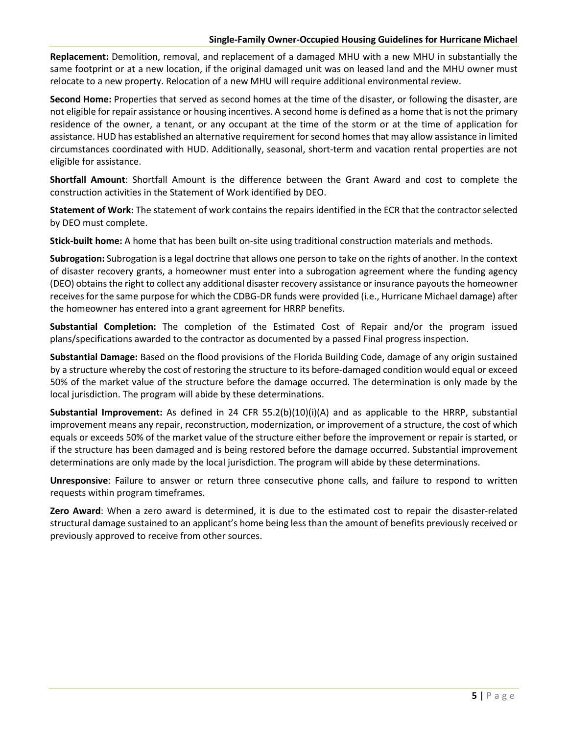**Replacement:** Demolition, removal, and replacement of a damaged MHU with a new MHU in substantially the same footprint or at a new location, if the original damaged unit was on leased land and the MHU owner must relocate to a new property. Relocation of a new MHU will require additional environmental review.

**Second Home:** Properties that served as second homes at the time of the disaster, or following the disaster, are not eligible for repair assistance or housing incentives. A second home is defined as a home that is not the primary residence of the owner, a tenant, or any occupant at the time of the storm or at the time of application for assistance. HUD has established an alternative requirement for second homes that may allow assistance in limited circumstances coordinated with HUD. Additionally, seasonal, short-term and vacation rental properties are not eligible for assistance.

**Shortfall Amount**: Shortfall Amount is the difference between the Grant Award and cost to complete the construction activities in the Statement of Work identified by DEO.

**Statement of Work:** The statement of work contains the repairs identified in the ECR that the contractor selected by DEO must complete.

**Stick-built home:** A home that has been built on-site using traditional construction materials and methods.

**Subrogation:** Subrogation is a legal doctrine that allows one person to take on the rights of another. In the context of disaster recovery grants, a homeowner must enter into a subrogation agreement where the funding agency (DEO) obtains the right to collect any additional disaster recovery assistance or insurance payouts the homeowner receives for the same purpose for which the CDBG-DR funds were provided (i.e., Hurricane Michael damage) after the homeowner has entered into a grant agreement for HRRP benefits.

**Substantial Completion:** The completion of the Estimated Cost of Repair and/or the program issued plans/specifications awarded to the contractor as documented by a passed Final progress inspection.

**Substantial Damage:** Based on the flood provisions of the Florida Building Code, damage of any origin sustained by a structure whereby the cost of restoring the structure to its before-damaged condition would equal or exceed 50% of the market value of the structure before the damage occurred. The determination is only made by the local jurisdiction. The program will abide by these determinations.

**Substantial Improvement:** As defined in 24 CFR 55.2(b)(10)(i)(A) and as applicable to the HRRP, substantial improvement means any repair, reconstruction, modernization, or improvement of a structure, the cost of which equals or exceeds 50% of the market value of the structure either before the improvement or repair is started, or if the structure has been damaged and is being restored before the damage occurred. Substantial improvement determinations are only made by the local jurisdiction. The program will abide by these determinations.

**Unresponsive**: Failure to answer or return three consecutive phone calls, and failure to respond to written requests within program timeframes.

**Zero Award**: When a zero award is determined, it is due to the estimated cost to repair the disaster-related structural damage sustained to an applicant's home being less than the amount of benefits previously received or previously approved to receive from other sources.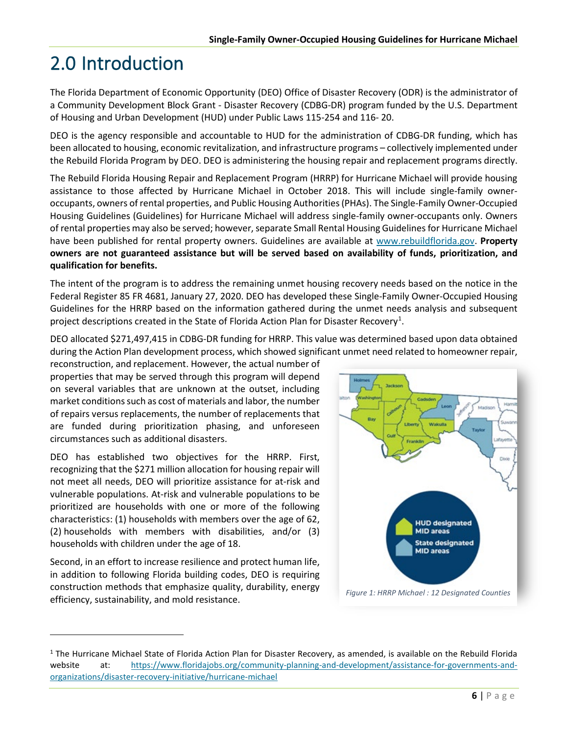# <span id="page-15-0"></span>2.0 Introduction

The Florida Department of Economic Opportunity (DEO) Office of Disaster Recovery (ODR) is the administrator of a Community Development Block Grant - Disaster Recovery (CDBG-DR) program funded by the U.S. Department of Housing and Urban Development (HUD) under Public Laws 115-254 and 116- 20.

DEO is the agency responsible and accountable to HUD for the administration of CDBG-DR funding, which has been allocated to housing, economic revitalization, and infrastructure programs – collectively implemented under the Rebuild Florida Program by DEO. DEO is administering the housing repair and replacement programs directly.

The Rebuild Florida Housing Repair and Replacement Program (HRRP) for Hurricane Michael will provide housing assistance to those affected by Hurricane Michael in October 2018. This will include single-family owneroccupants, owners of rental properties, and Public Housing Authorities (PHAs). The Single-Family Owner-Occupied Housing Guidelines (Guidelines) for Hurricane Michael will address single-family owner-occupants only. Owners of rental properties may also be served; however, separate Small Rental Housing Guidelines for Hurricane Michael have been published for rental property owners. Guidelines are available at [www.rebuildflorida.gov.](http://www.rebuildflorida.gov/) **Property owners are not guaranteed assistance but will be served based on availability of funds, prioritization, and qualification for benefits.**

The intent of the program is to address the remaining unmet housing recovery needs based on the notice in the Federal Register 85 FR 4681, January 27, 2020. DEO has developed these Single-Family Owner-Occupied Housing Guidelines for the HRRP based on the information gathered during the unmet needs analysis and subsequent project descriptions created in the State of Florida Action Plan for Disaster Recovery<sup>1</sup>.

DEO allocated \$271,497,415 in CDBG-DR funding for HRRP. This value was determined based upon data obtained during the Action Plan development process, which showed significant unmet need related to homeowner repair,

reconstruction, and replacement. However, the actual number of properties that may be served through this program will depend on several variables that are unknown at the outset, including market conditions such as cost of materials and labor, the number of repairs versus replacements, the number of replacements that are funded during prioritization phasing, and unforeseen circumstances such as additional disasters.

DEO has established two objectives for the HRRP. First, recognizing that the \$271 million allocation for housing repair will not meet all needs, DEO will prioritize assistance for at-risk and vulnerable populations. At-risk and vulnerable populations to be prioritized are households with one or more of the following characteristics: (1) households with members over the age of 62, (2) households with members with disabilities, and/or (3) households with children under the age of 18.

Second, in an effort to increase resilience and protect human life, in addition to following Florida building codes, DEO is requiring construction methods that emphasize quality, durability, energy efficiency, sustainability, and mold resistance.



<span id="page-15-1"></span><sup>&</sup>lt;sup>1</sup> The Hurricane Michael State of Florida Action Plan for Disaster Recovery, as amended, is available on the Rebuild Florida website at: [https://www.floridajobs.org/community-planning-and-development/assistance-for-governments-and](https://www.floridajobs.org/community-planning-and-development/assistance-for-governments-and-organizations/disaster-recovery-initiative/hurricane-michael)[organizations/disaster-recovery-initiative/hurricane-michael](https://www.floridajobs.org/community-planning-and-development/assistance-for-governments-and-organizations/disaster-recovery-initiative/hurricane-michael)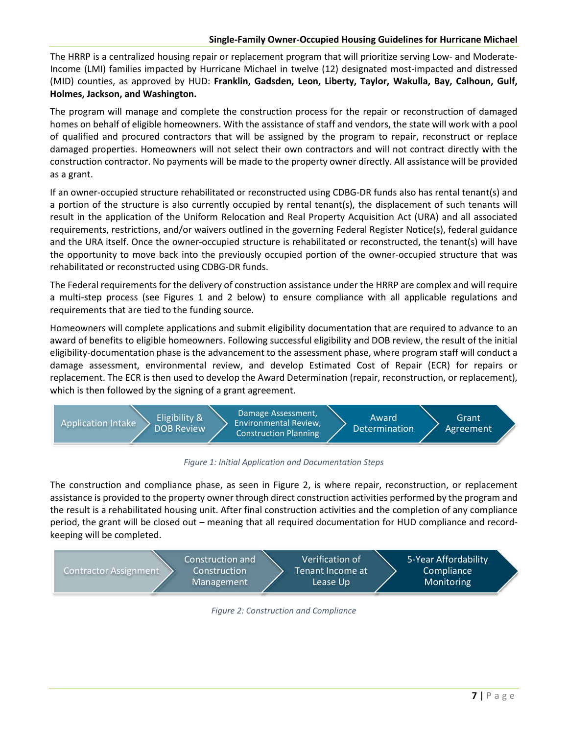The HRRP is a centralized housing repair or replacement program that will prioritize serving Low- and Moderate-Income (LMI) families impacted by Hurricane Michael in twelve (12) designated most-impacted and distressed (MID) counties, as approved by HUD: **Franklin, Gadsden, Leon, Liberty, Taylor, Wakulla, Bay, Calhoun, Gulf, Holmes, Jackson, and Washington.**

The program will manage and complete the construction process for the repair or reconstruction of damaged homes on behalf of eligible homeowners. With the assistance of staff and vendors, the state will work with a pool of qualified and procured contractors that will be assigned by the program to repair, reconstruct or replace damaged properties. Homeowners will not select their own contractors and will not contract directly with the construction contractor. No payments will be made to the property owner directly. All assistance will be provided as a grant.

If an owner-occupied structure rehabilitated or reconstructed using CDBG-DR funds also has rental tenant(s) and a portion of the structure is also currently occupied by rental tenant(s), the displacement of such tenants will result in the application of the Uniform Relocation and Real Property Acquisition Act (URA) and all associated requirements, restrictions, and/or waivers outlined in the governing Federal Register Notice(s), federal guidance and the URA itself. Once the owner-occupied structure is rehabilitated or reconstructed, the tenant(s) will have the opportunity to move back into the previously occupied portion of the owner-occupied structure that was rehabilitated or reconstructed using CDBG-DR funds.

The Federal requirements for the delivery of construction assistance under the HRRP are complex and will require a multi-step process (see Figures 1 and 2 below) to ensure compliance with all applicable regulations and requirements that are tied to the funding source.

Homeowners will complete applications and submit eligibility documentation that are required to advance to an award of benefits to eligible homeowners. Following successful eligibility and DOB review, the result of the initial eligibility-documentation phase is the advancement to the assessment phase, where program staff will conduct a damage assessment, environmental review, and develop Estimated Cost of Repair (ECR) for repairs or replacement. The ECR is then used to develop the Award Determination (repair, reconstruction, or replacement), which is then followed by the signing of a grant agreement.



*Figure 1: Initial Application and Documentation Steps*

The construction and compliance phase, as seen in Figure 2, is where repair, reconstruction, or replacement assistance is provided to the property owner through direct construction activities performed by the program and the result is a rehabilitated housing unit. After final construction activities and the completion of any compliance period, the grant will be closed out – meaning that all required documentation for HUD compliance and recordkeeping will be completed.



*Figure 2: Construction and Compliance*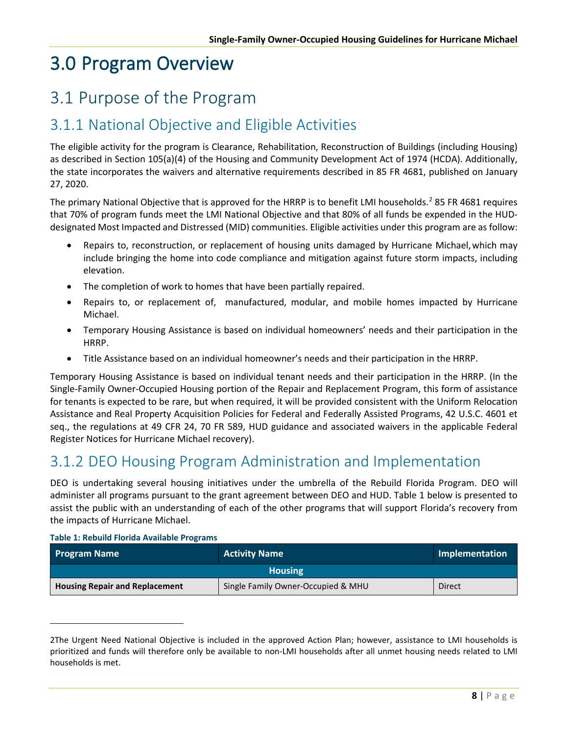# <span id="page-17-0"></span>3.0 Program Overview

### <span id="page-17-1"></span>3.1 Purpose of the Program

### <span id="page-17-2"></span>3.1.1 National Objective and Eligible Activities

The eligible activity for the program is Clearance, Rehabilitation, Reconstruction of Buildings (including Housing) as described in Section 105(a)(4) of the Housing and Community Development Act of 1974 (HCDA). Additionally, the state incorporates the waivers and alternative requirements described in 85 FR 4681, published on January 27, 2020.

The primary National Objective that is approved for the HRRP is to benefit LMI households.<sup>[2](#page-17-4)</sup> 85 FR 4681 requires that 70% of program funds meet the LMI National Objective and that 80% of all funds be expended in the HUDdesignated Most Impacted and Distressed (MID) communities. Eligible activities under this program are as follow:

- Repairs to, reconstruction, or replacement of housing units damaged by Hurricane Michael, which may include bringing the home into code compliance and mitigation against future storm impacts, including elevation.
- The completion of work to homes that have been partially repaired.
- Repairs to, or replacement of, manufactured, modular, and mobile homes impacted by Hurricane Michael.
- Temporary Housing Assistance is based on individual homeowners' needs and their participation in the HRRP.
- Title Assistance based on an individual homeowner's needs and their participation in the HRRP.

Temporary Housing Assistance is based on individual tenant needs and their participation in the HRRP. (In the Single-Family Owner-Occupied Housing portion of the Repair and Replacement Program, this form of assistance for tenants is expected to be rare, but when required, it will be provided consistent with the Uniform Relocation Assistance and Real Property Acquisition Policies for Federal and Federally Assisted Programs, 42 U.S.C. 4601 et seq., the regulations at 49 CFR 24, 70 FR 589, HUD guidance and associated waivers in the applicable Federal Register Notices for Hurricane Michael recovery).

### <span id="page-17-3"></span>3.1.2 DEO Housing Program Administration and Implementation

DEO is undertaking several housing initiatives under the umbrella of the Rebuild Florida Program. DEO will administer all programs pursuant to the grant agreement between DEO and HUD. Table 1 below is presented to assist the public with an understanding of each of the other programs that will support Florida's recovery from the impacts of Hurricane Michael.

| <b>Program Name</b>                   | <b>Activity Name</b>               | Implementation |  |
|---------------------------------------|------------------------------------|----------------|--|
| <b>Housing</b>                        |                                    |                |  |
| <b>Housing Repair and Replacement</b> | Single Family Owner-Occupied & MHU | <b>Direct</b>  |  |

<span id="page-17-4"></span><sup>2</sup>The Urgent Need National Objective is included in the approved Action Plan; however, assistance to LMI households is prioritized and funds will therefore only be available to non-LMI households after all unmet housing needs related to LMI households is met.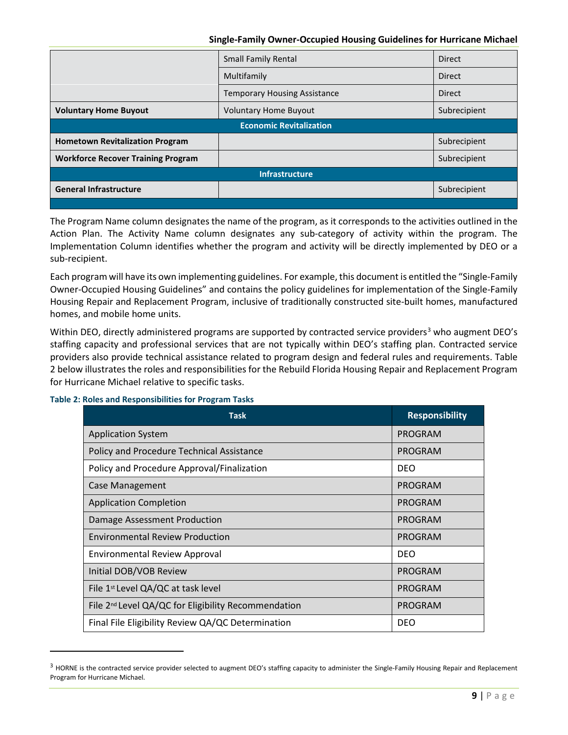|                                           | <b>Small Family Rental</b>          | <b>Direct</b> |  |
|-------------------------------------------|-------------------------------------|---------------|--|
|                                           | Multifamily                         | <b>Direct</b> |  |
|                                           | <b>Temporary Housing Assistance</b> | <b>Direct</b> |  |
| <b>Voluntary Home Buyout</b>              | <b>Voluntary Home Buyout</b>        | Subrecipient  |  |
| <b>Economic Revitalization</b>            |                                     |               |  |
| <b>Hometown Revitalization Program</b>    |                                     | Subrecipient  |  |
| <b>Workforce Recover Training Program</b> |                                     | Subrecipient  |  |
| <b>Infrastructure</b>                     |                                     |               |  |
| <b>General Infrastructure</b>             |                                     | Subrecipient  |  |
|                                           |                                     |               |  |

The Program Name column designates the name of the program, as it corresponds to the activities outlined in the Action Plan. The Activity Name column designates any sub-category of activity within the program. The Implementation Column identifies whether the program and activity will be directly implemented by DEO or a sub-recipient.

Each program will have its own implementing guidelines. For example, this document is entitled the "Single-Family Owner-Occupied Housing Guidelines" and contains the policy guidelines for implementation of the Single-Family Housing Repair and Replacement Program, inclusive of traditionally constructed site-built homes, manufactured homes, and mobile home units.

Within DEO, directly administered programs are supported by contracted service providers<sup>[3](#page-18-0)</sup> who augment DEO's staffing capacity and professional services that are not typically within DEO's staffing plan. Contracted service providers also provide technical assistance related to program design and federal rules and requirements. Table 2 below illustrates the roles and responsibilities for the Rebuild Florida Housing Repair and Replacement Program for Hurricane Michael relative to specific tasks.

#### **Table 2: Roles and Responsibilities for Program Tasks**

| <b>Task</b>                                                     | <b>Responsibility</b> |
|-----------------------------------------------------------------|-----------------------|
| <b>Application System</b>                                       | PROGRAM               |
| Policy and Procedure Technical Assistance                       | PROGRAM               |
| Policy and Procedure Approval/Finalization                      | <b>DEO</b>            |
| Case Management                                                 | <b>PROGRAM</b>        |
| <b>Application Completion</b>                                   | PROGRAM               |
| Damage Assessment Production                                    | PROGRAM               |
| <b>Environmental Review Production</b>                          | PROGRAM               |
| <b>Environmental Review Approval</b>                            | <b>DEO</b>            |
| Initial DOB/VOB Review                                          | PROGRAM               |
| File 1 <sup>st</sup> Level QA/QC at task level                  | <b>PROGRAM</b>        |
| File 2 <sup>nd</sup> Level QA/QC for Eligibility Recommendation | <b>PROGRAM</b>        |
| Final File Eligibility Review QA/QC Determination               | <b>DEO</b>            |

<span id="page-18-0"></span> $3$  HORNE is the contracted service provider selected to augment DEO's staffing capacity to administer the Single-Family Housing Repair and Replacement Program for Hurricane Michael.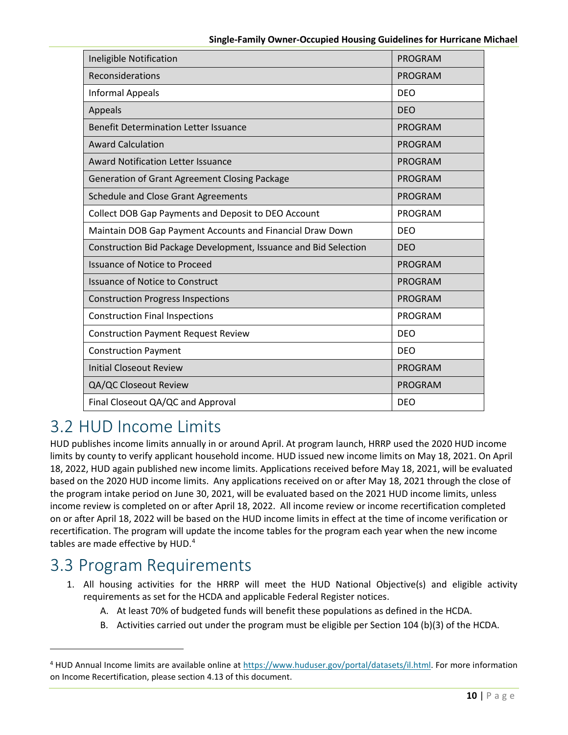| Ineligible Notification                                          | <b>PROGRAM</b> |
|------------------------------------------------------------------|----------------|
| Reconsiderations                                                 | <b>PROGRAM</b> |
| <b>Informal Appeals</b>                                          | <b>DEO</b>     |
| Appeals                                                          | <b>DEO</b>     |
| <b>Benefit Determination Letter Issuance</b>                     | <b>PROGRAM</b> |
| <b>Award Calculation</b>                                         | <b>PROGRAM</b> |
| <b>Award Notification Letter Issuance</b>                        | <b>PROGRAM</b> |
| Generation of Grant Agreement Closing Package                    | <b>PROGRAM</b> |
| <b>Schedule and Close Grant Agreements</b>                       | <b>PROGRAM</b> |
| Collect DOB Gap Payments and Deposit to DEO Account              | <b>PROGRAM</b> |
| Maintain DOB Gap Payment Accounts and Financial Draw Down        | <b>DEO</b>     |
| Construction Bid Package Development, Issuance and Bid Selection | <b>DEO</b>     |
| <b>Issuance of Notice to Proceed</b>                             | <b>PROGRAM</b> |
| <b>Issuance of Notice to Construct</b>                           | <b>PROGRAM</b> |
| <b>Construction Progress Inspections</b>                         | <b>PROGRAM</b> |
| <b>Construction Final Inspections</b>                            | <b>PROGRAM</b> |
| <b>Construction Payment Request Review</b>                       | <b>DEO</b>     |
| <b>Construction Payment</b>                                      | <b>DEO</b>     |
| <b>Initial Closeout Review</b>                                   | <b>PROGRAM</b> |
| QA/QC Closeout Review                                            | <b>PROGRAM</b> |
| Final Closeout QA/QC and Approval                                | <b>DEO</b>     |

# <span id="page-19-0"></span>3.2 HUD Income Limits

HUD publishes income limits annually in or around April. At program launch, HRRP used the 2020 HUD income limits by county to verify applicant household income. HUD issued new income limits on May 18, 2021. On April 18, 2022, HUD again published new income limits. Applications received before May 18, 2021, will be evaluated based on the 2020 HUD income limits. Any applications received on or after May 18, 2021 through the close of the program intake period on June 30, 2021, will be evaluated based on the 2021 HUD income limits, unless income review is completed on or after April 18, 2022. All income review or income recertification completed on or after April 18, 2022 will be based on the HUD income limits in effect at the time of income verification or recertification. The program will update the income tables for the program each year when the new income tables are made effective by HUD.[4](#page-19-2)

### <span id="page-19-1"></span>3.3 Program Requirements

- 1. All housing activities for the HRRP will meet the HUD National Objective(s) and eligible activity requirements as set for the HCDA and applicable Federal Register notices.
	- A. At least 70% of budgeted funds will benefit these populations as defined in the HCDA.
	- B. Activities carried out under the program must be eligible per Section 104 (b)(3) of the HCDA.

<span id="page-19-2"></span><sup>4</sup> HUD Annual Income limits are available online at [https://www.huduser.gov/portal/datasets/il.html.](https://www.huduser.gov/portal/datasets/il.html) For more information on Income Recertification, please section 4.13 of this document.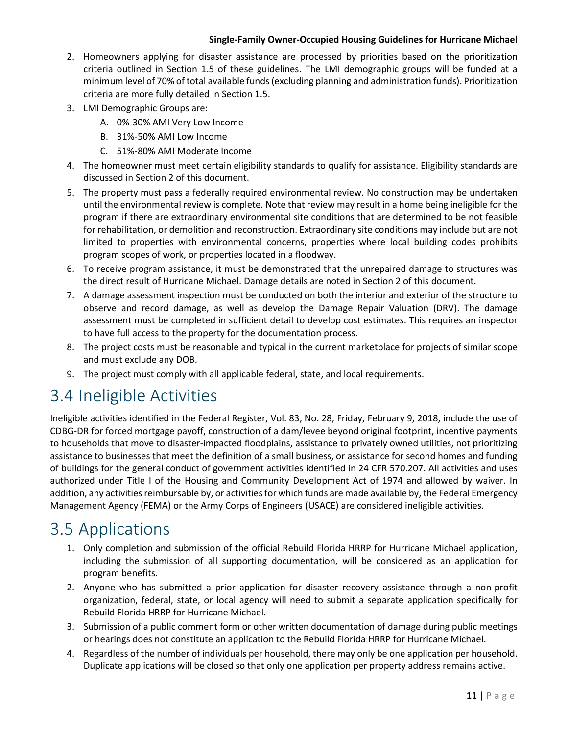- 2. Homeowners applying for disaster assistance are processed by priorities based on the prioritization criteria outlined in Section 1.5 of these guidelines. The LMI demographic groups will be funded at a minimum level of 70% of total available funds (excluding planning and administration funds). Prioritization criteria are more fully detailed in Section 1.5.
- 3. LMI Demographic Groups are:
	- A. 0%-30% AMI Very Low Income
	- B. 31%-50% AMI Low Income
	- C. 51%-80% AMI Moderate Income
- 4. The homeowner must meet certain eligibility standards to qualify for assistance. Eligibility standards are discussed in Section 2 of this document.
- 5. The property must pass a federally required environmental review. No construction may be undertaken until the environmental review is complete. Note that review may result in a home being ineligible for the program if there are extraordinary environmental site conditions that are determined to be not feasible for rehabilitation, or demolition and reconstruction. Extraordinary site conditions may include but are not limited to properties with environmental concerns, properties where local building codes prohibits program scopes of work, or properties located in a floodway.
- 6. To receive program assistance, it must be demonstrated that the unrepaired damage to structures was the direct result of Hurricane Michael. Damage details are noted in Section 2 of this document.
- 7. A damage assessment inspection must be conducted on both the interior and exterior of the structure to observe and record damage, as well as develop the Damage Repair Valuation (DRV). The damage assessment must be completed in sufficient detail to develop cost estimates. This requires an inspector to have full access to the property for the documentation process.
- 8. The project costs must be reasonable and typical in the current marketplace for projects of similar scope and must exclude any DOB.
- 9. The project must comply with all applicable federal, state, and local requirements.

# <span id="page-20-0"></span>3.4 Ineligible Activities

Ineligible activities identified in the Federal Register, Vol. 83, No. 28, Friday, February 9, 2018, include the use of CDBG-DR for forced mortgage payoff, construction of a dam/levee beyond original footprint, incentive payments to households that move to disaster-impacted floodplains, assistance to privately owned utilities, not prioritizing assistance to businesses that meet the definition of a small business, or assistance for second homes and funding of buildings for the general conduct of government activities identified in 24 CFR 570.207. All activities and uses authorized under Title I of the Housing and Community Development Act of 1974 and allowed by waiver. In addition, any activities reimbursable by, or activities for which funds are made available by, the Federal Emergency Management Agency (FEMA) or the Army Corps of Engineers (USACE) are considered ineligible activities.

### <span id="page-20-1"></span>3.5 Applications

- 1. Only completion and submission of the official Rebuild Florida HRRP for Hurricane Michael application, including the submission of all supporting documentation, will be considered as an application for program benefits.
- 2. Anyone who has submitted a prior application for disaster recovery assistance through a non-profit organization, federal, state, or local agency will need to submit a separate application specifically for Rebuild Florida HRRP for Hurricane Michael.
- 3. Submission of a public comment form or other written documentation of damage during public meetings or hearings does not constitute an application to the Rebuild Florida HRRP for Hurricane Michael.
- 4. Regardless of the number of individuals per household, there may only be one application per household. Duplicate applications will be closed so that only one application per property address remains active.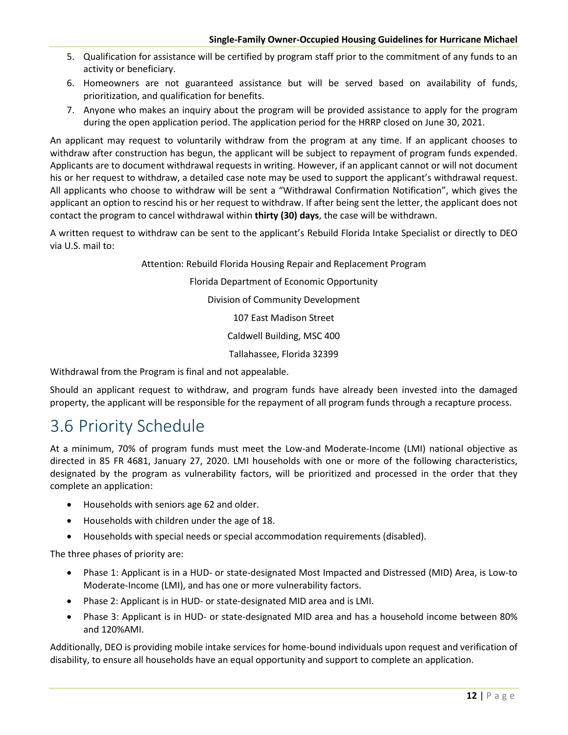- 5. Qualification for assistance will be certified by program staff prior to the commitment of any funds to an activity or beneficiary.
- 6. Homeowners are not guaranteed assistance but will be served based on availability of funds, prioritization, and qualification for benefits.
- 7. Anyone who makes an inquiry about the program will be provided assistance to apply for the program during the open application period. The application period for the HRRP closed on June 30, 2021.

An applicant may request to voluntarily withdraw from the program at any time. If an applicant chooses to withdraw after construction has begun, the applicant will be subject to repayment of program funds expended. Applicants are to document withdrawal requests in writing. However, if an applicant cannot or will not document his or her request to withdraw, a detailed case note may be used to support the applicant's withdrawal request. All applicants who choose to withdraw will be sent a "Withdrawal Confirmation Notification", which gives the applicant an option to rescind his or her request to withdraw. If after being sent the letter, the applicant does not contact the program to cancel withdrawal within **thirty (30) days**, the case will be withdrawn.

A written request to withdraw can be sent to the applicant's Rebuild Florida Intake Specialist or directly to DEO via U.S. mail to:

Attention: Rebuild Florida Housing Repair and Replacement Program

Florida Department of Economic Opportunity

Division of Community Development

107 East Madison Street

Caldwell Building, MSC 400

Tallahassee, Florida 32399

Withdrawal from the Program is final and not appealable.

Should an applicant request to withdraw, and program funds have already been invested into the damaged property, the applicant will be responsible for the repayment of all program funds through a recapture process.

### <span id="page-21-0"></span>3.6 Priority Schedule

At a minimum, 70% of program funds must meet the Low-and Moderate-Income (LMI) national objective as directed in 85 FR 4681, January 27, 2020. LMI households with one or more of the following characteristics, designated by the program as vulnerability factors, will be prioritized and processed in the order that they complete an application:

- Households with seniors age 62 and older.
- Households with children under the age of 18.
- Households with special needs or special accommodation requirements (disabled).

The three phases of priority are:

- Phase 1: Applicant is in a HUD- or state-designated Most Impacted and Distressed (MID) Area, is Low-to Moderate-Income (LMI), and has one or more vulnerability factors.
- Phase 2: Applicant is in HUD- or state-designated MID area and is LMI.
- Phase 3: Applicant is in HUD- or state-designated MID area and has a household income between 80% and 120%AMI.

Additionally, DEO is providing mobile intake services for home-bound individuals upon request and verification of disability, to ensure all households have an equal opportunity and support to complete an application.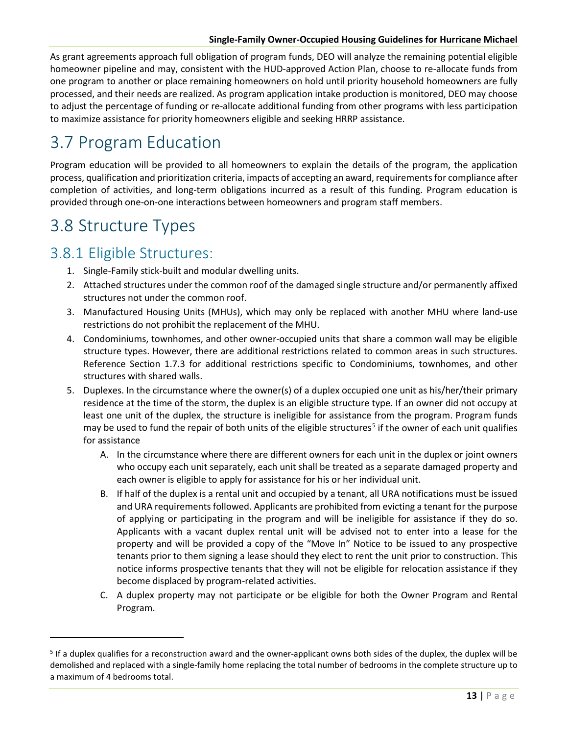As grant agreements approach full obligation of program funds, DEO will analyze the remaining potential eligible homeowner pipeline and may, consistent with the HUD-approved Action Plan, choose to re-allocate funds from one program to another or place remaining homeowners on hold until priority household homeowners are fully processed, and their needs are realized. As program application intake production is monitored, DEO may choose to adjust the percentage of funding or re-allocate additional funding from other programs with less participation to maximize assistance for priority homeowners eligible and seeking HRRP assistance.

# <span id="page-22-0"></span>3.7 Program Education

Program education will be provided to all homeowners to explain the details of the program, the application process, qualification and prioritization criteria, impacts of accepting an award, requirements for compliance after completion of activities, and long-term obligations incurred as a result of this funding. Program education is provided through one-on-one interactions between homeowners and program staff members.

### <span id="page-22-1"></span>3.8 Structure Types

### <span id="page-22-2"></span>3.8.1 Eligible Structures:

- 1. Single-Family stick-built and modular dwelling units.
- 2. Attached structures under the common roof of the damaged single structure and/or permanently affixed structures not under the common roof.
- 3. Manufactured Housing Units (MHUs), which may only be replaced with another MHU where land-use restrictions do not prohibit the replacement of the MHU.
- 4. Condominiums, townhomes, and other owner-occupied units that share a common wall may be eligible structure types. However, there are additional restrictions related to common areas in such structures. Reference Section 1.7.3 for additional restrictions specific to Condominiums, townhomes, and other structures with shared walls.
- 5. Duplexes. In the circumstance where the owner(s) of a duplex occupied one unit as his/her/their primary residence at the time of the storm, the duplex is an eligible structure type. If an owner did not occupy at least one unit of the duplex, the structure is ineligible for assistance from the program. Program funds may be used to fund the repair of both units of the eligible structures<sup>[5](#page-22-3)</sup> if the owner of each unit qualifies for assistance
	- A. In the circumstance where there are different owners for each unit in the duplex or joint owners who occupy each unit separately, each unit shall be treated as a separate damaged property and each owner is eligible to apply for assistance for his or her individual unit.
	- B. If half of the duplex is a rental unit and occupied by a tenant, all URA notifications must be issued and URA requirements followed. Applicants are prohibited from evicting a tenant for the purpose of applying or participating in the program and will be ineligible for assistance if they do so. Applicants with a vacant duplex rental unit will be advised not to enter into a lease for the property and will be provided a copy of the "Move In" Notice to be issued to any prospective tenants prior to them signing a lease should they elect to rent the unit prior to construction. This notice informs prospective tenants that they will not be eligible for relocation assistance if they become displaced by program-related activities.
	- C. A duplex property may not participate or be eligible for both the Owner Program and Rental Program.

<span id="page-22-3"></span><sup>&</sup>lt;sup>5</sup> If a duplex qualifies for a reconstruction award and the owner-applicant owns both sides of the duplex, the duplex will be demolished and replaced with a single-family home replacing the total number of bedrooms in the complete structure up to a maximum of 4 bedrooms total.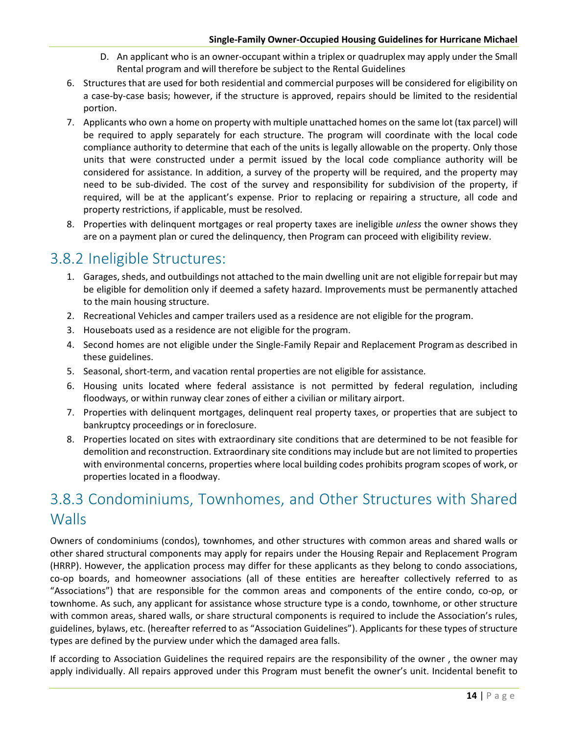- D. An applicant who is an owner-occupant within a triplex or quadruplex may apply under the Small Rental program and will therefore be subject to the Rental Guidelines
- 6. Structures that are used for both residential and commercial purposes will be considered for eligibility on a case-by-case basis; however, if the structure is approved, repairs should be limited to the residential portion.
- 7. Applicants who own a home on property with multiple unattached homes on the same lot (tax parcel) will be required to apply separately for each structure. The program will coordinate with the local code compliance authority to determine that each of the units is legally allowable on the property. Only those units that were constructed under a permit issued by the local code compliance authority will be considered for assistance. In addition, a survey of the property will be required, and the property may need to be sub-divided. The cost of the survey and responsibility for subdivision of the property, if required, will be at the applicant's expense. Prior to replacing or repairing a structure, all code and property restrictions, if applicable, must be resolved.
- 8. Properties with delinquent mortgages or real property taxes are ineligible *unless* the owner shows they are on a payment plan or cured the delinquency, then Program can proceed with eligibility review.

### <span id="page-23-0"></span>3.8.2 Ineligible Structures:

- 1. Garages, sheds, and outbuildings not attached to the main dwelling unit are not eligible forrepair but may be eligible for demolition only if deemed a safety hazard. Improvements must be permanently attached to the main housing structure.
- 2. Recreational Vehicles and camper trailers used as a residence are not eligible for the program.
- 3. Houseboats used as a residence are not eligible for the program.
- 4. Second homes are not eligible under the Single-Family Repair and Replacement Programas described in these guidelines.
- 5. Seasonal, short-term, and vacation rental properties are not eligible for assistance.
- 6. Housing units located where federal assistance is not permitted by federal regulation, including floodways, or within runway clear zones of either a civilian or military airport.
- 7. Properties with delinquent mortgages, delinquent real property taxes, or properties that are subject to bankruptcy proceedings or in foreclosure.
- 8. Properties located on sites with extraordinary site conditions that are determined to be not feasible for demolition and reconstruction. Extraordinary site conditions may include but are not limited to properties with environmental concerns, properties where local building codes prohibits program scopes of work, or properties located in a floodway.

### <span id="page-23-1"></span>3.8.3 Condominiums, Townhomes, and Other Structures with Shared **Walls**

Owners of condominiums (condos), townhomes, and other structures with common areas and shared walls or other shared structural components may apply for repairs under the Housing Repair and Replacement Program (HRRP). However, the application process may differ for these applicants as they belong to condo associations, co-op boards, and homeowner associations (all of these entities are hereafter collectively referred to as "Associations") that are responsible for the common areas and components of the entire condo, co-op, or townhome. As such, any applicant for assistance whose structure type is a condo, townhome, or other structure with common areas, shared walls, or share structural components is required to include the Association's rules, guidelines, bylaws, etc. (hereafter referred to as "Association Guidelines"). Applicants for these types of structure types are defined by the purview under which the damaged area falls.

If according to Association Guidelines the required repairs are the responsibility of the owner , the owner may apply individually. All repairs approved under this Program must benefit the owner's unit. Incidental benefit to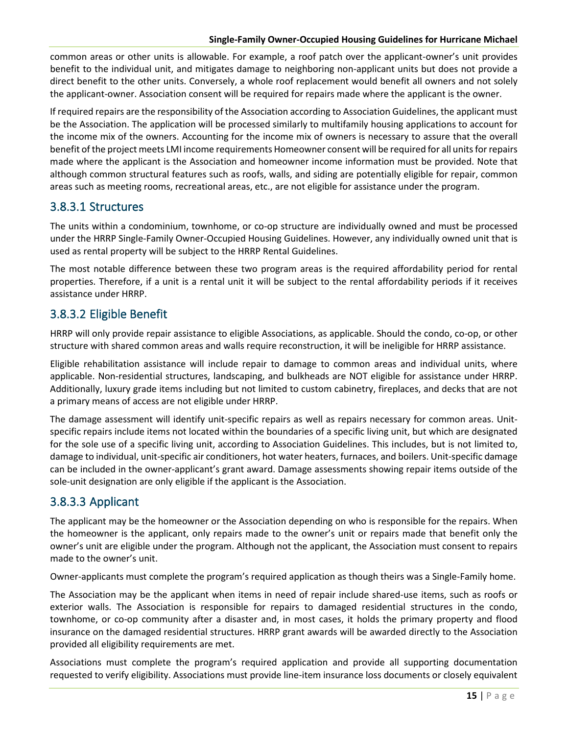common areas or other units is allowable. For example, a roof patch over the applicant-owner's unit provides benefit to the individual unit, and mitigates damage to neighboring non-applicant units but does not provide a direct benefit to the other units. Conversely, a whole roof replacement would benefit all owners and not solely the applicant-owner. Association consent will be required for repairs made where the applicant is the owner.

If required repairs are the responsibility of the Association according to Association Guidelines, the applicant must be the Association. The application will be processed similarly to multifamily housing applications to account for the income mix of the owners. Accounting for the income mix of owners is necessary to assure that the overall benefit of the project meets LMI income requirements Homeowner consent will be required for all units for repairs made where the applicant is the Association and homeowner income information must be provided. Note that although common structural features such as roofs, walls, and siding are potentially eligible for repair, common areas such as meeting rooms, recreational areas, etc., are not eligible for assistance under the program.

#### 3.8.3.1 Structures

The units within a condominium, townhome, or co-op structure are individually owned and must be processed under the HRRP Single-Family Owner-Occupied Housing Guidelines. However, any individually owned unit that is used as rental property will be subject to the HRRP Rental Guidelines.

The most notable difference between these two program areas is the required affordability period for rental properties. Therefore, if a unit is a rental unit it will be subject to the rental affordability periods if it receives assistance under HRRP.

### 3.8.3.2 Eligible Benefit

HRRP will only provide repair assistance to eligible Associations, as applicable. Should the condo, co-op, or other structure with shared common areas and walls require reconstruction, it will be ineligible for HRRP assistance.

Eligible rehabilitation assistance will include repair to damage to common areas and individual units, where applicable. Non-residential structures, landscaping, and bulkheads are NOT eligible for assistance under HRRP. Additionally, luxury grade items including but not limited to custom cabinetry, fireplaces, and decks that are not a primary means of access are not eligible under HRRP.

The damage assessment will identify unit-specific repairs as well as repairs necessary for common areas. Unitspecific repairs include items not located within the boundaries of a specific living unit, but which are designated for the sole use of a specific living unit, according to Association Guidelines. This includes, but is not limited to, damage to individual, unit-specific air conditioners, hot water heaters, furnaces, and boilers. Unit-specific damage can be included in the owner-applicant's grant award. Damage assessments showing repair items outside of the sole-unit designation are only eligible if the applicant is the Association.

### 3.8.3.3 Applicant

The applicant may be the homeowner or the Association depending on who is responsible for the repairs. When the homeowner is the applicant, only repairs made to the owner's unit or repairs made that benefit only the owner's unit are eligible under the program. Although not the applicant, the Association must consent to repairs made to the owner's unit.

Owner-applicants must complete the program's required application as though theirs was a Single-Family home.

The Association may be the applicant when items in need of repair include shared-use items, such as roofs or exterior walls. The Association is responsible for repairs to damaged residential structures in the condo, townhome, or co-op community after a disaster and, in most cases, it holds the primary property and flood insurance on the damaged residential structures. HRRP grant awards will be awarded directly to the Association provided all eligibility requirements are met.

Associations must complete the program's required application and provide all supporting documentation requested to verify eligibility. Associations must provide line-item insurance loss documents or closely equivalent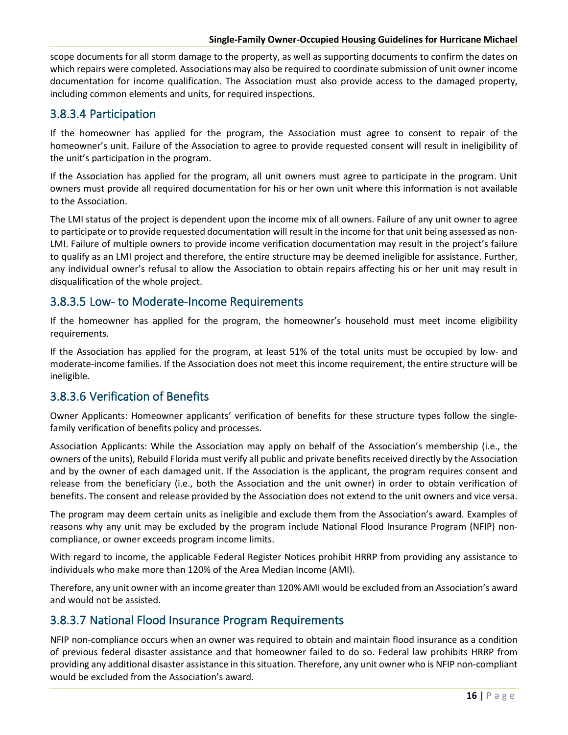scope documents for all storm damage to the property, as well as supporting documents to confirm the dates on which repairs were completed. Associations may also be required to coordinate submission of unit owner income documentation for income qualification. The Association must also provide access to the damaged property, including common elements and units, for required inspections.

### 3.8.3.4 Participation

If the homeowner has applied for the program, the Association must agree to consent to repair of the homeowner's unit. Failure of the Association to agree to provide requested consent will result in ineligibility of the unit's participation in the program.

If the Association has applied for the program, all unit owners must agree to participate in the program. Unit owners must provide all required documentation for his or her own unit where this information is not available to the Association.

The LMI status of the project is dependent upon the income mix of all owners. Failure of any unit owner to agree to participate or to provide requested documentation will result in the income for that unit being assessed as non-LMI. Failure of multiple owners to provide income verification documentation may result in the project's failure to qualify as an LMI project and therefore, the entire structure may be deemed ineligible for assistance. Further, any individual owner's refusal to allow the Association to obtain repairs affecting his or her unit may result in disqualification of the whole project.

### 3.8.3.5 Low- to Moderate-Income Requirements

If the homeowner has applied for the program, the homeowner's household must meet income eligibility requirements.

If the Association has applied for the program, at least 51% of the total units must be occupied by low- and moderate-income families. If the Association does not meet this income requirement, the entire structure will be ineligible.

### 3.8.3.6 Verification of Benefits

Owner Applicants: Homeowner applicants' verification of benefits for these structure types follow the singlefamily verification of benefits policy and processes.

Association Applicants: While the Association may apply on behalf of the Association's membership (i.e., the owners of the units), Rebuild Florida must verify all public and private benefits received directly by the Association and by the owner of each damaged unit. If the Association is the applicant, the program requires consent and release from the beneficiary (i.e., both the Association and the unit owner) in order to obtain verification of benefits. The consent and release provided by the Association does not extend to the unit owners and vice versa.

The program may deem certain units as ineligible and exclude them from the Association's award. Examples of reasons why any unit may be excluded by the program include National Flood Insurance Program (NFIP) noncompliance, or owner exceeds program income limits.

With regard to income, the applicable Federal Register Notices prohibit HRRP from providing any assistance to individuals who make more than 120% of the Area Median Income (AMI).

Therefore, any unit owner with an income greater than 120% AMI would be excluded from an Association's award and would not be assisted.

### 3.8.3.7 National Flood Insurance Program Requirements

NFIP non-compliance occurs when an owner was required to obtain and maintain flood insurance as a condition of previous federal disaster assistance and that homeowner failed to do so. Federal law prohibits HRRP from providing any additional disaster assistance in this situation. Therefore, any unit owner who is NFIP non-compliant would be excluded from the Association's award.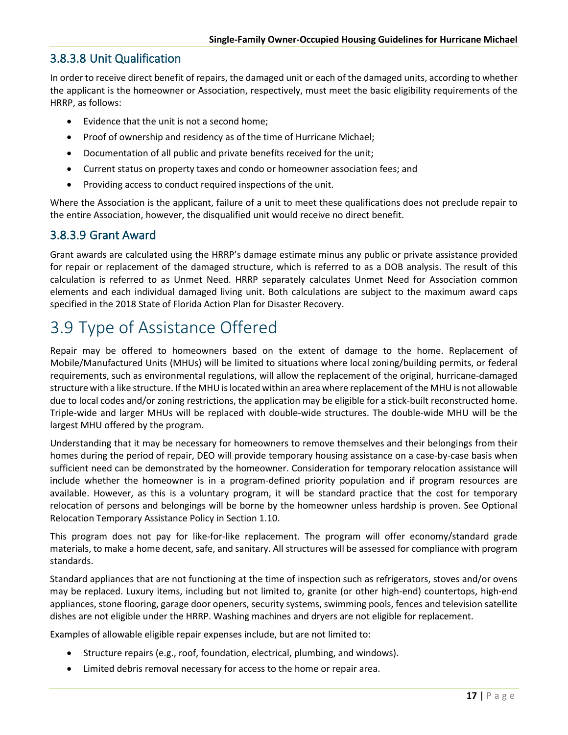### 3.8.3.8 Unit Qualification

In order to receive direct benefit of repairs, the damaged unit or each of the damaged units, according to whether the applicant is the homeowner or Association, respectively, must meet the basic eligibility requirements of the HRRP, as follows:

- Evidence that the unit is not a second home;
- Proof of ownership and residency as of the time of Hurricane Michael;
- Documentation of all public and private benefits received for the unit;
- Current status on property taxes and condo or homeowner association fees; and
- Providing access to conduct required inspections of the unit.

Where the Association is the applicant, failure of a unit to meet these qualifications does not preclude repair to the entire Association, however, the disqualified unit would receive no direct benefit.

#### 3.8.3.9 Grant Award

Grant awards are calculated using the HRRP's damage estimate minus any public or private assistance provided for repair or replacement of the damaged structure, which is referred to as a DOB analysis. The result of this calculation is referred to as Unmet Need. HRRP separately calculates Unmet Need for Association common elements and each individual damaged living unit. Both calculations are subject to the maximum award caps specified in the 2018 State of Florida Action Plan for Disaster Recovery.

### <span id="page-26-0"></span>3.9 Type of Assistance Offered

Repair may be offered to homeowners based on the extent of damage to the home. Replacement of Mobile/Manufactured Units (MHUs) will be limited to situations where local zoning/building permits, or federal requirements, such as environmental regulations, will allow the replacement of the original, hurricane-damaged structure with a like structure. If the MHU is located within an area where replacement of the MHU is not allowable due to local codes and/or zoning restrictions, the application may be eligible for a stick-built reconstructed home. Triple-wide and larger MHUs will be replaced with double-wide structures. The double-wide MHU will be the largest MHU offered by the program.

Understanding that it may be necessary for homeowners to remove themselves and their belongings from their homes during the period of repair, DEO will provide temporary housing assistance on a case-by-case basis when sufficient need can be demonstrated by the homeowner. Consideration for temporary relocation assistance will include whether the homeowner is in a program-defined priority population and if program resources are available. However, as this is a voluntary program, it will be standard practice that the cost for temporary relocation of persons and belongings will be borne by the homeowner unless hardship is proven. See Optional Relocation Temporary Assistance Policy in Section 1.10.

This program does not pay for like-for-like replacement. The program will offer economy/standard grade materials, to make a home decent, safe, and sanitary. All structures will be assessed for compliance with program standards.

Standard appliances that are not functioning at the time of inspection such as refrigerators, stoves and/or ovens may be replaced. Luxury items, including but not limited to, granite (or other high-end) countertops, high-end appliances, stone flooring, garage door openers, security systems, swimming pools, fences and television satellite dishes are not eligible under the HRRP. Washing machines and dryers are not eligible for replacement.

Examples of allowable eligible repair expenses include, but are not limited to:

- Structure repairs (e.g., roof, foundation, electrical, plumbing, and windows).
- Limited debris removal necessary for access to the home or repair area.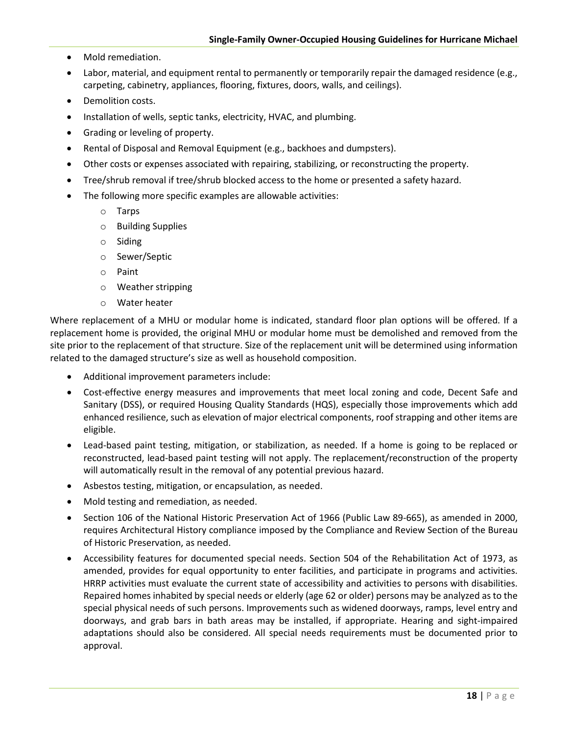- Mold remediation.
- Labor, material, and equipment rental to permanently or temporarily repair the damaged residence (e.g., carpeting, cabinetry, appliances, flooring, fixtures, doors, walls, and ceilings).
- Demolition costs.
- Installation of wells, septic tanks, electricity, HVAC, and plumbing.
- Grading or leveling of property.
- Rental of Disposal and Removal Equipment (e.g., backhoes and dumpsters).
- Other costs or expenses associated with repairing, stabilizing, or reconstructing the property.
- Tree/shrub removal if tree/shrub blocked access to the home or presented a safety hazard.
- The following more specific examples are allowable activities:
	- o Tarps
	- o Building Supplies
	- o Siding
	- o Sewer/Septic
	- o Paint
	- o Weather stripping
	- o Water heater

Where replacement of a MHU or modular home is indicated, standard floor plan options will be offered. If a replacement home is provided, the original MHU or modular home must be demolished and removed from the site prior to the replacement of that structure. Size of the replacement unit will be determined using information related to the damaged structure's size as well as household composition.

- Additional improvement parameters include:
- Cost-effective energy measures and improvements that meet local zoning and code, Decent Safe and Sanitary (DSS), or required Housing Quality Standards (HQS), especially those improvements which add enhanced resilience, such as elevation of major electrical components, roof strapping and other items are eligible.
- Lead-based paint testing, mitigation, or stabilization, as needed. If a home is going to be replaced or reconstructed, lead-based paint testing will not apply. The replacement/reconstruction of the property will automatically result in the removal of any potential previous hazard.
- Asbestos testing, mitigation, or encapsulation, as needed.
- Mold testing and remediation, as needed.
- [Section 106 of the National Historic Preservation Act of 1966 \(Public Law 89-665\), a](https://www.fema.gov/media-library-data/20130726-1623-20490-5704/nhpa.pdf)s amended in 2000, requires Architectural History compliance imposed by the Compliance and Review Section of the Bureau of Historic Preservation, as needed.
- Accessibility features for documented special needs. Section 504 of the Rehabilitation Act of 1973, as amended, provides for equal opportunity to enter facilities, and participate in programs and activities. HRRP activities must evaluate the current state of accessibility and activities to persons with disabilities. Repaired homes inhabited by special needs or elderly (age 62 or older) persons may be analyzed as to the special physical needs of such persons. Improvements such as widened doorways, ramps, level entry and doorways, and grab bars in bath areas may be installed, if appropriate. Hearing and sight-impaired adaptations should also be considered. All special needs requirements must be documented prior to approval.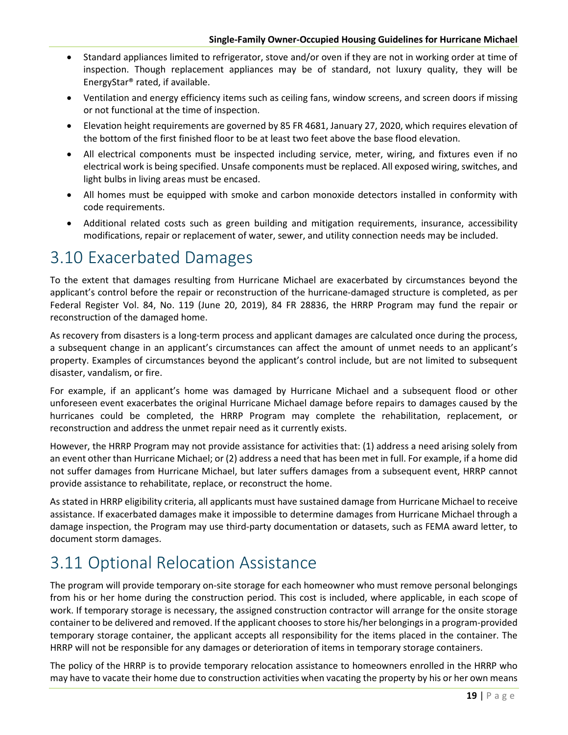- Standard appliances limited to refrigerator, stove and/or oven if they are not in working order at time of inspection. Though replacement appliances may be of standard, not luxury quality, they will be EnergyStar® rated, if available.
- Ventilation and energy efficiency items such as ceiling fans, window screens, and screen doors if missing or not functional at the time of inspection.
- Elevation height requirements are governed by 85 FR 4681, January 27, 2020, which requires elevation of the bottom of the first finished floor to be at least two feet above the base flood elevation.
- All electrical components must be inspected including service, meter, wiring, and fixtures even if no electrical work is being specified. Unsafe components must be replaced. All exposed wiring, switches, and light bulbs in living areas must be encased.
- All homes must be equipped with smoke and carbon monoxide detectors installed in conformity with code requirements.
- Additional related costs such as green building and mitigation requirements, insurance, accessibility modifications, repair or replacement of water, sewer, and utility connection needs may be included.

### <span id="page-28-0"></span>3.10 Exacerbated Damages

To the extent that damages resulting from Hurricane Michael are exacerbated by circumstances beyond the applicant's control before the repair or reconstruction of the hurricane-damaged structure is completed, as per Federal Register Vol. 84, No. 119 (June 20, 2019), 84 FR 28836, the HRRP Program may fund the repair or reconstruction of the damaged home.

As recovery from disasters is a long-term process and applicant damages are calculated once during the process, a subsequent change in an applicant's circumstances can affect the amount of unmet needs to an applicant's property. Examples of circumstances beyond the applicant's control include, but are not limited to subsequent disaster, vandalism, or fire.

For example, if an applicant's home was damaged by Hurricane Michael and a subsequent flood or other unforeseen event exacerbates the original Hurricane Michael damage before repairs to damages caused by the hurricanes could be completed, the HRRP Program may complete the rehabilitation, replacement, or reconstruction and address the unmet repair need as it currently exists.

However, the HRRP Program may not provide assistance for activities that: (1) address a need arising solely from an event other than Hurricane Michael; or (2) address a need that has been met in full. For example, if a home did not suffer damages from Hurricane Michael, but later suffers damages from a subsequent event, HRRP cannot provide assistance to rehabilitate, replace, or reconstruct the home.

As stated in HRRP eligibility criteria, all applicants must have sustained damage from Hurricane Michael to receive assistance. If exacerbated damages make it impossible to determine damages from Hurricane Michael through a damage inspection, the Program may use third-party documentation or datasets, such as FEMA award letter, to document storm damages.

# <span id="page-28-1"></span>3.11 Optional Relocation Assistance

The program will provide temporary on-site storage for each homeowner who must remove personal belongings from his or her home during the construction period. This cost is included, where applicable, in each scope of work. If temporary storage is necessary, the assigned construction contractor will arrange for the onsite storage container to be delivered and removed. If the applicant chooses to store his/her belongings in a program-provided temporary storage container, the applicant accepts all responsibility for the items placed in the container. The HRRP will not be responsible for any damages or deterioration of items in temporary storage containers.

The policy of the HRRP is to provide temporary relocation assistance to homeowners enrolled in the HRRP who may have to vacate their home due to construction activities when vacating the property by his or her own means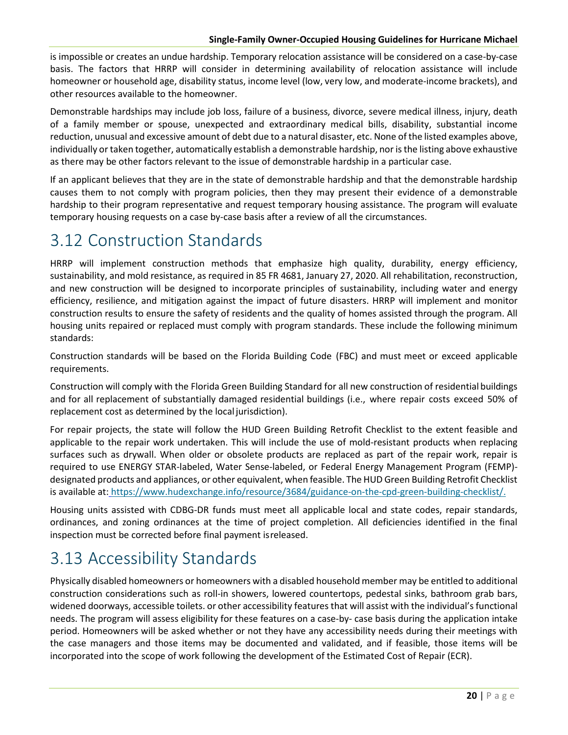is impossible or creates an undue hardship. Temporary relocation assistance will be considered on a case-by-case basis. The factors that HRRP will consider in determining availability of relocation assistance will include homeowner or household age, disability status, income level (low, very low, and moderate-income brackets), and other resources available to the homeowner.

Demonstrable hardships may include job loss, failure of a business, divorce, severe medical illness, injury, death of a family member or spouse, unexpected and extraordinary medical bills, disability, substantial income reduction, unusual and excessive amount of debt due to a natural disaster, etc. None of the listed examples above, individually or taken together, automatically establish a demonstrable hardship, nor is the listing above exhaustive as there may be other factors relevant to the issue of demonstrable hardship in a particular case.

If an applicant believes that they are in the state of demonstrable hardship and that the demonstrable hardship causes them to not comply with program policies, then they may present their evidence of a demonstrable hardship to their program representative and request temporary housing assistance. The program will evaluate temporary housing requests on a case by-case basis after a review of all the circumstances.

# <span id="page-29-0"></span>3.12 Construction Standards

HRRP will implement construction methods that emphasize high quality, durability, energy efficiency, sustainability, and mold resistance, as required in 85 FR 4681, January 27, 2020. All rehabilitation, reconstruction, and new construction will be designed to incorporate principles of sustainability, including water and energy efficiency, resilience, and mitigation against the impact of future disasters. HRRP will implement and monitor construction results to ensure the safety of residents and the quality of homes assisted through the program. All housing units repaired or replaced must comply with program standards. These include the following minimum standards:

Construction standards will be based on the Florida Building Code (FBC) and must meet or exceed applicable requirements.

Construction will comply with the Florida Green Building Standard for all new construction of residential buildings and for all replacement of substantially damaged residential buildings (i.e., where repair costs exceed 50% of replacement cost as determined by the local jurisdiction).

For repair projects, the state will follow the HUD Green Building Retrofit Checklist to the extent feasible and applicable to the repair work undertaken. This will include the use of mold-resistant products when replacing surfaces such as drywall. When older or obsolete products are replaced as part of the repair work, repair is required to use ENERGY STAR-labeled, Water Sense-labeled, or Federal Energy Management Program (FEMP) designated products and appliances, or other equivalent, when feasible. The HUD Green Building Retrofit Checklist is available at: [https://www.hudexchange.info/resource/3684/guidance-on-the-cpd-green-building-checklist/.](https://www.hudexchange.info/resource/3684/guidance-on-the-cpd-green-building-checklist/)

Housing units assisted with CDBG-DR funds must meet all applicable local and state codes, repair standards, ordinances, and zoning ordinances at the time of project completion. All deficiencies identified in the final inspection must be corrected before final payment isreleased.

# <span id="page-29-1"></span>3.13 Accessibility Standards

Physically disabled homeowners or homeowners with a disabled household member may be entitled to additional construction considerations such as roll-in showers, lowered countertops, pedestal sinks, bathroom grab bars, widened doorways, accessible toilets. or other accessibility features that will assist with the individual's functional needs. The program will assess eligibility for these features on a case-by- case basis during the application intake period. Homeowners will be asked whether or not they have any accessibility needs during their meetings with the case managers and those items may be documented and validated, and if feasible, those items will be incorporated into the scope of work following the development of the Estimated Cost of Repair (ECR).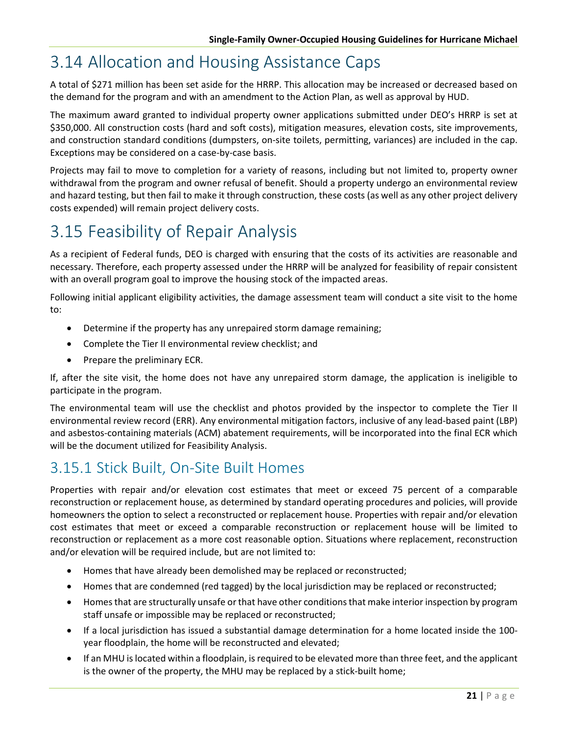### <span id="page-30-0"></span>3.14 Allocation and Housing Assistance Caps

A total of \$271 million has been set aside for the HRRP. This allocation may be increased or decreased based on the demand for the program and with an amendment to the Action Plan, as well as approval by HUD.

The maximum award granted to individual property owner applications submitted under DEO's HRRP is set at \$350,000. All construction costs (hard and soft costs), mitigation measures, elevation costs, site improvements, and construction standard conditions (dumpsters, on-site toilets, permitting, variances) are included in the cap. Exceptions may be considered on a case-by-case basis.

Projects may fail to move to completion for a variety of reasons, including but not limited to, property owner withdrawal from the program and owner refusal of benefit. Should a property undergo an environmental review and hazard testing, but then fail to make it through construction, these costs (as well as any other project delivery costs expended) will remain project delivery costs.

# <span id="page-30-1"></span>3.15 Feasibility of Repair Analysis

As a recipient of Federal funds, DEO is charged with ensuring that the costs of its activities are reasonable and necessary. Therefore, each property assessed under the HRRP will be analyzed for feasibility of repair consistent with an overall program goal to improve the housing stock of the impacted areas.

Following initial applicant eligibility activities, the damage assessment team will conduct a site visit to the home to:

- Determine if the property has any unrepaired storm damage remaining;
- Complete the Tier II environmental review checklist; and
- Prepare the preliminary ECR.

If, after the site visit, the home does not have any unrepaired storm damage, the application is ineligible to participate in the program.

The environmental team will use the checklist and photos provided by the inspector to complete the Tier II environmental review record (ERR). Any environmental mitigation factors, inclusive of any lead-based paint (LBP) and asbestos-containing materials (ACM) abatement requirements, will be incorporated into the final ECR which will be the document utilized for Feasibility Analysis.

### <span id="page-30-2"></span>3.15.1 Stick Built, On-Site Built Homes

Properties with repair and/or elevation cost estimates that meet or exceed 75 percent of a comparable reconstruction or replacement house, as determined by standard operating procedures and policies, will provide homeowners the option to select a reconstructed or replacement house. Properties with repair and/or elevation cost estimates that meet or exceed a comparable reconstruction or replacement house will be limited to reconstruction or replacement as a more cost reasonable option. Situations where replacement, reconstruction and/or elevation will be required include, but are not limited to:

- Homes that have already been demolished may be replaced or reconstructed;
- Homes that are condemned (red tagged) by the local jurisdiction may be replaced or reconstructed;
- Homes that are structurally unsafe or that have other conditions that make interior inspection by program staff unsafe or impossible may be replaced or reconstructed;
- If a local jurisdiction has issued a substantial damage determination for a home located inside the 100 year floodplain, the home will be reconstructed and elevated;
- If an MHU is located within a floodplain, is required to be elevated more than three feet, and the applicant is the owner of the property, the MHU may be replaced by a stick-built home;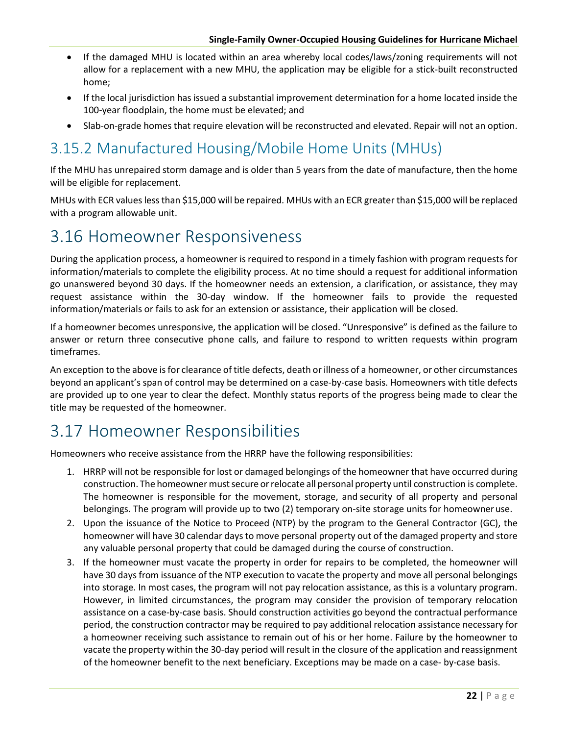- If the damaged MHU is located within an area whereby local codes/laws/zoning requirements will not allow for a replacement with a new MHU, the application may be eligible for a stick-built reconstructed home;
- If the local jurisdiction has issued a substantial improvement determination for a home located inside the 100-year floodplain, the home must be elevated; and
- Slab-on-grade homes that require elevation will be reconstructed and elevated. Repair will not an option.

### <span id="page-31-0"></span>3.15.2 Manufactured Housing/Mobile Home Units (MHUs)

If the MHU has unrepaired storm damage and is older than 5 years from the date of manufacture, then the home will be eligible for replacement.

MHUs with ECR values less than \$15,000 will be repaired. MHUs with an ECR greater than \$15,000 will be replaced with a program allowable unit.

### <span id="page-31-1"></span>3.16 Homeowner Responsiveness

During the application process, a homeowner is required to respond in a timely fashion with program requests for information/materials to complete the eligibility process. At no time should a request for additional information go unanswered beyond 30 days. If the homeowner needs an extension, a clarification, or assistance, they may request assistance within the 30-day window. If the homeowner fails to provide the requested information/materials or fails to ask for an extension or assistance, their application will be closed.

If a homeowner becomes unresponsive, the application will be closed. "Unresponsive" is defined as the failure to answer or return three consecutive phone calls, and failure to respond to written requests within program timeframes.

An exception to the above is for clearance of title defects, death or illness of a homeowner, or other circumstances beyond an applicant's span of control may be determined on a case-by-case basis. Homeowners with title defects are provided up to one year to clear the defect. Monthly status reports of the progress being made to clear the title may be requested of the homeowner.

### <span id="page-31-2"></span>3.17 Homeowner Responsibilities

Homeowners who receive assistance from the HRRP have the following responsibilities:

- 1. HRRP will not be responsible for lost or damaged belongings of the homeowner that have occurred during construction. The homeowner must secure or relocate all personal property until construction is complete. The homeowner is responsible for the movement, storage, and security of all property and personal belongings. The program will provide up to two (2) temporary on-site storage units for homeowneruse.
- 2. Upon the issuance of the Notice to Proceed (NTP) by the program to the General Contractor (GC), the homeowner will have 30 calendar days to move personal property out of the damaged property and store any valuable personal property that could be damaged during the course of construction.
- 3. If the homeowner must vacate the property in order for repairs to be completed, the homeowner will have 30 days from issuance of the NTP execution to vacate the property and move all personal belongings into storage. In most cases, the program will not pay relocation assistance, as this is a voluntary program. However, in limited circumstances, the program may consider the provision of temporary relocation assistance on a case-by-case basis. Should construction activities go beyond the contractual performance period, the construction contractor may be required to pay additional relocation assistance necessary for a homeowner receiving such assistance to remain out of his or her home. Failure by the homeowner to vacate the property within the 30-day period will result in the closure of the application and reassignment of the homeowner benefit to the next beneficiary. Exceptions may be made on a case- by-case basis.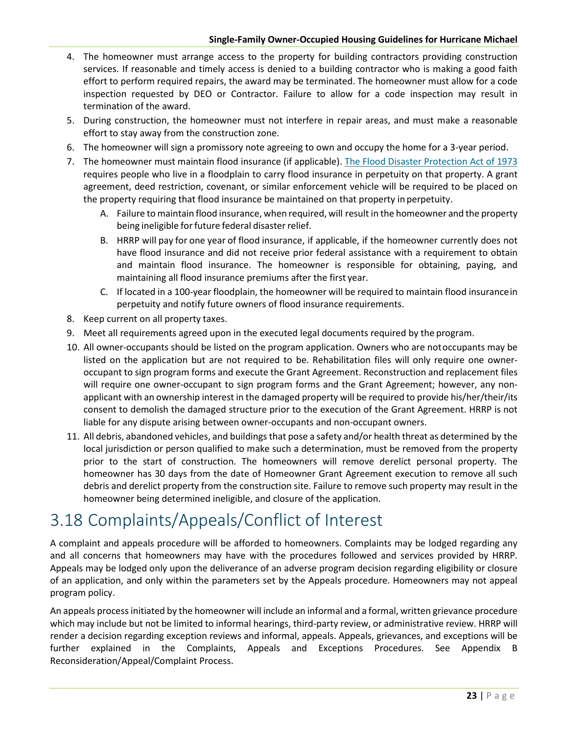- 4. The homeowner must arrange access to the property for building contractors providing construction services. If reasonable and timely access is denied to a building contractor who is making a good faith effort to perform required repairs, the award may be terminated. The homeowner must allow for a code inspection requested by DEO or Contractor. Failure to allow for a code inspection may result in termination of the award.
- 5. During construction, the homeowner must not interfere in repair areas, and must make a reasonable effort to stay away from the construction zone.
- 6. The homeowner will sign a promissory note agreeing to own and occupy the home for a 3-year period.
- 7. The homeowner must maintain flood insurance (if applicable). [The Flood Disaster Protection Act of 1973](https://www.fema.gov/media-library-data/20130726-1545-20490-9247/frm_acts.pdf) requires people who live in a floodplain to carry flood insurance in perpetuity on that property. A grant agreement, deed restriction, covenant, or similar enforcement vehicle will be required to be placed on the property requiring that flood insurance be maintained on that property in perpetuity.
	- A. Failure to maintain flood insurance, when required, will result in the homeowner and the property being ineligible for future federal disaster relief.
	- B. HRRP will pay for one year of flood insurance, if applicable, if the homeowner currently does not have flood insurance and did not receive prior federal assistance with a requirement to obtain and maintain flood insurance. The homeowner is responsible for obtaining, paying, and maintaining all flood insurance premiums after the first year.
	- C. If located in a 100-year floodplain, the homeowner will be required to maintain flood insurancein perpetuity and notify future owners of flood insurance requirements.
- 8. Keep current on all property taxes.
- 9. Meet all requirements agreed upon in the executed legal documents required by the program.
- 10. All owner-occupants should be listed on the program application. Owners who are notoccupants may be listed on the application but are not required to be. Rehabilitation files will only require one owneroccupant to sign program forms and execute the Grant Agreement. Reconstruction and replacement files will require one owner-occupant to sign program forms and the Grant Agreement; however, any nonapplicant with an ownership interest in the damaged property will be required to provide his/her/their/its consent to demolish the damaged structure prior to the execution of the Grant Agreement. HRRP is not liable for any dispute arising between owner-occupants and non-occupant owners.
- 11. All debris, abandoned vehicles, and buildings that pose a safety and/or health threat as determined by the local jurisdiction or person qualified to make such a determination, must be removed from the property prior to the start of construction. The homeowners will remove derelict personal property. The homeowner has 30 days from the date of Homeowner Grant Agreement execution to remove all such debris and derelict property from the construction site. Failure to remove such property may result in the homeowner being determined ineligible, and closure of the application.

# <span id="page-32-0"></span>3.18 Complaints/Appeals/Conflict of Interest

A complaint and appeals procedure will be afforded to homeowners. Complaints may be lodged regarding any and all concerns that homeowners may have with the procedures followed and services provided by HRRP. Appeals may be lodged only upon the deliverance of an adverse program decision regarding eligibility or closure of an application, and only within the parameters set by the Appeals procedure. Homeowners may not appeal program policy.

An appeals process initiated by the homeowner will include an informal and a formal, written grievance procedure which may include but not be limited to informal hearings, third-party review, or administrative review. HRRP will render a decision regarding exception reviews and informal, appeals. Appeals, grievances, and exceptions will be further explained in the Complaints, Appeals and Exceptions Procedures. See Appendix B Reconsideration/Appeal/Complaint Process.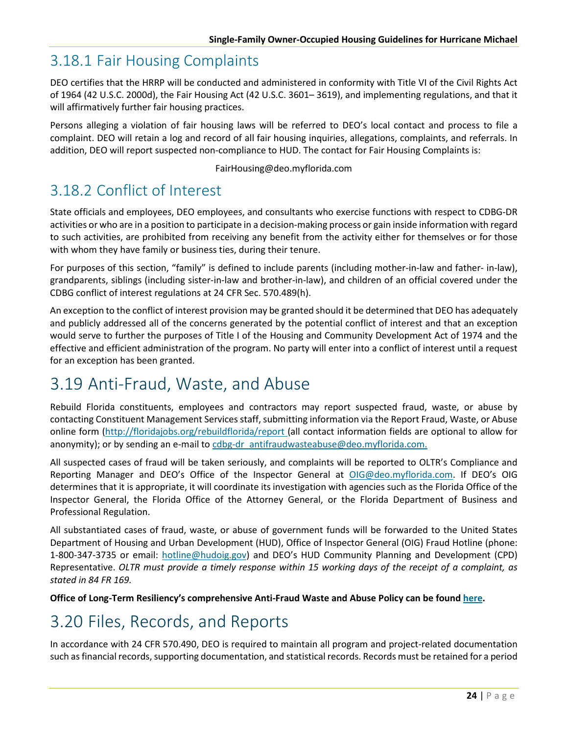### <span id="page-33-0"></span>3.18.1 Fair Housing Complaints

DEO certifies that the HRRP will be conducted and administered in conformity with Title [VI of the Civil](https://www.justice.gov/crt/fcs/TitleVI) [Rights Act](https://www.justice.gov/crt/fcs/TitleVI)  [of 1964 \(42 U.S.C. 2000d\), t](https://www.justice.gov/crt/fcs/TitleVI)he [Fair Housing Act \(42 U.S.C. 3601–](https://www.justice.gov/crt/fair-housing-act-2) 3619), and implementing regulations, and that it will affirmatively further fair housing practices.

Persons alleging a violation of fair housing laws will be referred to DEO's local contact and process to file a complaint. DEO will retain a log and record of all fair housing inquiries, allegations, complaints, and referrals. In addition, DEO will report suspected non-compliance to HUD. The contact for Fair Housing Complaints is:

#### [FairHousing@deo.myflorida.com](mailto:FairHousing@deo.myflorida.com)

### <span id="page-33-1"></span>3.18.2 Conflict of Interest

State officials and employees, DEO employees, and consultants who exercise functions with respect to CDBG-DR activities or who are in a position to participate in a decision-making process or gain inside information with regard to such activities, are prohibited from receiving any benefit from the activity either for themselves or for those with whom they have family or business ties, during their tenure.

For purposes of this section, "family" is defined to include parents (including mother-in-law and father- in-law), grandparents, siblings (including sister-in-law and brother-in-law), and children of an official covered under the CDBG conflict of interest regulations a[t 24 CFR Sec. 570.489\(h\)](https://www.govinfo.gov/app/details/CFR-2012-title24-vol3/CFR-2012-title24-vol3-sec570-489).

An exception to the conflict of interest provision may be granted should it be determined that DEO has adequately and publicly addressed all of the concerns generated by the potential conflict of interest and that an exception would serve to further the purposes of [Title I of the Housing and Community](https://files.hudexchange.info/resources/documents/Housing-and-Community-Development-Act-1974.pdf) [Development Act of 1974 a](https://files.hudexchange.info/resources/documents/Housing-and-Community-Development-Act-1974.pdf)nd the effective and efficient administration of the program. No party will enter into a conflict of interest until a request for an exception has been granted.

# <span id="page-33-2"></span>3.19 Anti-Fraud, Waste, and Abuse

Rebuild Florida constituents, employees and contractors may report suspected fraud, waste, or abuse by contacting Constituent Management Services staff, submitting information via the Report Fraud, Waste, or Abuse online form [\(http://floridajobs.org/rebuildflorida/report \(](http://floridajobs.org/rebuildflorida/report)all contact information fields are optional to allow for anonymity); or by sending an e-mail to cdbg-dr\_antifraudwasteabuse@deo.myflorida.com.

All suspected cases of fraud will be taken seriously, and complaints will be reported to OLTR's Compliance and Reporting Manager and DEO's Office of the Inspector General at [OIG@deo.myflorida.com.](mailto:OIG@deo.myflorida.com) If DEO's OIG determines that it is appropriate, it will coordinate its investigation with agencies such as the Florida Office of the Inspector General, the Florida Office of the Attorney General, or the Florida Department of Business and Professional Regulation.

All substantiated cases of fraud, waste, or abuse of government funds will be forwarded to the United States Department of Housing and Urban Development (HUD), Office of Inspector General (OIG) Fraud Hotline (phone: 1-800-347-3735 or email: [hotline@hudoig.gov\)](mailto:hotline@hudoig.gov) and DEO's HUD Community Planning and Development (CPD) Representative. *OLTR must provide a timely response within 15 working days of the receipt of a complaint, as stated in 84 FR 169.*

**Office of Long-Term Resiliency's comprehensive Anti-Fraud Waste and Abuse Policy can be found [here.](http://www.floridajobs.org/docs/default-source/office-of-disaster-recovery/office-of-disaster-recovery-main-page/afwa-policy_updated-3-30-21.pdf?sfvrsn=20e441b0_8)**

# <span id="page-33-3"></span>3.20 Files, Records, and Reports

In accordance with [24 CFR 570.490, D](https://www.govinfo.gov/content/pkg/CFR-2013-title24-vol3/pdf/CFR-2013-title24-vol3-sec570-490.pdf)EO is required to maintain all program and project-related documentation such as financial records, supporting documentation, and statistical records. Records must be retained for a period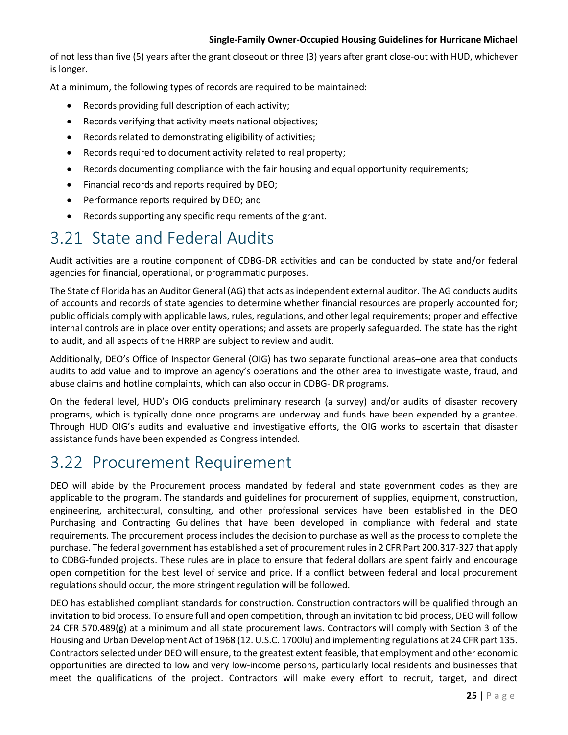of not less than five (5) years after the grant closeout or three (3) years after grant close-out with HUD, whichever is longer.

At a minimum, the following types of records are required to be maintained:

- Records providing full description of each activity;
- Records verifying that activity meets national objectives;
- Records related to demonstrating eligibility of activities;
- Records required to document activity related to real property;
- Records documenting compliance with the fair housing and equal opportunity requirements;
- Financial records and reports required by DEO;
- Performance reports required by DEO; and
- <span id="page-34-0"></span>• Records supporting any specific requirements of the grant.

# 3.21 State and Federal Audits

Audit activities are a routine component of CDBG-DR activities and can be conducted by state and/or federal agencies for financial, operational, or programmatic purposes.

The State of Florida has an Auditor General (AG) that acts as independent external auditor. The AG conducts audits of accounts and records of state agencies to determine whether financial resources are properly accounted for; public officials comply with applicable laws, rules, regulations, and other legal requirements; proper and effective internal controls are in place over entity operations; and assets are properly safeguarded. The state has the right to audit, and all aspects of the HRRP are subject to review and audit.

Additionally, DEO's Office of Inspector General (OIG) has two separate functional areas–one area that conducts audits to add value and to improve an agency's operations and the other area to investigate waste, fraud, and abuse claims and hotline complaints, which can also occur in CDBG- DR programs.

On the federal level, HUD's OIG conducts preliminary research (a survey) and/or audits of disaster recovery programs, which is typically done once programs are underway and funds have been expended by a grantee. Through HUD OIG's audits and evaluative and investigative efforts, the OIG works to ascertain that disaster assistance funds have been expended as Congress intended.

### <span id="page-34-1"></span>3.22 Procurement Requirement

DEO will abide by the Procurement process mandated by federal and state government codes as they are applicable to the program. The standards and guidelines for procurement of supplies, equipment, construction, engineering, architectural, consulting, and other professional services have been established in the DEO Purchasing and Contracting Guidelines that have been developed in compliance with federal and state requirements. The procurement process includes the decision to purchase as well as the process to complete the purchase. The federal government has established a set of procurement rules in 2 CFR Part 200.317-327 that apply to CDBG-funded projects. These rules are in place to ensure that federal dollars are spent fairly and encourage open competition for the best level of service and price. If a conflict between federal and local procurement regulations should occur, the more stringent regulation will be followed.

DEO has established compliant standards for construction. Construction contractors will be qualified through an invitation to bid process. To ensure full and open competition, through an invitation to bid process, DEO will follow 24 CFR 570.489(g) at a minimum and all state procurement laws. Contractors will comply with Section 3 of the Housing and Urban Development Act of 1968 (12. U.S.C. 1700lu) and implementing regulations at 24 CFR part 135. Contractors selected under DEO will ensure, to the greatest extent feasible, that employment and other economic opportunities are directed to low and very low-income persons, particularly local residents and businesses that meet the qualifications of the project. Contractors will make every effort to recruit, target, and direct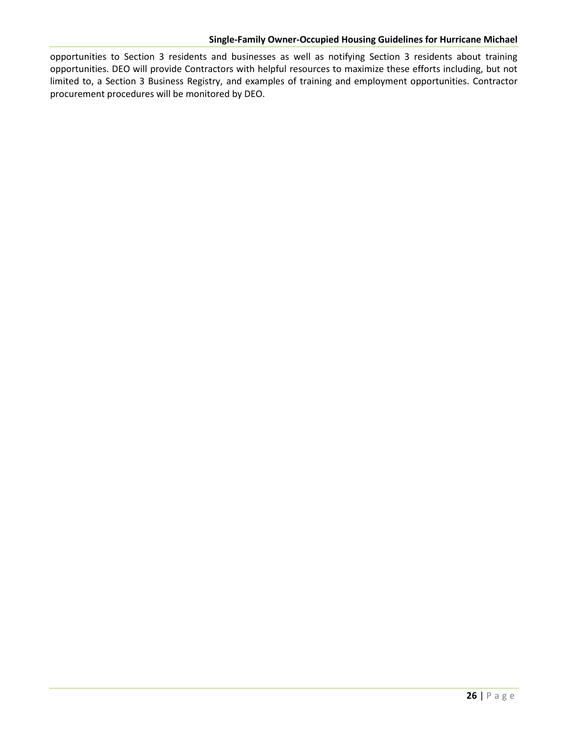opportunities to Section 3 residents and businesses as well as notifying Section 3 residents about training opportunities. DEO will provide Contractors with helpful resources to maximize these efforts including, but not limited to, a Section 3 Business Registry, and examples of training and employment opportunities. Contractor procurement procedures will be monitored by DEO.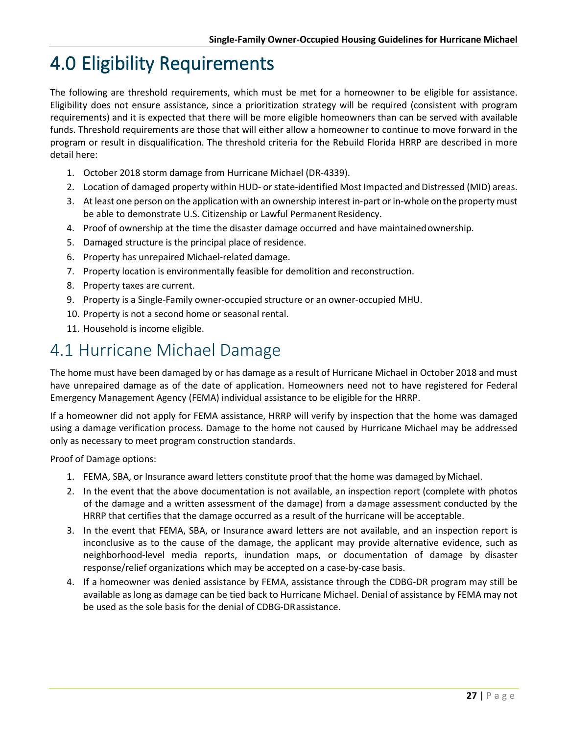# 4.0 Eligibility Requirements

The following are threshold requirements, which must be met for a homeowner to be eligible for assistance. Eligibility does not ensure assistance, since a prioritization strategy will be required (consistent with program requirements) and it is expected that there will be more eligible homeowners than can be served with available funds. Threshold requirements are those that will either allow a homeowner to continue to move forward in the program or result in disqualification. The threshold criteria for the Rebuild Florida HRRP are described in more detail here:

- 1. October 2018 storm damage from Hurricane Michael (DR-4339).
- 2. Location of damaged property within HUD- or state-identified Most Impacted and Distressed (MID) areas.
- 3. At least one person on the application with an ownership interest in-part or in-whole onthe property must be able to demonstrate U.S. Citizenship or Lawful Permanent Residency.
- 4. Proof of ownership at the time the disaster damage occurred and have maintainedownership.
- 5. Damaged structure is the principal place of residence.
- 6. Property has unrepaired Michael-related damage.
- 7. Property location is environmentally feasible for demolition and reconstruction.
- 8. Property taxes are current.
- 9. Property is a Single-Family owner-occupied structure or an owner-occupied MHU.
- 10. Property is not a second home or seasonal rental.
- 11. Household is income eligible.

#### 4.1 Hurricane Michael Damage

The home must have been damaged by or has damage as a result of Hurricane Michael in October 2018 and must have unrepaired damage as of the date of application. Homeowners need not to have registered for Federal Emergency Management Agency (FEMA) individual assistance to be eligible for the HRRP.

If a homeowner did not apply for FEMA assistance, HRRP will verify by inspection that the home was damaged using a damage verification process. Damage to the home not caused by Hurricane Michael may be addressed only as necessary to meet program construction standards.

Proof of Damage options:

- 1. FEMA, SBA, or Insurance award letters constitute proof that the home was damaged byMichael.
- 2. In the event that the above documentation is not available, an inspection report (complete with photos of the damage and a written assessment of the damage) from a damage assessment conducted by the HRRP that certifies that the damage occurred as a result of the hurricane will be acceptable.
- 3. In the event that FEMA, SBA, or Insurance award letters are not available, and an inspection report is inconclusive as to the cause of the damage, the applicant may provide alternative evidence, such as neighborhood-level media reports, inundation maps, or documentation of damage by disaster response/relief organizations which may be accepted on a case-by-case basis.
- 4. If a homeowner was denied assistance by FEMA, assistance through the CDBG-DR program may still be available as long as damage can be tied back to Hurricane Michael. Denial of assistance by FEMA may not be used as the sole basis for the denial of CDBG-DRassistance.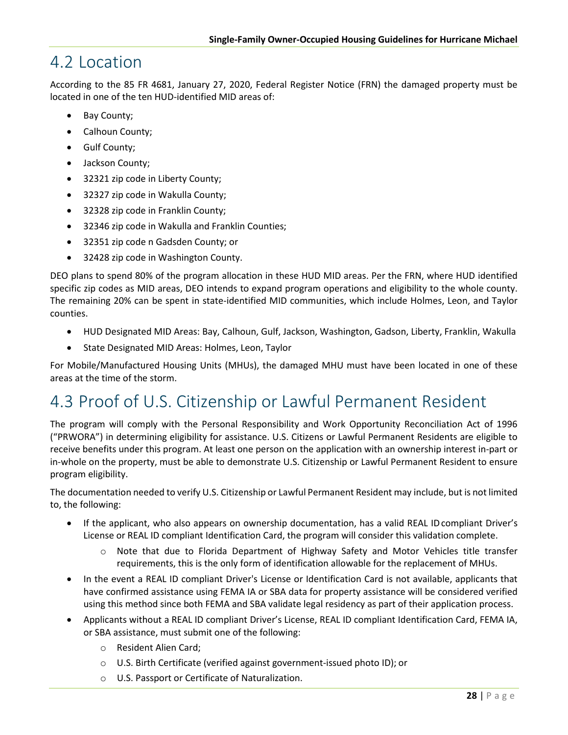#### 4.2 Location

According to the 85 FR 4681, January 27, 2020, Federal Register Notice (FRN) the damaged property must be located in one of the ten HUD-identified MID areas of:

- Bay County;
- Calhoun County;
- Gulf County;
- Jackson County;
- 32321 zip code in Liberty County;
- 32327 zip code in Wakulla County;
- 32328 zip code in Franklin County;
- 32346 zip code in Wakulla and Franklin Counties;
- 32351 zip code n Gadsden County; or
- 32428 zip code in Washington County.

DEO plans to spend 80% of the program allocation in these HUD MID areas. Per the FRN, where HUD identified specific zip codes as MID areas, DEO intends to expand program operations and eligibility to the whole county. The remaining 20% can be spent in state-identified MID communities, which include Holmes, Leon, and Taylor counties.

- HUD Designated MID Areas: Bay, Calhoun, Gulf, Jackson, Washington, Gadson, Liberty, Franklin, Wakulla
- State Designated MID Areas: Holmes, Leon, Taylor

For Mobile/Manufactured Housing Units (MHUs), the damaged MHU must have been located in one of these areas at the time of the storm.

## 4.3 Proof of U.S. Citizenship or Lawful Permanent Resident

The program will comply with the Personal Responsibility and Work Opportunity Reconciliation Act of 1996 ("PRWORA") in determining eligibility for assistance. U.S. Citizens or Lawful Permanent Residents are eligible to receive benefits under this program. At least one person on the application with an ownership interest in-part or in-whole on the property, must be able to demonstrate U.S. Citizenship or Lawful Permanent Resident to ensure program eligibility.

The documentation needed to verify U.S. Citizenship or Lawful Permanent Resident may include, but is not limited to, the following:

- If the applicant, who also appears on ownership documentation, has a valid REAL IDcompliant Driver's License or REAL ID compliant Identification Card, the program will consider this validation complete.
	- o Note that due to Florida Department of Highway Safety and Motor Vehicles title transfer requirements, this is the only form of identification allowable for the replacement of MHUs.
- In the event a REAL ID compliant Driver's License or Identification Card is not available, applicants that have confirmed assistance using FEMA IA or SBA data for property assistance will be considered verified using this method since both FEMA and SBA validate legal residency as part of their application process.
- Applicants without a REAL ID compliant Driver's License, REAL ID compliant Identification Card, FEMA IA, or SBA assistance, must submit one of the following:
	- o Resident Alien Card;
	- o U.S. Birth Certificate (verified against government-issued photo ID); or
	- o U.S. Passport or Certificate of Naturalization.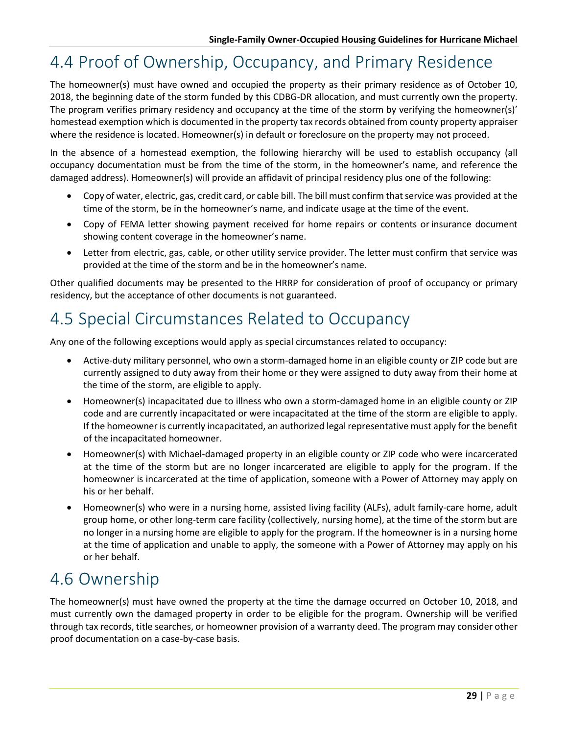## 4.4 Proof of Ownership, Occupancy, and Primary Residence

The homeowner(s) must have owned and occupied the property as their primary residence as of October 10, 2018, the beginning date of the storm funded by this CDBG-DR allocation, and must currently own the property. The program verifies primary residency and occupancy at the time of the storm by verifying the homeowner(s)' homestead exemption which is documented in the property tax records obtained from county property appraiser where the residence is located. Homeowner(s) in default or foreclosure on the property may not proceed.

In the absence of a homestead exemption, the following hierarchy will be used to establish occupancy (all occupancy documentation must be from the time of the storm, in the homeowner's name, and reference the damaged address). Homeowner(s) will provide an affidavit of principal residency plus one of the following:

- Copy of water, electric, gas, credit card, or cable bill. The bill must confirm that service was provided at the time of the storm, be in the homeowner's name, and indicate usage at the time of the event.
- Copy of FEMA letter showing payment received for home repairs or contents or insurance document showing content coverage in the homeowner's name.
- Letter from electric, gas, cable, or other utility service provider. The letter must confirm that service was provided at the time of the storm and be in the homeowner's name.

Other qualified documents may be presented to the HRRP for consideration of proof of occupancy or primary residency, but the acceptance of other documents is not guaranteed.

## 4.5 Special Circumstances Related to Occupancy

Any one of the following exceptions would apply as special circumstances related to occupancy:

- Active-duty military personnel, who own a storm-damaged home in an eligible county or ZIP code but are currently assigned to duty away from their home or they were assigned to duty away from their home at the time of the storm, are eligible to apply.
- Homeowner(s) incapacitated due to illness who own a storm-damaged home in an eligible county or ZIP code and are currently incapacitated or were incapacitated at the time of the storm are eligible to apply. If the homeowner is currently incapacitated, an authorized legal representative must apply for the benefit of the incapacitated homeowner.
- Homeowner(s) with Michael-damaged property in an eligible county or ZIP code who were incarcerated at the time of the storm but are no longer incarcerated are eligible to apply for the program. If the homeowner is incarcerated at the time of application, someone with a Power of Attorney may apply on his or her behalf.
- Homeowner(s) who were in a nursing home, assisted living facility (ALFs), adult family-care home, adult group home, or other long-term care facility (collectively, nursing home), at the time of the storm but are no longer in a nursing home are eligible to apply for the program. If the homeowner is in a nursing home at the time of application and unable to apply, the someone with a Power of Attorney may apply on his or her behalf.

## 4.6 Ownership

The homeowner(s) must have owned the property at the time the damage occurred on October 10, 2018, and must currently own the damaged property in order to be eligible for the program. Ownership will be verified through tax records, title searches, or homeowner provision of a warranty deed. The program may consider other proof documentation on a case-by-case basis.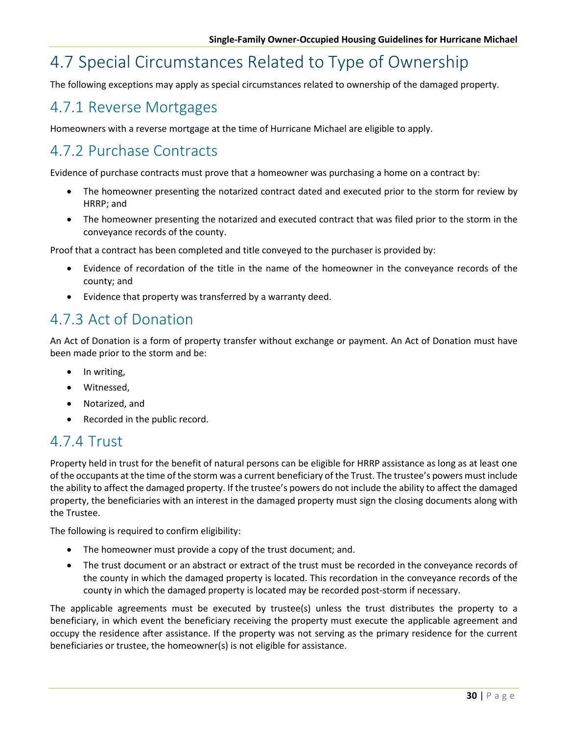## 4.7 Special Circumstances Related to Type of Ownership

The following exceptions may apply as special circumstances related to ownership of the damaged property.

#### 4.7.1 Reverse Mortgages

Homeowners with a reverse mortgage at the time of Hurricane Michael are eligible to apply.

#### 4.7.2 Purchase Contracts

Evidence of purchase contracts must prove that a homeowner was purchasing a home on a contract by:

- The homeowner presenting the notarized contract dated and executed prior to the storm for review by HRRP; and
- The homeowner presenting the notarized and executed contract that was filed prior to the storm in the conveyance records of the county.

Proof that a contract has been completed and title conveyed to the purchaser is provided by:

- Evidence of recordation of the title in the name of the homeowner in the conveyance records of the county; and
- Evidence that property was transferred by a warranty deed.

#### 4.7.3 Act of Donation

An Act of Donation is a form of property transfer without exchange or payment. An Act of Donation must have been made prior to the storm and be:

- In writing,
- Witnessed,
- Notarized, and
- Recorded in the public record.

#### 4.7.4 Trust

Property held in trust for the benefit of natural persons can be eligible for HRRP assistance as long as at least one of the occupants at the time of the storm was a current beneficiary of the Trust. The trustee's powers must include the ability to affect the damaged property. If the trustee's powers do not include the ability to affect the damaged property, the beneficiaries with an interest in the damaged property must sign the closing documents along with the Trustee.

The following is required to confirm eligibility:

- The homeowner must provide a copy of the trust document; and.
- The trust document or an abstract or extract of the trust must be recorded in the conveyance records of the county in which the damaged property is located. This recordation in the conveyance records of the county in which the damaged property is located may be recorded post-storm if necessary.

The applicable agreements must be executed by trustee(s) unless the trust distributes the property to a beneficiary, in which event the beneficiary receiving the property must execute the applicable agreement and occupy the residence after assistance. If the property was not serving as the primary residence for the current beneficiaries or trustee, the homeowner(s) is not eligible for assistance.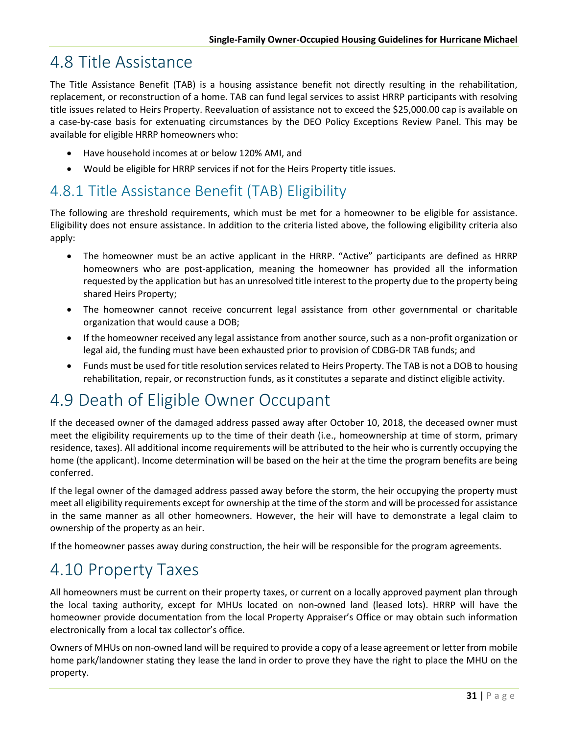#### 4.8 Title Assistance

The Title Assistance Benefit (TAB) is a housing assistance benefit not directly resulting in the rehabilitation, replacement, or reconstruction of a home. TAB can fund legal services to assist HRRP participants with resolving title issues related to Heirs Property. Reevaluation of assistance not to exceed the \$25,000.00 cap is available on a case-by-case basis for extenuating circumstances by the DEO Policy Exceptions Review Panel. This may be available for eligible HRRP homeowners who:

- Have household incomes at or below 120% AMI, and
- Would be eligible for HRRP services if not for the Heirs Property title issues.

#### 4.8.1 Title Assistance Benefit (TAB) Eligibility

The following are threshold requirements, which must be met for a homeowner to be eligible for assistance. Eligibility does not ensure assistance. In addition to the criteria listed above, the following eligibility criteria also apply:

- The homeowner must be an active applicant in the HRRP. "Active" participants are defined as HRRP homeowners who are post-application, meaning the homeowner has provided all the information requested by the application but has an unresolved title interest to the property due to the property being shared Heirs Property;
- The homeowner cannot receive concurrent legal assistance from other governmental or charitable organization that would cause a DOB;
- If the homeowner received any legal assistance from another source, such as a non-profit organization or legal aid, the funding must have been exhausted prior to provision of CDBG-DR TAB funds; and
- Funds must be used for title resolution services related to Heirs Property. The TAB is not a DOB to housing rehabilitation, repair, or reconstruction funds, as it constitutes a separate and distinct eligible activity.

## 4.9 Death of Eligible Owner Occupant

If the deceased owner of the damaged address passed away after October 10, 2018, the deceased owner must meet the eligibility requirements up to the time of their death (i.e., homeownership at time of storm, primary residence, taxes). All additional income requirements will be attributed to the heir who is currently occupying the home (the applicant). Income determination will be based on the heir at the time the program benefits are being conferred.

If the legal owner of the damaged address passed away before the storm, the heir occupying the property must meet all eligibility requirements except for ownership at the time of the storm and will be processed for assistance in the same manner as all other homeowners. However, the heir will have to demonstrate a legal claim to ownership of the property as an heir.

If the homeowner passes away during construction, the heir will be responsible for the program agreements.

## 4.10 Property Taxes

All homeowners must be current on their property taxes, or current on a locally approved payment plan through the local taxing authority, except for MHUs located on non-owned land (leased lots). HRRP will have the homeowner provide documentation from the local Property Appraiser's Office or may obtain such information electronically from a local tax collector's office.

Owners of MHUs on non-owned land will be required to provide a copy of a lease agreement or letter from mobile home park/landowner stating they lease the land in order to prove they have the right to place the MHU on the property.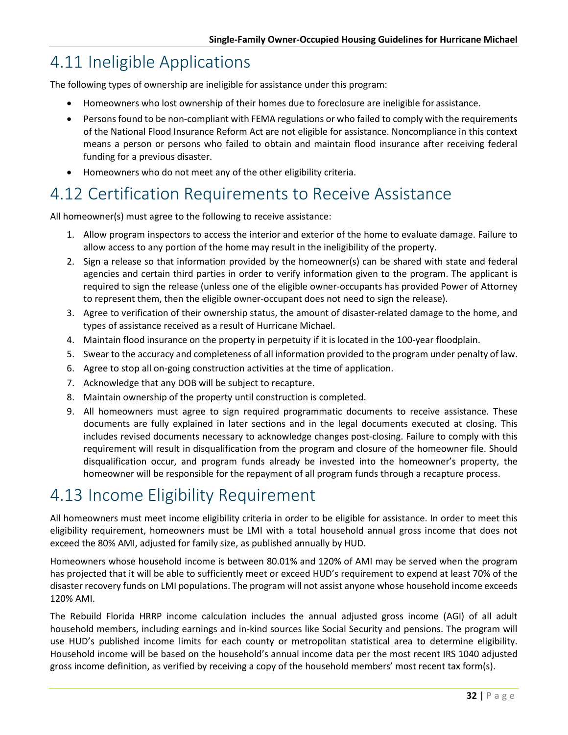## 4.11 Ineligible Applications

The following types of ownership are ineligible for assistance under this program:

- Homeowners who lost ownership of their homes due to foreclosure are ineligible for assistance.
- Persons found to be non-compliant with FEMA regulations or who failed to comply with the requirements of the National Flood Insurance Reform Act are not eligible for assistance. Noncompliance in this context means a person or persons who failed to obtain and maintain flood insurance after receiving federal funding for a previous disaster.
- Homeowners who do not meet any of the other eligibility criteria.

## 4.12 Certification Requirements to Receive Assistance

All homeowner(s) must agree to the following to receive assistance:

- 1. Allow program inspectors to access the interior and exterior of the home to evaluate damage. Failure to allow access to any portion of the home may result in the ineligibility of the property.
- 2. Sign a release so that information provided by the homeowner(s) can be shared with state and federal agencies and certain third parties in order to verify information given to the program. The applicant is required to sign the release (unless one of the eligible owner-occupants has provided Power of Attorney to represent them, then the eligible owner-occupant does not need to sign the release).
- 3. Agree to verification of their ownership status, the amount of disaster-related damage to the home, and types of assistance received as a result of Hurricane Michael.
- 4. Maintain flood insurance on the property in perpetuity if it is located in the 100-year floodplain.
- 5. Swear to the accuracy and completeness of all information provided to the program under penalty of law.
- 6. Agree to stop all on-going construction activities at the time of application.
- 7. Acknowledge that any DOB will be subject to recapture.
- 8. Maintain ownership of the property until construction is completed.
- 9. All homeowners must agree to sign required programmatic documents to receive assistance. These documents are fully explained in later sections and in the legal documents executed at closing. This includes revised documents necessary to acknowledge changes post-closing. Failure to comply with this requirement will result in disqualification from the program and closure of the homeowner file. Should disqualification occur, and program funds already be invested into the homeowner's property, the homeowner will be responsible for the repayment of all program funds through a recapture process.

## 4.13 Income Eligibility Requirement

All homeowners must meet income eligibility criteria in order to be eligible for assistance. In order to meet this eligibility requirement, homeowners must be LMI with a total household annual gross income that does not exceed the 80% AMI, adjusted for family size, as published annually by HUD.

Homeowners whose household income is between 80.01% and 120% of AMI may be served when the program has projected that it will be able to sufficiently meet or exceed HUD's requirement to expend at least 70% of the disaster recovery funds on LMI populations. The program will not assist anyone whose household income exceeds 120% AMI.

The Rebuild Florida HRRP income calculation includes the annual adjusted gross income (AGI) of all adult household members, including earnings and in-kind sources like Social Security and pensions. The program will use HUD's published income limits for each county or metropolitan statistical area to determine eligibility. Household income will be based on the household's annual income data per the most recent IRS 1040 adjusted gross income definition, as verified by receiving a copy of the household members' most recent tax form(s).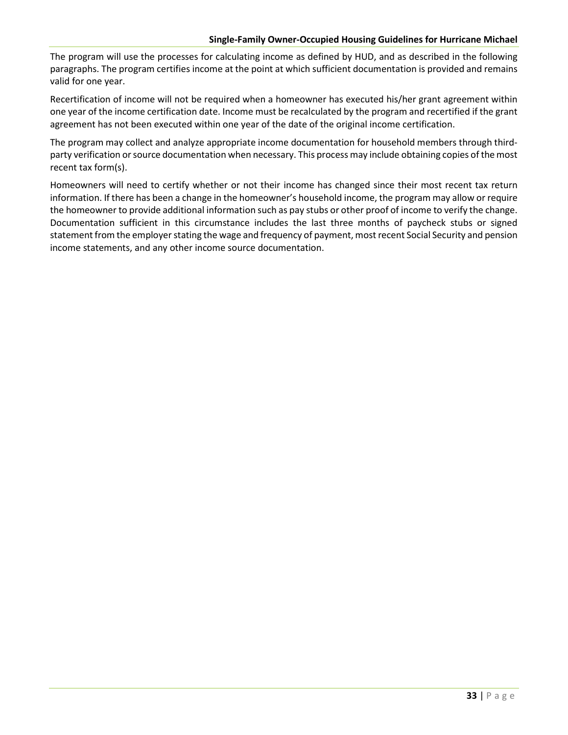#### **Single-Family Owner-Occupied Housing Guidelines for Hurricane Michael**

The program will use the processes for calculating income as defined by HUD, and as described in the following paragraphs. The program certifies income at the point at which sufficient documentation is provided and remains valid for one year.

Recertification of income will not be required when a homeowner has executed his/her grant agreement within one year of the income certification date. Income must be recalculated by the program and recertified if the grant agreement has not been executed within one year of the date of the original income certification.

The program may collect and analyze appropriate income documentation for household members through thirdparty verification or source documentation when necessary. This process may include obtaining copies of the most recent tax form(s).

Homeowners will need to certify whether or not their income has changed since their most recent tax return information. If there has been a change in the homeowner's household income, the program may allow or require the homeowner to provide additional information such as pay stubs or other proof of income to verify the change. Documentation sufficient in this circumstance includes the last three months of paycheck stubs or signed statement from the employer stating the wage and frequency of payment, most recent Social Security and pension income statements, and any other income source documentation.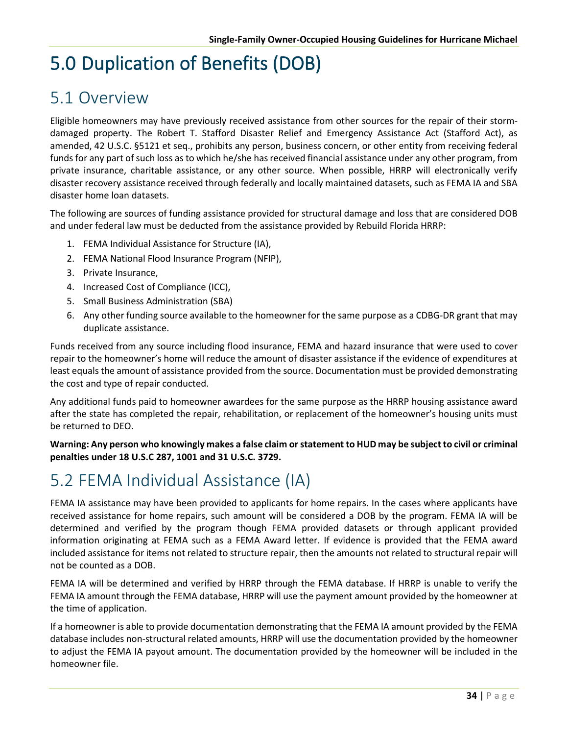# 5.0 Duplication of Benefits (DOB)

#### 5.1 Overview

Eligible homeowners may have previously received assistance from other sources for the repair of their stormdamaged property. The Robert T. Stafford Disaster Relief and Emergency Assistance Act (Stafford Act), as amended, 42 U.S.C. §5121 et seq., prohibits any person, business concern, or other entity from receiving federal funds for any part of such loss as to which he/she has received financial assistance under any other program, from private insurance, charitable assistance, or any other source. When possible, HRRP will electronically verify disaster recovery assistance received through federally and locally maintained datasets, such as FEMA IA and SBA disaster home loan datasets.

The following are sources of funding assistance provided for structural damage and loss that are considered DOB and under federal law must be deducted from the assistance provided by Rebuild Florida HRRP:

- 1. FEMA Individual Assistance for Structure (IA),
- 2. FEMA National Flood Insurance Program (NFIP),
- 3. Private Insurance,
- 4. Increased Cost of Compliance (ICC),
- 5. Small Business Administration (SBA)
- 6. Any other funding source available to the homeowner for the same purpose as a CDBG-DR grant that may duplicate assistance.

Funds received from any source including flood insurance, FEMA and hazard insurance that were used to cover repair to the homeowner's home will reduce the amount of disaster assistance if the evidence of expenditures at least equals the amount of assistance provided from the source. Documentation must be provided demonstrating the cost and type of repair conducted.

Any additional funds paid to homeowner awardees for the same purpose as the HRRP housing assistance award after the state has completed the repair, rehabilitation, or replacement of the homeowner's housing units must be returned to DEO.

**Warning: Any person who knowingly makes a false claim or statement to HUD may be subject to civil or criminal penalties under 18 U.S.C 287, 1001 and 31 U.S.C. 3729.**

## 5.2 FEMA Individual Assistance (IA)

FEMA IA assistance may have been provided to applicants for home repairs. In the cases where applicants have received assistance for home repairs, such amount will be considered a DOB by the program. FEMA IA will be determined and verified by the program though FEMA provided datasets or through applicant provided information originating at FEMA such as a FEMA Award letter. If evidence is provided that the FEMA award included assistance for items not related to structure repair, then the amounts not related to structural repair will not be counted as a DOB.

FEMA IA will be determined and verified by HRRP through the FEMA database. If HRRP is unable to verify the FEMA IA amount through the FEMA database, HRRP will use the payment amount provided by the homeowner at the time of application.

If a homeowner is able to provide documentation demonstrating that the FEMA IA amount provided by the FEMA database includes non-structural related amounts, HRRP will use the documentation provided by the homeowner to adjust the FEMA IA payout amount. The documentation provided by the homeowner will be included in the homeowner file.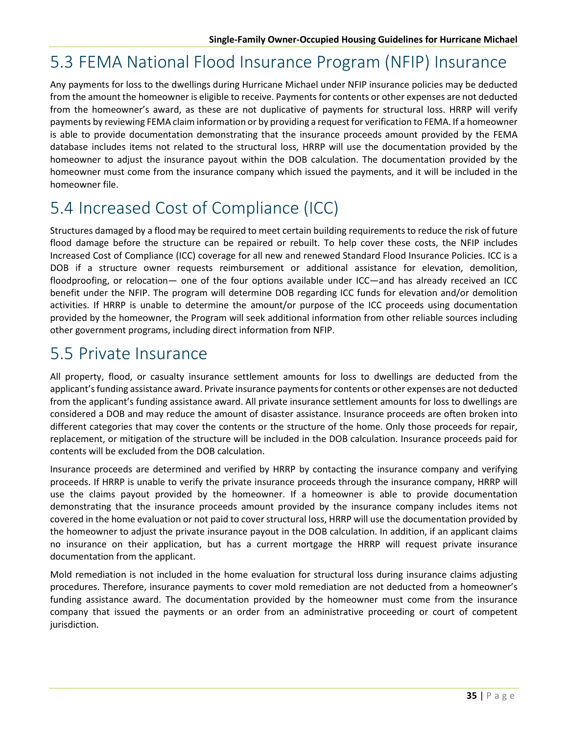## 5.3 FEMA National Flood Insurance Program (NFIP) Insurance

Any payments for loss to the dwellings during Hurricane Michael under NFIP insurance policies may be deducted from the amount the homeowner is eligible to receive. Payments for contents or other expenses are not deducted from the homeowner's award, as these are not duplicative of payments for structural loss. HRRP will verify payments by reviewing FEMA claim information or by providing a request for verification to FEMA. If a homeowner is able to provide documentation demonstrating that the insurance proceeds amount provided by the FEMA database includes items not related to the structural loss, HRRP will use the documentation provided by the homeowner to adjust the insurance payout within the DOB calculation. The documentation provided by the homeowner must come from the insurance company which issued the payments, and it will be included in the homeowner file.

## 5.4 Increased Cost of Compliance (ICC)

Structures damaged by a flood may be required to meet certain building requirements to reduce the risk of future flood damage before the structure can be repaired or rebuilt. To help cover these costs, the [NFIP i](https://www.fema.gov/national-flood-insurance-program)ncludes Increased Cost of Compliance (ICC) coverage for all new and renewed Standard Flood Insurance Policies. ICC is a DOB if a structure owner requests reimbursement or additional assistance for elevation, demolition, floodproofing, or relocation— one of the four options available under ICC—and has already received an ICC benefit under the NFIP. The program will determine DOB regarding ICC funds for elevation and/or demolition activities. If HRRP is unable to determine the amount/or purpose of the ICC proceeds using documentation provided by the homeowner, the Program will seek additional information from other reliable sources including other government programs, including direct information from NFIP.

#### 5.5 Private Insurance

All property, flood, or casualty insurance settlement amounts for loss to dwellings are deducted from the applicant's funding assistance award. Private insurance payments for contents or other expenses are not deducted from the applicant's funding assistance award. All private insurance settlement amounts for loss to dwellings are considered a DOB and may reduce the amount of disaster assistance. Insurance proceeds are often broken into different categories that may cover the contents or the structure of the home. Only those proceeds for repair, replacement, or mitigation of the structure will be included in the DOB calculation. Insurance proceeds paid for contents will be excluded from the DOB calculation.

Insurance proceeds are determined and verified by HRRP by contacting the insurance company and verifying proceeds. If HRRP is unable to verify the private insurance proceeds through the insurance company, HRRP will use the claims payout provided by the homeowner. If a homeowner is able to provide documentation demonstrating that the insurance proceeds amount provided by the insurance company includes items not covered in the home evaluation or not paid to cover structural loss, HRRP will use the documentation provided by the homeowner to adjust the private insurance payout in the DOB calculation. In addition, if an applicant claims no insurance on their application, but has a current mortgage the HRRP will request private insurance documentation from the applicant.

Mold remediation is not included in the home evaluation for structural loss during insurance claims adjusting procedures. Therefore, insurance payments to cover mold remediation are not deducted from a homeowner's funding assistance award. The documentation provided by the homeowner must come from the insurance company that issued the payments or an order from an administrative proceeding or court of competent jurisdiction.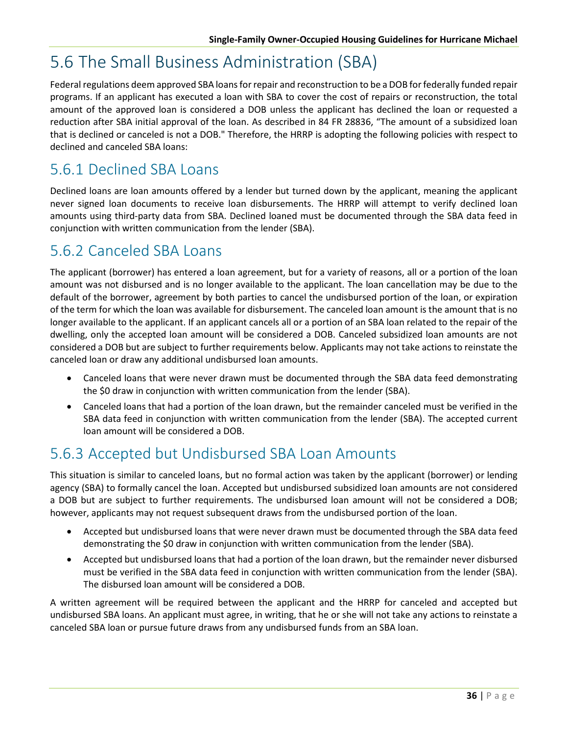## 5.6 The Small Business Administration (SBA)

Federal regulations deem approved SBA loans for repair and reconstruction to be a DOB for federally funded repair programs. If an applicant has executed a loan with SBA to cover the cost of repairs or reconstruction, the total amount of the approved loan is considered a DOB unless the applicant has declined the loan or requested a reduction after SBA initial approval of the loan. As described in 84 FR 28836, "The amount of a subsidized loan that is declined or canceled is not a DOB." Therefore, the HRRP is adopting the following policies with respect to declined and canceled SBA loans:

#### 5.6.1 Declined SBA Loans

Declined loans are loan amounts offered by a lender but turned down by the applicant, meaning the applicant never signed loan documents to receive loan disbursements. The HRRP will attempt to verify declined loan amounts using third-party data from SBA. Declined loaned must be documented through the SBA data feed in conjunction with written communication from the lender (SBA).

#### 5.6.2 Canceled SBA Loans

The applicant (borrower) has entered a loan agreement, but for a variety of reasons, all or a portion of the loan amount was not disbursed and is no longer available to the applicant. The loan cancellation may be due to the default of the borrower, agreement by both parties to cancel the undisbursed portion of the loan, or expiration of the term for which the loan was available for disbursement. The canceled loan amount is the amount that is no longer available to the applicant. If an applicant cancels all or a portion of an SBA loan related to the repair of the dwelling, only the accepted loan amount will be considered a DOB. Canceled subsidized loan amounts are not considered a DOB but are subject to further requirements below. Applicants may not take actions to reinstate the canceled loan or draw any additional undisbursed loan amounts.

- Canceled loans that were never drawn must be documented through the SBA data feed demonstrating the \$0 draw in conjunction with written communication from the lender (SBA).
- Canceled loans that had a portion of the loan drawn, but the remainder canceled must be verified in the SBA data feed in conjunction with written communication from the lender (SBA). The accepted current loan amount will be considered a DOB.

#### 5.6.3 Accepted but Undisbursed SBA Loan Amounts

This situation is similar to canceled loans, but no formal action was taken by the applicant (borrower) or lending agency (SBA) to formally cancel the loan. Accepted but undisbursed subsidized loan amounts are not considered a DOB but are subject to further requirements. The undisbursed loan amount will not be considered a DOB; however, applicants may not request subsequent draws from the undisbursed portion of the loan.

- Accepted but undisbursed loans that were never drawn must be documented through the SBA data feed demonstrating the \$0 draw in conjunction with written communication from the lender (SBA).
- Accepted but undisbursed loans that had a portion of the loan drawn, but the remainder never disbursed must be verified in the SBA data feed in conjunction with written communication from the lender (SBA). The disbursed loan amount will be considered a DOB.

A written agreement will be required between the applicant and the HRRP for canceled and accepted but undisbursed SBA loans. An applicant must agree, in writing, that he or she will not take any actions to reinstate a canceled SBA loan or pursue future draws from any undisbursed funds from an SBA loan.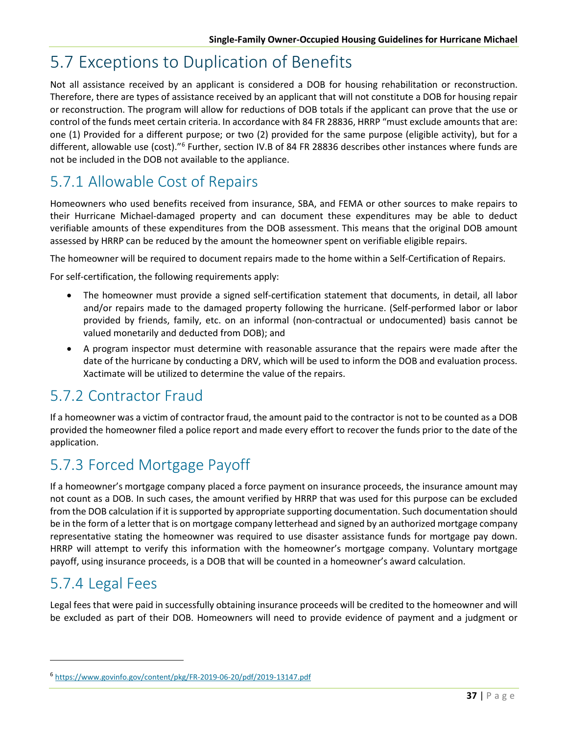## 5.7 Exceptions to Duplication of Benefits

Not all assistance received by an applicant is considered a DOB for housing rehabilitation or reconstruction. Therefore, there are types of assistance received by an applicant that will not constitute a DOB for housing repair or reconstruction. The program will allow for reductions of DOB totals if the applicant can prove that the use or control of the funds meet certain criteria. In accordance with 84 FR 28836, HRRP "must exclude amounts that are: one (1) Provided for a different purpose; or two (2) provided for the same purpose (eligible activity), but for a different, allowable use (cost)."<sup>[6](#page-46-0)</sup> Further, section IV.B of 84 FR 28836 describes other instances where funds are not be included in the DOB not available to the appliance.

### 5.7.1 Allowable Cost of Repairs

Homeowners who used benefits received from insurance, SBA, and FEMA or other sources to make repairs to their Hurricane Michael-damaged property and can document these expenditures may be able to deduct verifiable amounts of these expenditures from the DOB assessment. This means that the original DOB amount assessed by HRRP can be reduced by the amount the homeowner spent on verifiable eligible repairs.

The homeowner will be required to document repairs made to the home within a Self-Certification of Repairs.

For self-certification, the following requirements apply:

- The homeowner must provide a signed self-certification statement that documents, in detail, all labor and/or repairs made to the damaged property following the hurricane. (Self-performed labor or labor provided by friends, family, etc. on an informal (non-contractual or undocumented) basis cannot be valued monetarily and deducted from DOB); and
- A program inspector must determine with reasonable assurance that the repairs were made after the date of the hurricane by conducting a DRV, which will be used to inform the DOB and evaluation process. Xactimate will be utilized to determine the value of the repairs.

#### 5.7.2 Contractor Fraud

If a homeowner was a victim of contractor fraud, the amount paid to the contractor is not to be counted as a DOB provided the homeowner filed a police report and made every effort to recover the funds prior to the date of the application.

#### 5.7.3 Forced Mortgage Payoff

If a homeowner's mortgage company placed a force payment on insurance proceeds, the insurance amount may not count as a DOB. In such cases, the amount verified by HRRP that was used for this purpose can be excluded from the DOB calculation if it is supported by appropriate supporting documentation. Such documentation should be in the form of a letter that is on mortgage company letterhead and signed by an authorized mortgage company representative stating the homeowner was required to use disaster assistance funds for mortgage pay down. HRRP will attempt to verify this information with the homeowner's mortgage company. Voluntary mortgage payoff, using insurance proceeds, is a DOB that will be counted in a homeowner's award calculation.

#### 5.7.4 Legal Fees

Legal fees that were paid in successfully obtaining insurance proceeds will be credited to the homeowner and will be excluded as part of their DOB. Homeowners will need to provide evidence of payment and a judgment or

<span id="page-46-0"></span><sup>6</sup> <https://www.govinfo.gov/content/pkg/FR-2019-06-20/pdf/2019-13147.pdf>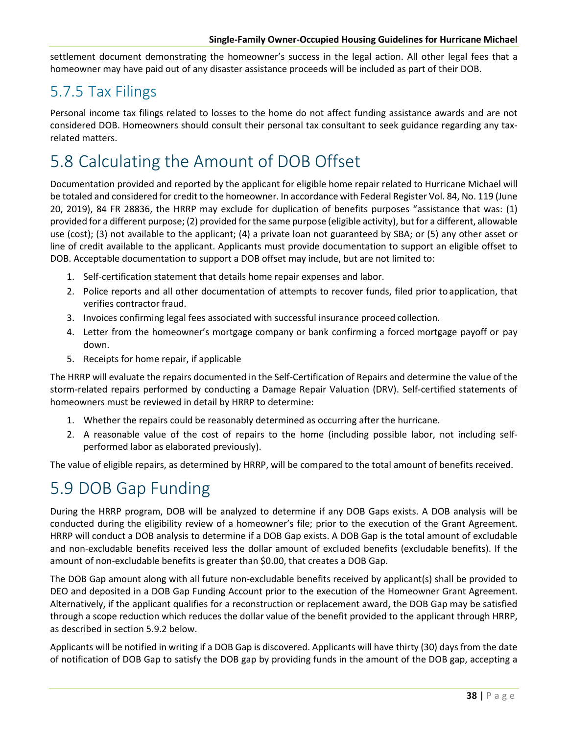settlement document demonstrating the homeowner's success in the legal action. All other legal fees that a homeowner may have paid out of any disaster assistance proceeds will be included as part of their DOB.

#### 5.7.5 Tax Filings

Personal income tax filings related to losses to the home do not affect funding assistance awards and are not considered DOB. Homeowners should consult their personal tax consultant to seek guidance regarding any taxrelated matters.

## 5.8 Calculating the Amount of DOB Offset

Documentation provided and reported by the applicant for eligible home repair related to Hurricane Michael will be totaled and considered for credit to the homeowner. In accordance with Federal Register Vol. 84, No. 119 (June 20, 2019), 84 FR 28836, the HRRP may exclude for duplication of benefits purposes "assistance that was: (1) provided for a different purpose; (2) provided for the same purpose (eligible activity), but for a different, allowable use (cost); (3) not available to the applicant; (4) a private loan not guaranteed by SBA; or (5) any other asset or line of credit available to the applicant. Applicants must provide documentation to support an eligible offset to DOB. Acceptable documentation to support a DOB offset may include, but are not limited to:

- 1. Self-certification statement that details home repair expenses and labor.
- 2. Police reports and all other documentation of attempts to recover funds, filed prior toapplication, that verifies contractor fraud.
- 3. Invoices confirming legal fees associated with successful insurance proceed collection.
- 4. Letter from the homeowner's mortgage company or bank confirming a forced mortgage payoff or pay down.
- 5. Receipts for home repair, if applicable

The HRRP will evaluate the repairs documented in the Self-Certification of Repairs and determine the value of the storm-related repairs performed by conducting a Damage Repair Valuation (DRV). Self-certified statements of homeowners must be reviewed in detail by HRRP to determine:

- 1. Whether the repairs could be reasonably determined as occurring after the hurricane.
- 2. A reasonable value of the cost of repairs to the home (including possible labor, not including selfperformed labor as elaborated previously).

The value of eligible repairs, as determined by HRRP, will be compared to the total amount of benefits received.

## 5.9 DOB Gap Funding

During the HRRP program, DOB will be analyzed to determine if any DOB Gaps exists. A DOB analysis will be conducted during the eligibility review of a homeowner's file; prior to the execution of the Grant Agreement. HRRP will conduct a DOB analysis to determine if a DOB Gap exists. A DOB Gap is the total amount of excludable and non-excludable benefits received less the dollar amount of excluded benefits (excludable benefits). If the amount of non-excludable benefits is greater than \$0.00, that creates a DOB Gap.

The DOB Gap amount along with all future non-excludable benefits received by applicant(s) shall be provided to DEO and deposited in a DOB Gap Funding Account prior to the execution of the Homeowner Grant Agreement. Alternatively, if the applicant qualifies for a reconstruction or replacement award, the DOB Gap may be satisfied through a scope reduction which reduces the dollar value of the benefit provided to the applicant through HRRP, as described in section 5.9.2 below.

Applicants will be notified in writing if a DOB Gap is discovered. Applicants will have thirty (30) days from the date of notification of DOB Gap to satisfy the DOB gap by providing funds in the amount of the DOB gap, accepting a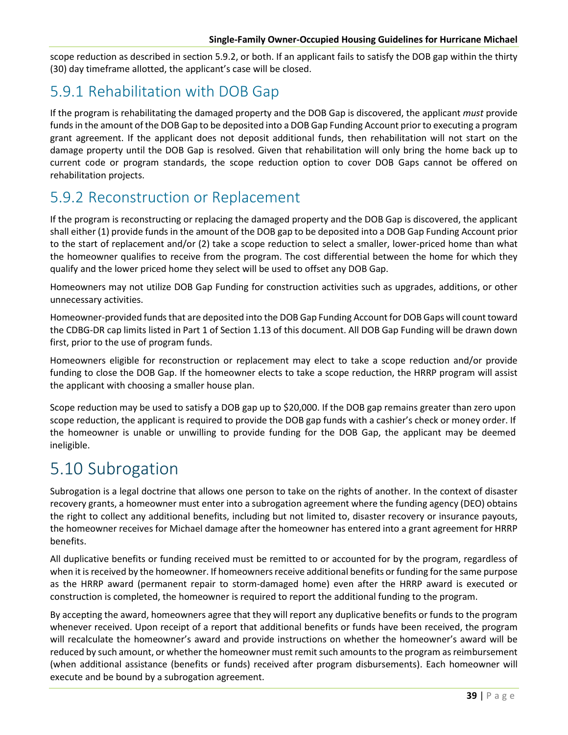scope reduction as described in section 5.9.2, or both. If an applicant fails to satisfy the DOB gap within the thirty (30) day timeframe allotted, the applicant's case will be closed.

#### 5.9.1 Rehabilitation with DOB Gap

If the program is rehabilitating the damaged property and the DOB Gap is discovered, the applicant *must* provide funds in the amount of the DOB Gap to be deposited into a DOB Gap Funding Account prior to executing a program grant agreement. If the applicant does not deposit additional funds, then rehabilitation will not start on the damage property until the DOB Gap is resolved. Given that rehabilitation will only bring the home back up to current code or program standards, the scope reduction option to cover DOB Gaps cannot be offered on rehabilitation projects.

#### 5.9.2 Reconstruction or Replacement

If the program is reconstructing or replacing the damaged property and the DOB Gap is discovered, the applicant shall either (1) provide funds in the amount of the DOB gap to be deposited into a DOB Gap Funding Account prior to the start of replacement and/or (2) take a scope reduction to select a smaller, lower-priced home than what the homeowner qualifies to receive from the program. The cost differential between the home for which they qualify and the lower priced home they select will be used to offset any DOB Gap.

Homeowners may not utilize DOB Gap Funding for construction activities such as upgrades, additions, or other unnecessary activities.

Homeowner-provided funds that are deposited into the DOB Gap Funding Account for DOB Gaps will count toward the CDBG-DR cap limits listed in Part 1 of Section 1.13 of this document. All DOB Gap Funding will be drawn down first, prior to the use of program funds.

Homeowners eligible for reconstruction or replacement may elect to take a scope reduction and/or provide funding to close the DOB Gap. If the homeowner elects to take a scope reduction, the HRRP program will assist the applicant with choosing a smaller house plan.

Scope reduction may be used to satisfy a DOB gap up to \$20,000. If the DOB gap remains greater than zero upon scope reduction, the applicant is required to provide the DOB gap funds with a cashier's check or money order. If the homeowner is unable or unwilling to provide funding for the DOB Gap, the applicant may be deemed ineligible.

#### 5.10 Subrogation

Subrogation is a legal doctrine that allows one person to take on the rights of another. In the context of disaster recovery grants, a homeowner must enter into a subrogation agreement where the funding agency (DEO) obtains the right to collect any additional benefits, including but not limited to, disaster recovery or insurance payouts, the homeowner receives for Michael damage after the homeowner has entered into a grant agreement for HRRP benefits.

All duplicative benefits or funding received must be remitted to or accounted for by the program, regardless of when it is received by the homeowner. If homeowners receive additional benefits or funding for the same purpose as the HRRP award (permanent repair to storm-damaged home) even after the HRRP award is executed or construction is completed, the homeowner is required to report the additional funding to the program.

By accepting the award, homeowners agree that they will report any duplicative benefits or funds to the program whenever received. Upon receipt of a report that additional benefits or funds have been received, the program will recalculate the homeowner's award and provide instructions on whether the homeowner's award will be reduced by such amount, or whether the homeowner must remit such amounts to the program as reimbursement (when additional assistance (benefits or funds) received after program disbursements). Each homeowner will execute and be bound by a subrogation agreement.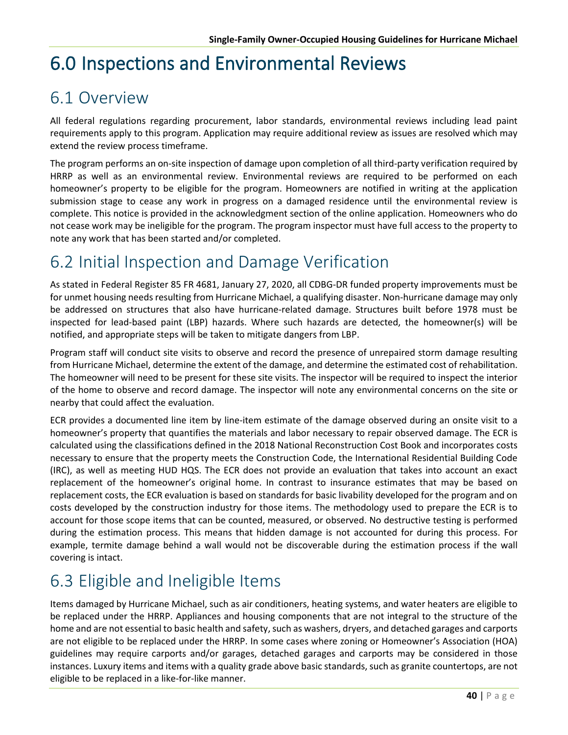# 6.0 Inspections and Environmental Reviews

#### 6.1 Overview

All federal regulations regarding procurement, labor standards, environmental reviews including lead paint requirements apply to this program. Application may require additional review as issues are resolved which may extend the review process timeframe.

The program performs an on-site inspection of damage upon completion of all third-party verification required by HRRP as well as an environmental review. Environmental reviews are required to be performed on each homeowner's property to be eligible for the program. Homeowners are notified in writing at the application submission stage to cease any work in progress on a damaged residence until the environmental review is complete. This notice is provided in the acknowledgment section of the online application. Homeowners who do not cease work may be ineligible for the program. The program inspector must have full access to the property to note any work that has been started and/or completed.

## 6.2 Initial Inspection and Damage Verification

As stated in Federal Register 85 FR 4681, January 27, 2020, all CDBG-DR funded property improvements must be for unmet housing needs resulting from Hurricane Michael, a qualifying disaster. Non-hurricane damage may only be addressed on structures that also have hurricane-related damage. Structures built before 1978 must be inspected for lead-based paint (LBP) hazards. Where such hazards are detected, the homeowner(s) will be notified, and appropriate steps will be taken to mitigate dangers from LBP.

Program staff will conduct site visits to observe and record the presence of unrepaired storm damage resulting from Hurricane Michael, determine the extent of the damage, and determine the estimated cost of rehabilitation. The homeowner will need to be present for these site visits. The inspector will be required to inspect the interior of the home to observe and record damage. The inspector will note any environmental concerns on the site or nearby that could affect the evaluation.

ECR provides a documented line item by line-item estimate of the damage observed during an onsite visit to a homeowner's property that quantifies the materials and labor necessary to repair observed damage. The ECR is calculated using the classifications defined in the 2018 National Reconstruction Cost Book and incorporates costs necessary to ensure that the property meets the Construction Code, the International Residential Building Code (IRC), as well as meeting HUD HQS. The ECR does not provide an evaluation that takes into account an exact replacement of the homeowner's original home. In contrast to insurance estimates that may be based on replacement costs, the ECR evaluation is based on standards for basic livability developed for the program and on costs developed by the construction industry for those items. The methodology used to prepare the ECR is to account for those scope items that can be counted, measured, or observed. No destructive testing is performed during the estimation process. This means that hidden damage is not accounted for during this process. For example, termite damage behind a wall would not be discoverable during the estimation process if the wall covering is intact.

## 6.3 Eligible and Ineligible Items

Items damaged by Hurricane Michael, such as air conditioners, heating systems, and water heaters are eligible to be replaced under the HRRP. Appliances and housing components that are not integral to the structure of the home and are not essential to basic health and safety, such as washers, dryers, and detached garages and carports are not eligible to be replaced under the HRRP. In some cases where zoning or Homeowner's Association (HOA) guidelines may require carports and/or garages, detached garages and carports may be considered in those instances. Luxury items and items with a quality grade above basic standards, such as granite countertops, are not eligible to be replaced in a like-for-like manner.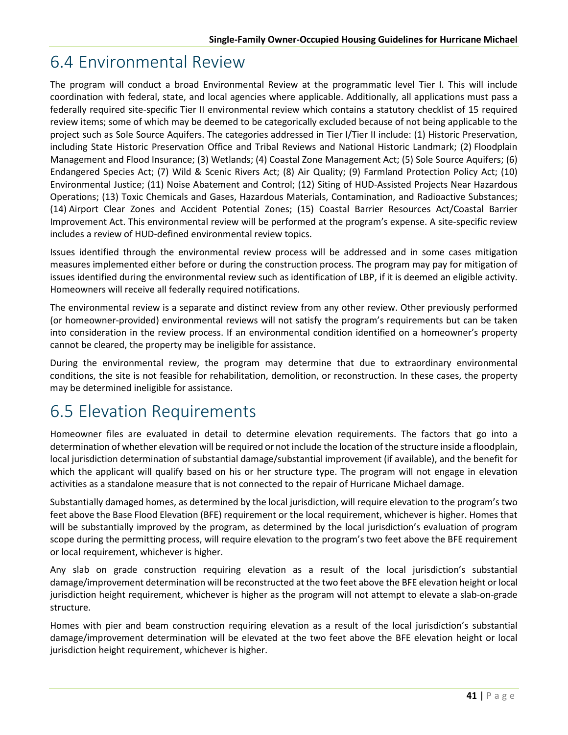## 6.4 Environmental Review

The program will conduct a broad Environmental Review at the programmatic level Tier I. This will include coordination with federal, state, and local agencies where applicable. Additionally, all applications must pass a federally required site-specific Tier II environmental review which contains a statutory checklist of 15 required review items; some of which may be deemed to be categorically excluded because of not being applicable to the project such as Sole Source Aquifers. The categories addressed in Tier I/Tier II include: (1) Historic Preservation, including State Historic Preservation Office and Tribal Reviews and National Historic Landmark; (2) Floodplain Management and Flood Insurance; (3) Wetlands; (4) Coastal Zone Management Act; (5) Sole Source Aquifers; (6) Endangered Species Act; (7) Wild & Scenic Rivers Act; (8) Air Quality; (9) Farmland Protection Policy Act; (10) Environmental Justice; (11) Noise Abatement and Control; (12) Siting of HUD-Assisted Projects Near Hazardous Operations; (13) Toxic Chemicals and Gases, Hazardous Materials, Contamination, and Radioactive Substances; (14) Airport Clear Zones and Accident Potential Zones; (15) Coastal Barrier Resources Act/Coastal Barrier Improvement Act. This environmental review will be performed at the program's expense. A site-specific review includes a review of HUD-defined environmental review topics.

Issues identified through the environmental review process will be addressed and in some cases mitigation measures implemented either before or during the construction process. The program may pay for mitigation of issues identified during the environmental review such as identification of LBP, if it is deemed an eligible activity. Homeowners will receive all federally required notifications.

The environmental review is a separate and distinct review from any other review. Other previously performed (or homeowner-provided) environmental reviews will not satisfy the program's requirements but can be taken into consideration in the review process. If an environmental condition identified on a homeowner's property cannot be cleared, the property may be ineligible for assistance.

During the environmental review, the program may determine that due to extraordinary environmental conditions, the site is not feasible for rehabilitation, demolition, or reconstruction. In these cases, the property may be determined ineligible for assistance.

#### 6.5 Elevation Requirements

Homeowner files are evaluated in detail to determine elevation requirements. The factors that go into a determination of whether elevation will be required or not include the location of the structure inside a floodplain, local jurisdiction determination of substantial damage/substantial improvement (if available), and the benefit for which the applicant will qualify based on his or her structure type. The program will not engage in elevation activities as a standalone measure that is not connected to the repair of Hurricane Michael damage.

Substantially damaged homes, as determined by the local jurisdiction, will require elevation to the program's two feet above the Base Flood Elevation (BFE) requirement or the local requirement, whichever is higher. Homes that will be substantially improved by the program, as determined by the local jurisdiction's evaluation of program scope during the permitting process, will require elevation to the program's two feet above the BFE requirement or local requirement, whichever is higher.

Any slab on grade construction requiring elevation as a result of the local jurisdiction's substantial damage/improvement determination will be reconstructed at the two feet above the BFE elevation height or local jurisdiction height requirement, whichever is higher as the program will not attempt to elevate a slab-on-grade structure.

Homes with pier and beam construction requiring elevation as a result of the local jurisdiction's substantial damage/improvement determination will be elevated at the two feet above the BFE elevation height or local jurisdiction height requirement, whichever is higher.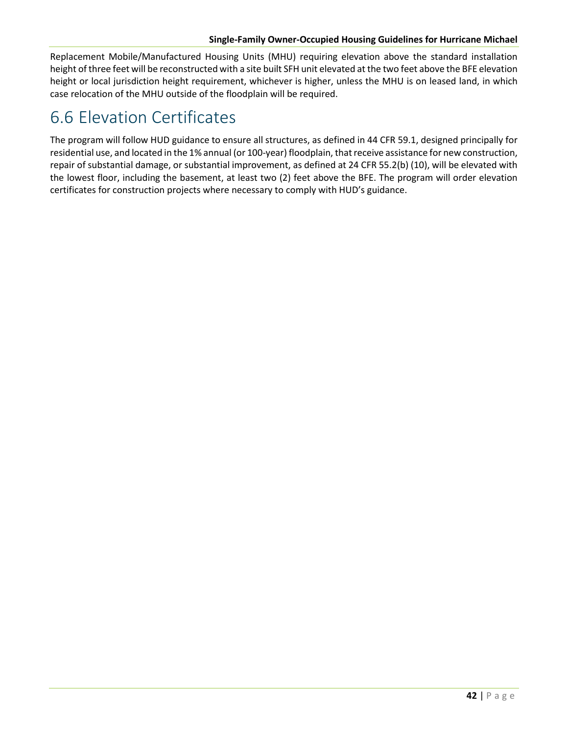#### **Single-Family Owner-Occupied Housing Guidelines for Hurricane Michael**

Replacement Mobile/Manufactured Housing Units (MHU) requiring elevation above the standard installation height of three feet will be reconstructed with a site built SFH unit elevated at the two feet above the BFE elevation height or local jurisdiction height requirement, whichever is higher, unless the MHU is on leased land, in which case relocation of the MHU outside of the floodplain will be required.

## 6.6 Elevation Certificates

The program will follow HUD guidance to ensure all structures, as defined in 44 CFR 59.1, designed principally for residential use, and located in the 1% annual (or 100-year) floodplain, that receive assistance for new construction, repair of substantial damage, or substantial improvement, as defined at 24 CFR 55.2(b) (10), will be elevated with the lowest floor, including the basement, at least two (2) feet above the BFE. The program will order elevation certificates for construction projects where necessary to comply with HUD's guidance.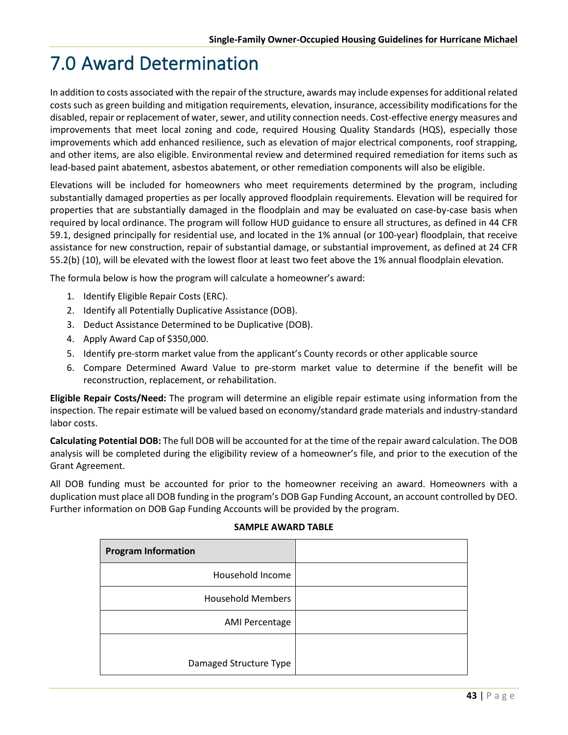# 7.0 Award Determination

In addition to costs associated with the repair of the structure, awards may include expenses for additional related costs such as green building and mitigation requirements, elevation, insurance, accessibility modifications for the disabled, repair or replacement of water, sewer, and utility connection needs. Cost-effective energy measures and improvements that meet local zoning and code, required Housing Quality Standards (HQS), especially those improvements which add enhanced resilience, such as elevation of major electrical components, roof strapping, and other items, are also eligible. Environmental review and determined required remediation for items such as lead-based paint abatement, asbestos abatement, or other remediation components will also be eligible.

Elevations will be included for homeowners who meet requirements determined by the program, including substantially damaged properties as per locally approved floodplain requirements. Elevation will be required for properties that are substantially damaged in the floodplain and may be evaluated on case-by-case basis when required by local ordinance. The program will follow HUD guidance to ensure all structures, as defined in 44 CFR 59.1, designed principally for residential use, and located in the 1% annual (or 100-year) floodplain, that receive assistance for new construction, repair of substantial damage, or substantial improvement, as defined at 24 CFR 55.2(b) (10), will be elevated with the lowest floor at least two feet above the 1% annual floodplain elevation.

The formula below is how the program will calculate a homeowner's award:

- 1. Identify Eligible Repair Costs (ERC).
- 2. Identify all Potentially Duplicative Assistance (DOB).
- 3. Deduct Assistance Determined to be Duplicative (DOB).
- 4. Apply Award Cap of \$350,000.
- 5. Identify pre-storm market value from the applicant's County records or other applicable source
- 6. Compare Determined Award Value to pre-storm market value to determine if the benefit will be reconstruction, replacement, or rehabilitation.

**Eligible Repair Costs/Need:** The program will determine an eligible repair estimate using information from the inspection. The repair estimate will be valued based on economy/standard grade materials and industry-standard labor costs.

**Calculating Potential DOB:** The full DOB will be accounted for at the time of the repair award calculation. The DOB analysis will be completed during the eligibility review of a homeowner's file, and prior to the execution of the Grant Agreement.

All DOB funding must be accounted for prior to the homeowner receiving an award. Homeowners with a duplication must place all DOB funding in the program's DOB Gap Funding Account, an account controlled by DEO. Further information on DOB Gap Funding Accounts will be provided by the program.

| <b>Program Information</b> |  |
|----------------------------|--|
| Household Income           |  |
| <b>Household Members</b>   |  |
| <b>AMI Percentage</b>      |  |
|                            |  |
| Damaged Structure Type     |  |

#### **SAMPLE AWARD TABLE**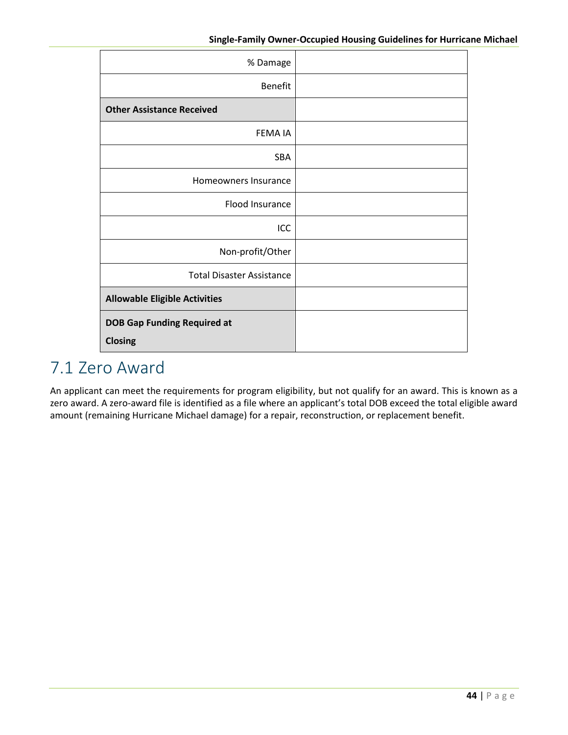| % Damage                                             |  |
|------------------------------------------------------|--|
| Benefit                                              |  |
| <b>Other Assistance Received</b>                     |  |
| <b>FEMAIA</b>                                        |  |
| <b>SBA</b>                                           |  |
| Homeowners Insurance                                 |  |
| Flood Insurance                                      |  |
| ICC                                                  |  |
| Non-profit/Other                                     |  |
| <b>Total Disaster Assistance</b>                     |  |
| <b>Allowable Eligible Activities</b>                 |  |
| <b>DOB Gap Funding Required at</b><br><b>Closing</b> |  |

## 7.1 Zero Award

An applicant can meet the requirements for program eligibility, but not qualify for an award. This is known as a zero award. A zero-award file is identified as a file where an applicant's total DOB exceed the total eligible award amount (remaining Hurricane Michael damage) for a repair, reconstruction, or replacement benefit.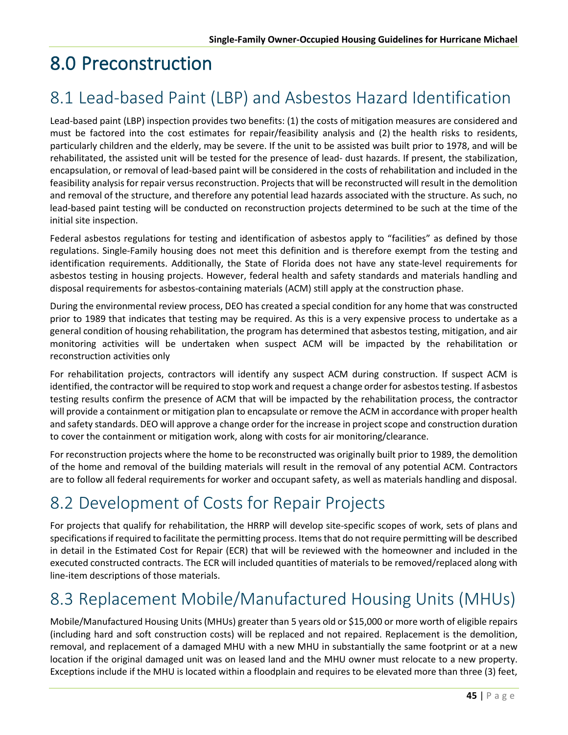# 8.0 Preconstruction

## 8.1 Lead-based Paint (LBP) and Asbestos Hazard Identification

Lead-based paint (LBP) inspection provides two benefits: (1) the costs of mitigation measures are considered and must be factored into the cost estimates for repair/feasibility analysis and (2) the health risks to residents, particularly children and the elderly, may be severe. If the unit to be assisted was built prior to 1978, and will be rehabilitated, the assisted unit will be tested for the presence of lead- dust hazards. If present, the stabilization, encapsulation, or removal of lead-based paint will be considered in the costs of rehabilitation and included in the feasibility analysis for repair versus reconstruction. Projects that will be reconstructed will result in the demolition and removal of the structure, and therefore any potential lead hazards associated with the structure. As such, no lead-based paint testing will be conducted on reconstruction projects determined to be such at the time of the initial site inspection.

Federal asbestos regulations for testing and identification of asbestos apply to "facilities" as defined by those regulations. Single-Family housing does not meet this definition and is therefore exempt from the testing and identification requirements. Additionally, the State of Florida does not have any state-level requirements for asbestos testing in housing projects. However, federal health and safety standards and materials handling and disposal requirements for asbestos-containing materials (ACM) still apply at the construction phase.

During the environmental review process, DEO has created a special condition for any home that was constructed prior to 1989 that indicates that testing may be required. As this is a very expensive process to undertake as a general condition of housing rehabilitation, the program has determined that asbestos testing, mitigation, and air monitoring activities will be undertaken when suspect ACM will be impacted by the rehabilitation or reconstruction activities only

For rehabilitation projects, contractors will identify any suspect ACM during construction. If suspect ACM is identified, the contractor will be required to stop work and request a change order for asbestos testing. If asbestos testing results confirm the presence of ACM that will be impacted by the rehabilitation process, the contractor will provide a containment or mitigation plan to encapsulate or remove the ACM in accordance with proper health and safety standards. DEO will approve a change order for the increase in project scope and construction duration to cover the containment or mitigation work, along with costs for air monitoring/clearance.

For reconstruction projects where the home to be reconstructed was originally built prior to 1989, the demolition of the home and removal of the building materials will result in the removal of any potential ACM. Contractors are to follow all federal requirements for worker and occupant safety, as well as materials handling and disposal.

## 8.2 Development of Costs for Repair Projects

For projects that qualify for rehabilitation, the HRRP will develop site-specific scopes of work, sets of plans and specifications if required to facilitate the permitting process. Items that do not require permitting will be described in detail in the Estimated Cost for Repair (ECR) that will be reviewed with the homeowner and included in the executed constructed contracts. The ECR will included quantities of materials to be removed/replaced along with line-item descriptions of those materials.

## 8.3 Replacement Mobile/Manufactured Housing Units (MHUs)

Mobile/Manufactured Housing Units (MHUs) greater than 5 years old or \$15,000 or more worth of eligible repairs (including hard and soft construction costs) will be replaced and not repaired. Replacement is the demolition, removal, and replacement of a damaged MHU with a new MHU in substantially the same footprint or at a new location if the original damaged unit was on leased land and the MHU owner must relocate to a new property. Exceptions include if the MHU is located within a floodplain and requires to be elevated more than three (3) feet,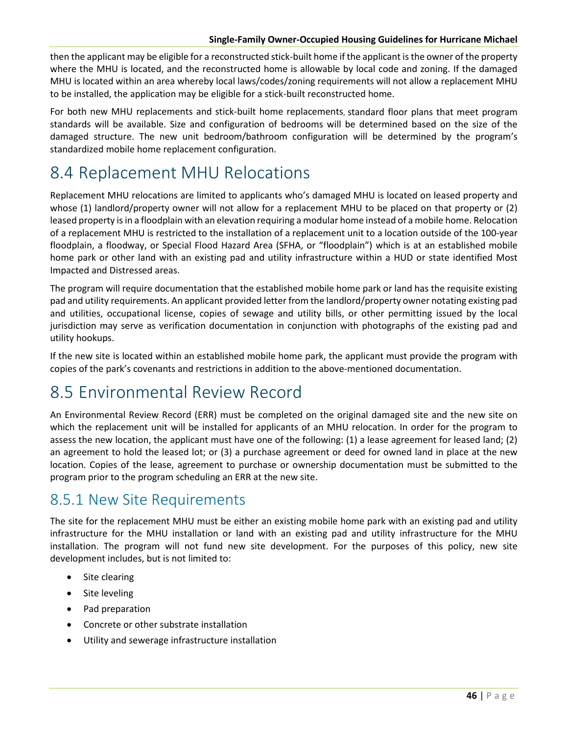#### **Single-Family Owner-Occupied Housing Guidelines for Hurricane Michael**

then the applicant may be eligible for a reconstructed stick-built home if the applicant is the owner of the property where the MHU is located, and the reconstructed home is allowable by local code and zoning. If the damaged MHU is located within an area whereby local laws/codes/zoning requirements will not allow a replacement MHU to be installed, the application may be eligible for a stick-built reconstructed home.

For both new MHU replacements and stick-built home replacements, standard floor plans that meet program standards will be available. Size and configuration of bedrooms will be determined based on the size of the damaged structure. The new unit bedroom/bathroom configuration will be determined by the program's standardized mobile home replacement configuration.

## 8.4 Replacement MHU Relocations

Replacement MHU relocations are limited to applicants who's damaged MHU is located on leased property and whose (1) landlord/property owner will not allow for a replacement MHU to be placed on that property or (2) leased property is in a floodplain with an elevation requiring a modular home instead of a mobile home. Relocation of a replacement MHU is restricted to the installation of a replacement unit to a location outside of the 100-year floodplain, a floodway, or Special Flood Hazard Area (SFHA, or "floodplain") which is at an established mobile home park or other land with an existing pad and utility infrastructure within a HUD or state identified Most Impacted and Distressed areas.

The program will require documentation that the established mobile home park or land has the requisite existing pad and utility requirements. An applicant provided letter from the landlord/property owner notating existing pad and utilities, occupational license, copies of sewage and utility bills, or other permitting issued by the local jurisdiction may serve as verification documentation in conjunction with photographs of the existing pad and utility hookups.

If the new site is located within an established mobile home park, the applicant must provide the program with copies of the park's covenants and restrictions in addition to the above-mentioned documentation.

## 8.5 Environmental Review Record

An Environmental Review Record (ERR) must be completed on the original damaged site and the new site on which the replacement unit will be installed for applicants of an MHU relocation. In order for the program to assess the new location, the applicant must have one of the following: (1) a lease agreement for leased land; (2) an agreement to hold the leased lot; or (3) a purchase agreement or deed for owned land in place at the new location. Copies of the lease, agreement to purchase or ownership documentation must be submitted to the program prior to the program scheduling an ERR at the new site.

#### 8.5.1 New Site Requirements

The site for the replacement MHU must be either an existing mobile home park with an existing pad and utility infrastructure for the MHU installation or land with an existing pad and utility infrastructure for the MHU installation. The program will not fund new site development. For the purposes of this policy, new site development includes, but is not limited to:

- Site clearing
- Site leveling
- Pad preparation
- Concrete or other substrate installation
- Utility and sewerage infrastructure installation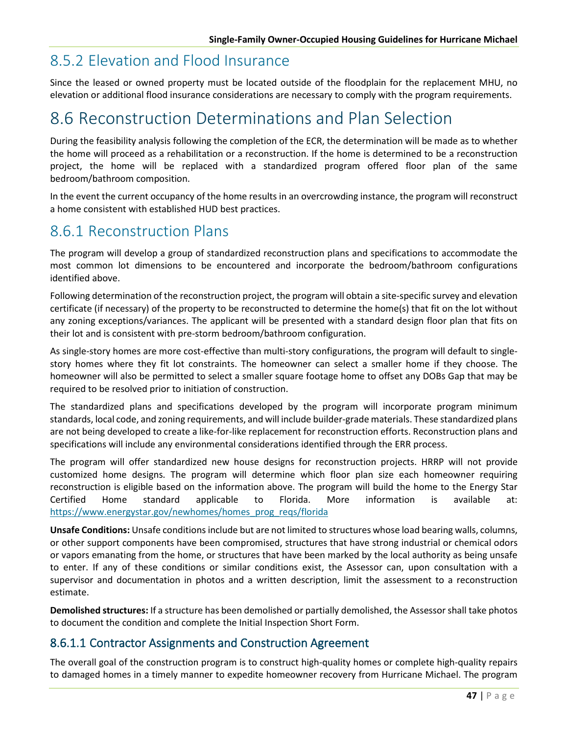#### 8.5.2 Elevation and Flood Insurance

Since the leased or owned property must be located outside of the floodplain for the replacement MHU, no elevation or additional flood insurance considerations are necessary to comply with the program requirements.

## 8.6 Reconstruction Determinations and Plan Selection

During the feasibility analysis following the completion of the ECR, the determination will be made as to whether the home will proceed as a rehabilitation or a reconstruction. If the home is determined to be a reconstruction project, the home will be replaced with a standardized program offered floor plan of the same bedroom/bathroom composition.

In the event the current occupancy of the home results in an overcrowding instance, the program will reconstruct a home consistent with established HUD best practices.

#### 8.6.1 Reconstruction Plans

The program will develop a group of standardized reconstruction plans and specifications to accommodate the most common lot dimensions to be encountered and incorporate the bedroom/bathroom configurations identified above.

Following determination of the reconstruction project, the program will obtain a site-specific survey and elevation certificate (if necessary) of the property to be reconstructed to determine the home(s) that fit on the lot without any zoning exceptions/variances. The applicant will be presented with a standard design floor plan that fits on their lot and is consistent with pre-storm bedroom/bathroom configuration.

As single-story homes are more cost-effective than multi-story configurations, the program will default to singlestory homes where they fit lot constraints. The homeowner can select a smaller home if they choose. The homeowner will also be permitted to select a smaller square footage home to offset any DOBs Gap that may be required to be resolved prior to initiation of construction.

The standardized plans and specifications developed by the program will incorporate program minimum standards, local code, and zoning requirements, and will include builder-grade materials. These standardized plans are not being developed to create a like-for-like replacement for reconstruction efforts. Reconstruction plans and specifications will include any environmental considerations identified through the ERR process.

The program will offer standardized new house designs for reconstruction projects. HRRP will not provide customized home designs. The program will determine which floor plan size each homeowner requiring reconstruction is eligible based on the information above. The program will build the home to the Energy Star Certified Home standard applicable to Florida. More information is available at: [https://www.energystar.gov/newhomes/homes\\_prog\\_reqs/florida](https://www.energystar.gov/newhomes/homes_prog_reqs/florida)

**Unsafe Conditions:** Unsafe conditions include but are not limited to structures whose load bearing walls, columns, or other support components have been compromised, structures that have strong industrial or chemical odors or vapors emanating from the home, or structures that have been marked by the local authority as being unsafe to enter. If any of these conditions or similar conditions exist, the Assessor can, upon consultation with a supervisor and documentation in photos and a written description, limit the assessment to a reconstruction estimate.

**Demolished structures:** If a structure has been demolished or partially demolished, the Assessor shall take photos to document the condition and complete the Initial Inspection Short Form.

#### 8.6.1.1 Contractor Assignments and Construction Agreement

The overall goal of the construction program is to construct high-quality homes or complete high-quality repairs to damaged homes in a timely manner to expedite homeowner recovery from Hurricane Michael. The program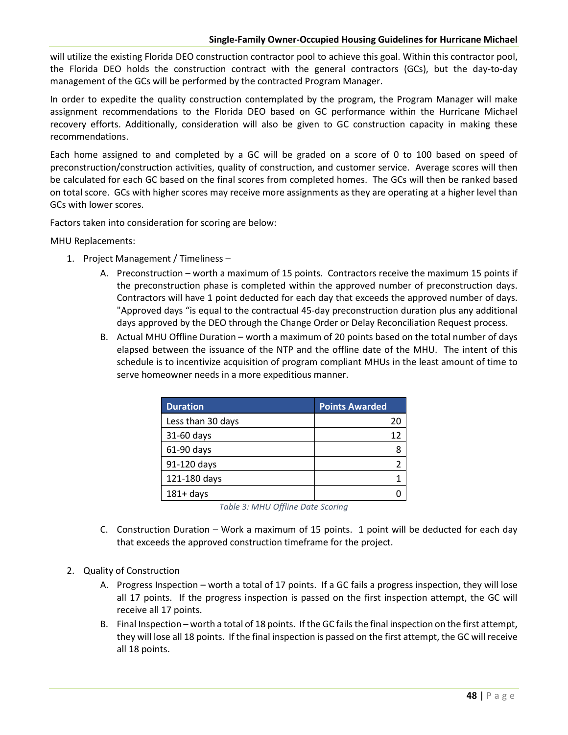#### **Single-Family Owner-Occupied Housing Guidelines for Hurricane Michael**

will utilize the existing Florida DEO construction contractor pool to achieve this goal. Within this contractor pool, the Florida DEO holds the construction contract with the general contractors (GCs), but the day-to-day management of the GCs will be performed by the contracted Program Manager.

In order to expedite the quality construction contemplated by the program, the Program Manager will make assignment recommendations to the Florida DEO based on GC performance within the Hurricane Michael recovery efforts. Additionally, consideration will also be given to GC construction capacity in making these recommendations.

Each home assigned to and completed by a GC will be graded on a score of 0 to 100 based on speed of preconstruction/construction activities, quality of construction, and customer service. Average scores will then be calculated for each GC based on the final scores from completed homes. The GCs will then be ranked based on total score. GCs with higher scores may receive more assignments as they are operating at a higher level than GCs with lower scores.

Factors taken into consideration for scoring are below:

MHU Replacements:

- 1. Project Management / Timeliness
	- A. Preconstruction worth a maximum of 15 points. Contractors receive the maximum 15 points if the preconstruction phase is completed within the approved number of preconstruction days. Contractors will have 1 point deducted for each day that exceeds the approved number of days. "Approved days "is equal to the contractual 45-day preconstruction duration plus any additional days approved by the DEO through the Change Order or Delay Reconciliation Request process.
	- B. Actual MHU Offline Duration worth a maximum of 20 points based on the total number of days elapsed between the issuance of the NTP and the offline date of the MHU. The intent of this schedule is to incentivize acquisition of program compliant MHUs in the least amount of time to serve homeowner needs in a more expeditious manner.

| <b>Duration</b>   | <b>Points Awarded</b> |
|-------------------|-----------------------|
| Less than 30 days | 20                    |
| 31-60 days        | 12                    |
| 61-90 days        |                       |
| 91-120 days       |                       |
| 121-180 days      |                       |
| $181 + days$      |                       |

- C. Construction Duration Work a maximum of 15 points. 1 point will be deducted for each day that exceeds the approved construction timeframe for the project.
- 2. Quality of Construction
	- A. Progress Inspection worth a total of 17 points. If a GC fails a progress inspection, they will lose all 17 points. If the progress inspection is passed on the first inspection attempt, the GC will receive all 17 points.
	- B. Final Inspection worth a total of 18 points. If the GC fails the final inspection on the first attempt, they will lose all 18 points. If the final inspection is passed on the first attempt, the GC will receive all 18 points.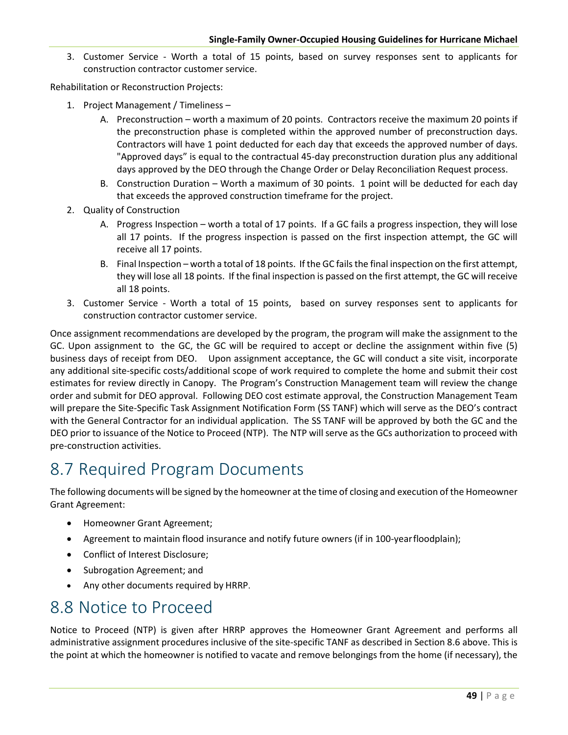3. Customer Service - Worth a total of 15 points, based on survey responses sent to applicants for construction contractor customer service.

Rehabilitation or Reconstruction Projects:

- 1. Project Management / Timeliness
	- A. Preconstruction worth a maximum of 20 points. Contractors receive the maximum 20 points if the preconstruction phase is completed within the approved number of preconstruction days. Contractors will have 1 point deducted for each day that exceeds the approved number of days. "Approved days" is equal to the contractual 45-day preconstruction duration plus any additional days approved by the DEO through the Change Order or Delay Reconciliation Request process.
	- B. Construction Duration Worth a maximum of 30 points. 1 point will be deducted for each day that exceeds the approved construction timeframe for the project.
- 2. Quality of Construction
	- A. Progress Inspection worth a total of 17 points. If a GC fails a progress inspection, they will lose all 17 points. If the progress inspection is passed on the first inspection attempt, the GC will receive all 17 points.
	- B. Final Inspection worth a total of 18 points. If the GC fails the final inspection on the first attempt, they will lose all 18 points. If the final inspection is passed on the first attempt, the GC will receive all 18 points.
- 3. Customer Service Worth a total of 15 points, based on survey responses sent to applicants for construction contractor customer service.

Once assignment recommendations are developed by the program, the program will make the assignment to the GC. Upon assignment to the GC, the GC will be required to accept or decline the assignment within five (5) business days of receipt from DEO. Upon assignment acceptance, the GC will conduct a site visit, incorporate any additional site-specific costs/additional scope of work required to complete the home and submit their cost estimates for review directly in Canopy. The Program's Construction Management team will review the change order and submit for DEO approval. Following DEO cost estimate approval, the Construction Management Team will prepare the Site-Specific Task Assignment Notification Form (SS TANF) which will serve as the DEO's contract with the General Contractor for an individual application. The SS TANF will be approved by both the GC and the DEO prior to issuance of the Notice to Proceed (NTP). The NTP will serve as the GCs authorization to proceed with pre-construction activities.

#### 8.7 Required Program Documents

The following documents will be signed by the homeowner at the time of closing and execution of the Homeowner Grant Agreement:

- Homeowner Grant Agreement;
- Agreement to maintain flood insurance and notify future owners (if in 100-yearfloodplain);
- Conflict of Interest Disclosure;
- Subrogation Agreement; and
- Any other documents required by HRRP.

#### 8.8 Notice to Proceed

Notice to Proceed (NTP) is given after HRRP approves the Homeowner Grant Agreement and performs all administrative assignment procedures inclusive of the site-specific TANF as described in Section 8.6 above. This is the point at which the homeowner is notified to vacate and remove belongings from the home (if necessary), the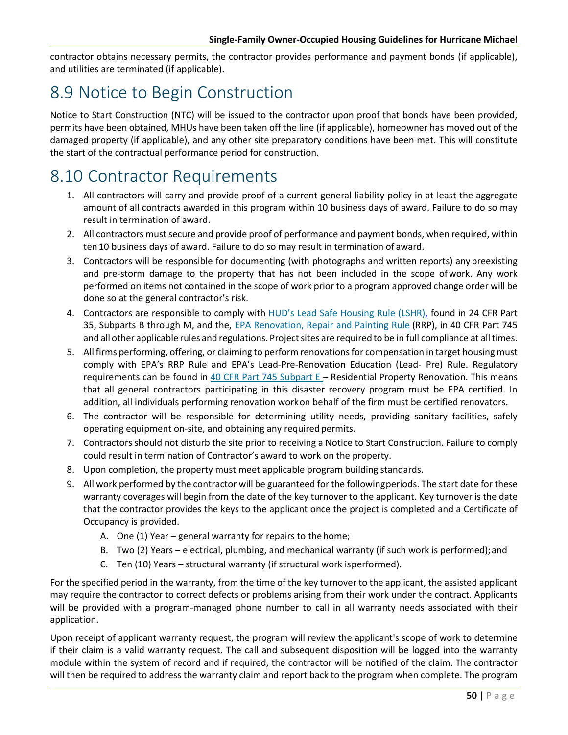contractor obtains necessary permits, the contractor provides performance and payment bonds (if applicable), and utilities are terminated (if applicable).

## 8.9 Notice to Begin Construction

Notice to Start Construction (NTC) will be issued to the contractor upon proof that bonds have been provided, permits have been obtained, MHUs have been taken off the line (if applicable), homeowner has moved out of the damaged property (if applicable), and any other site preparatory conditions have been met. This will constitute the start of the contractual performance period for construction.

## 8.10 Contractor Requirements

- 1. All contractors will carry and provide proof of a current general liability policy in at least the aggregate amount of all contracts awarded in this program within 10 business days of award. Failure to do so may result in termination of award.
- 2. All contractors must secure and provide proof of performance and payment bonds, when required, within ten10 business days of award. Failure to do so may result in termination of award.
- 3. Contractors will be responsible for documenting (with photographs and written reports) any preexisting and pre-storm damage to the property that has not been included in the scope ofwork. Any work performed on items not contained in the scope of work prior to a program approved change order will be done so at the general contractor's risk.
- 4. Contractors are responsible to comply with [HUD's Lead Safe Housing Rule \(LSHR\),](https://www.ecfr.gov/cgi-bin/text-idx?c=ecfr&SID=e1741143a75841f15fcfd930d325ac2b&rgn=div5&view=text&node=24%3A1.1.1.1.24&idno=24) found in 24 CFR Part 35, Subparts B through M, and the, EPA Renovation, Repair and Painting Rule (RRP), in 40 CFR Part 745 and all other applicable rules and regulations. Project sites are required to be in full compliance at all times.
- 5. All firms performing, offering, or claiming to perform renovations for compensation in target housing must comply with EPA's RRP Rule and EPA's Lead-Pre-Renovation Education (Lead- Pre) Rule. Regulatory requirements can be found in  $40$  CFR Part 745 Subpart E - Residential Property Renovation. This means that all general contractors participating in this disaster recovery program must be EPA certified. In addition, all individuals performing renovation workon behalf of the firm must be certified renovators.
- 6. The contractor will be responsible for determining utility needs, providing sanitary facilities, safely operating equipment on-site, and obtaining any required permits.
- 7. Contractors should not disturb the site prior to receiving a Notice to Start Construction. Failure to comply could result in termination of Contractor's award to work on the property.
- 8. Upon completion, the property must meet applicable program building standards.
- 9. All work performed by the contractor will be guaranteed for the followingperiods. The start date for these warranty coverages will begin from the date of the key turnover to the applicant. Key turnover is the date that the contractor provides the keys to the applicant once the project is completed and a Certificate of Occupancy is provided.
	- A. One (1) Year general warranty for repairs to the home;
	- B. Two (2) Years electrical, plumbing, and mechanical warranty (if such work is performed);and
	- C. Ten (10) Years structural warranty (if structural work isperformed).

For the specified period in the warranty, from the time of the key turnover to the applicant, the assisted applicant may require the contractor to correct defects or problems arising from their work under the contract. Applicants will be provided with a program-managed phone number to call in all warranty needs associated with their application.

Upon receipt of applicant warranty request, the program will review the applicant's scope of work to determine if their claim is a valid warranty request. The call and subsequent disposition will be logged into the warranty module within the system of record and if required, the contractor will be notified of the claim. The contractor will then be required to address the warranty claim and report back to the program when complete. The program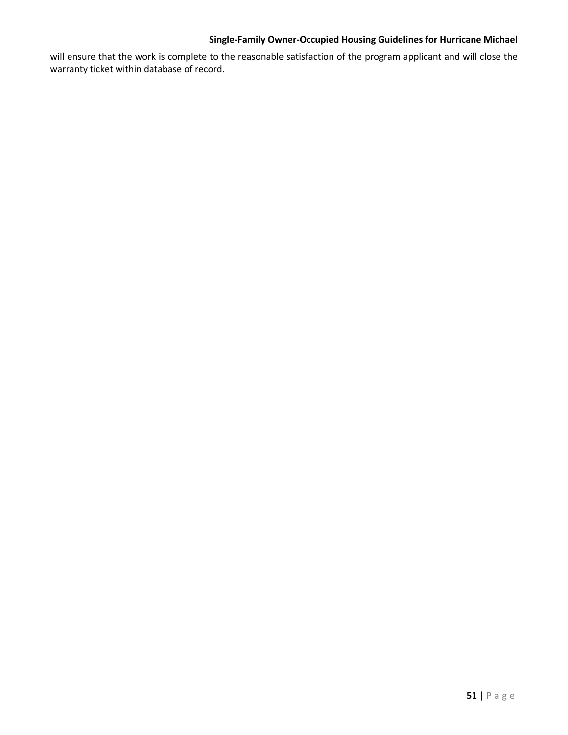will ensure that the work is complete to the reasonable satisfaction of the program applicant and will close the warranty ticket within database of record.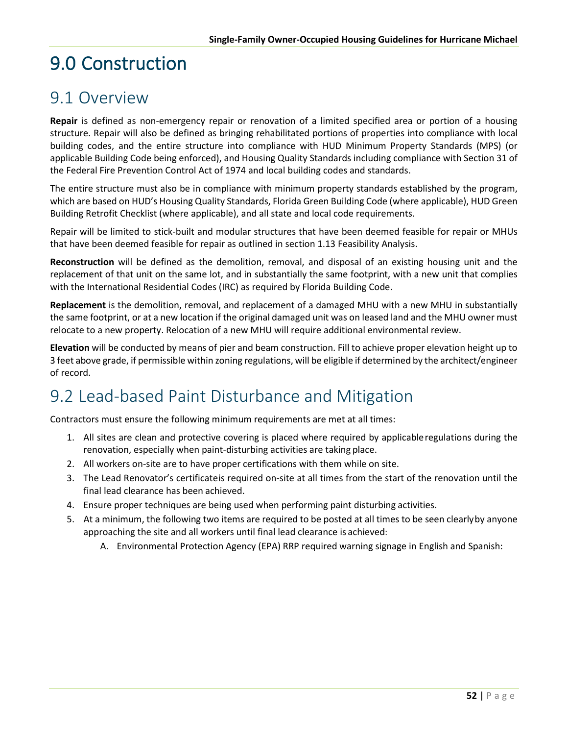# 9.0 Construction

#### 9.1 Overview

**Repair** is defined as non-emergency repair or renovation of a limited specified area or portion of a housing structure. Repair will also be defined as bringing rehabilitated portions of properties into compliance with local building codes, and the entire structure into compliance with HUD Minimum Property Standards (MPS) (or applicable Building Code being enforced), and Housing Quality Standards including compliance with Section 31 of the Federal Fire Prevention Control Act of 1974 and local building codes and standards.

The entire structure must also be in compliance with minimum property standards established by the program, which are based on HUD's Housing Quality Standards, Florida Green Building Code (where applicable), HUD Green Building Retrofit Checklist (where applicable), and all state and local code requirements.

Repair will be limited to stick-built and modular structures that have been deemed feasible for repair or MHUs that have been deemed feasible for repair as outlined in section 1.13 Feasibility Analysis.

**Reconstruction** will be defined as the demolition, removal, and disposal of an existing housing unit and the replacement of that unit on the same lot, and in substantially the same footprint, with a new unit that complies with the International Residential Codes (IRC) as required by Florida Building Code.

**Replacement** is the demolition, removal, and replacement of a damaged MHU with a new MHU in substantially the same footprint, or at a new location if the original damaged unit was on leased land and the MHU owner must relocate to a new property. Relocation of a new MHU will require additional environmental review.

**Elevation** will be conducted by means of pier and beam construction. Fill to achieve proper elevation height up to 3 feet above grade, if permissible within zoning regulations, will be eligible if determined by the architect/engineer of record.

## 9.2 Lead-based Paint Disturbance and Mitigation

Contractors must ensure the following minimum requirements are met at all times:

- 1. All sites are clean and protective covering is placed where required by applicableregulations during the renovation, especially when paint-disturbing activities are taking place.
- 2. All workers on-site are to have proper certifications with them while on site.
- 3. The Lead Renovator's certificateis required on-site at all times from the start of the renovation until the final lead clearance has been achieved.
- 4. Ensure proper techniques are being used when performing paint disturbing activities.
- 5. At a minimum, the following two items are required to be posted at all times to be seen clearlyby anyone approaching the site and all workers until final lead clearance is achieved:
	- A. Environmental Protection Agency (EPA) RRP required warning signage in English and Spanish: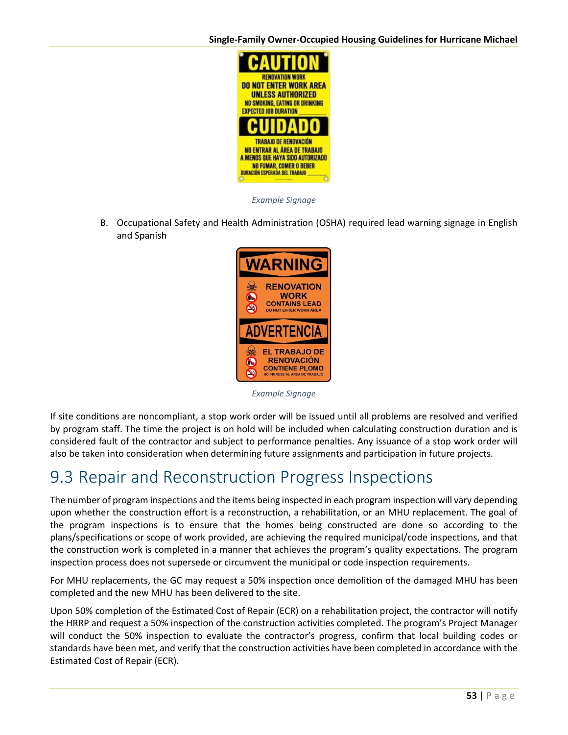

*Example Signage*

B. Occupational Safety and Health Administration (OSHA) required lead warning signage in English and Spanish



*Example Signage*

If site conditions are noncompliant, a stop work order will be issued until all problems are resolved and verified by program staff. The time the project is on hold will be included when calculating construction duration and is considered fault of the contractor and subject to performance penalties. Any issuance of a stop work order will also be taken into consideration when determining future assignments and participation in future projects.

## 9.3 Repair and Reconstruction Progress Inspections

The number of program inspections and the items being inspected in each program inspection will vary depending upon whether the construction effort is a reconstruction, a rehabilitation, or an MHU replacement. The goal of the program inspections is to ensure that the homes being constructed are done so according to the plans/specifications or scope of work provided, are achieving the required municipal/code inspections, and that the construction work is completed in a manner that achieves the program's quality expectations. The program inspection process does not supersede or circumvent the municipal or code inspection requirements.

For MHU replacements, the GC may request a 50% inspection once demolition of the damaged MHU has been completed and the new MHU has been delivered to the site.

Upon 50% completion of the Estimated Cost of Repair (ECR) on a rehabilitation project, the contractor will notify the HRRP and request a 50% inspection of the construction activities completed. The program's Project Manager will conduct the 50% inspection to evaluate the contractor's progress, confirm that local building codes or standards have been met, and verify that the construction activities have been completed in accordance with the Estimated Cost of Repair (ECR).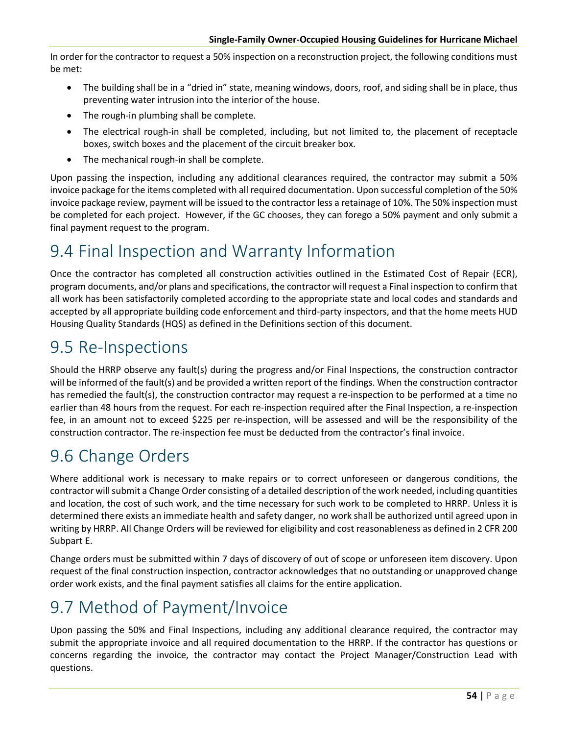In order for the contractor to request a 50% inspection on a reconstruction project, the following conditions must be met:

- The building shall be in a "dried in" state, meaning windows, doors, roof, and siding shall be in place, thus preventing water intrusion into the interior of the house.
- The rough-in plumbing shall be complete.
- The electrical rough-in shall be completed, including, but not limited to, the placement of receptacle boxes, switch boxes and the placement of the circuit breaker box.
- The mechanical rough-in shall be complete.

Upon passing the inspection, including any additional clearances required, the contractor may submit a 50% invoice package for the items completed with all required documentation. Upon successful completion of the 50% invoice package review, payment will be issued to the contractor less a retainage of 10%. The 50% inspection must be completed for each project. However, if the GC chooses, they can forego a 50% payment and only submit a final payment request to the program.

## 9.4 Final Inspection and Warranty Information

Once the contractor has completed all construction activities outlined in the Estimated Cost of Repair (ECR), program documents, and/or plans and specifications, the contractor will request a Final inspection to confirm that all work has been satisfactorily completed according to the appropriate state and local codes and standards and accepted by all appropriate building code enforcement and third-party inspectors, and that the home meets HUD Housing Quality Standards (HQS) as defined in the Definitions section of this document.

#### 9.5 Re-Inspections

Should the HRRP observe any fault(s) during the progress and/or Final Inspections, the construction contractor will be informed of the fault(s) and be provided a written report of the findings. When the construction contractor has remedied the fault(s), the construction contractor may request a re-inspection to be performed at a time no earlier than 48 hours from the request. For each re-inspection required after the Final Inspection, a re-inspection fee, in an amount not to exceed \$225 per re-inspection, will be assessed and will be the responsibility of the construction contractor. The re-inspection fee must be deducted from the contractor's final invoice.

## 9.6 Change Orders

Where additional work is necessary to make repairs or to correct unforeseen or dangerous conditions, the contractor will submit a Change Order consisting of a detailed description of the work needed, including quantities and location, the cost of such work, and the time necessary for such work to be completed to HRRP. Unless it is determined there exists an immediate health and safety danger, no work shall be authorized until agreed upon in writing by HRRP. All Change Orders will be reviewed for eligibility and cost reasonableness as defined i[n 2 CFR 200](https://www.ecfr.gov/cgi-bin/text-idx?node=2%3A1.1.2.2.1.5&rgn=div6)  [Subpart E.](https://www.ecfr.gov/cgi-bin/text-idx?node=2%3A1.1.2.2.1.5&rgn=div6)

Change orders must be submitted within 7 days of discovery of out of scope or unforeseen item discovery. Upon request of the final construction inspection, contractor acknowledges that no outstanding or unapproved change order work exists, and the final payment satisfies all claims for the entire application.

## 9.7 Method of Payment/Invoice

Upon passing the 50% and Final Inspections, including any additional clearance required, the contractor may submit the appropriate invoice and all required documentation to the HRRP. If the contractor has questions or concerns regarding the invoice, the contractor may contact the Project Manager/Construction Lead with questions.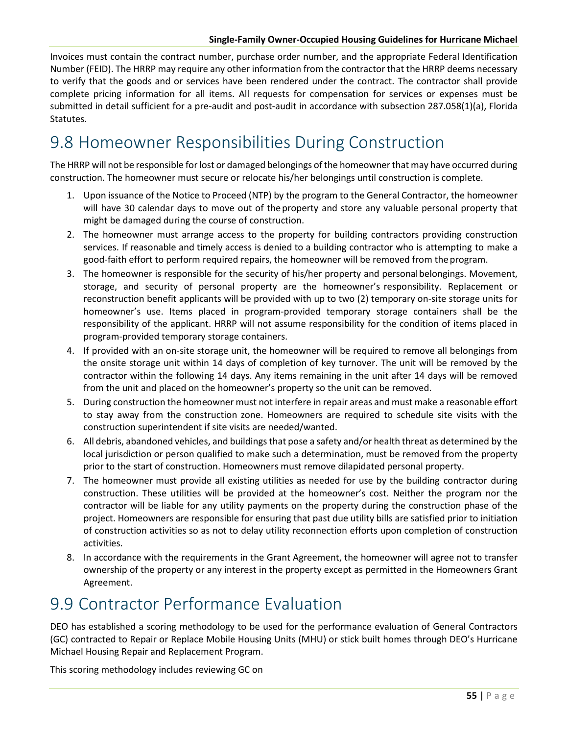Invoices must contain the contract number, purchase order number, and the appropriate Federal Identification Number (FEID). The HRRP may require any other information from the contractor that the HRRP deems necessary to verify that the goods and or services have been rendered under the contract. The contractor shall provide complete pricing information for all items. All requests for compensation for services or expenses must be submitted in detail sufficient for a pre-audit and post-audit in accordance with subsection 287.058(1)(a), Florida Statutes.

## 9.8 Homeowner Responsibilities During Construction

The HRRP will not be responsible for lost or damaged belongings of the homeowner that may have occurred during construction. The homeowner must secure or relocate his/her belongings until construction is complete.

- 1. Upon issuance of the Notice to Proceed (NTP) by the program to the General Contractor, the homeowner will have 30 calendar days to move out of theproperty and store any valuable personal property that might be damaged during the course of construction.
- 2. The homeowner must arrange access to the property for building contractors providing construction services. If reasonable and timely access is denied to a building contractor who is attempting to make a good-faith effort to perform required repairs, the homeowner will be removed from theprogram.
- 3. The homeowner is responsible for the security of his/her property and personalbelongings. Movement, storage, and security of personal property are the homeowner's responsibility. Replacement or reconstruction benefit applicants will be provided with up to two (2) temporary on-site storage units for homeowner's use. Items placed in program-provided temporary storage containers shall be the responsibility of the applicant. HRRP will not assume responsibility for the condition of items placed in program-provided temporary storage containers.
- 4. If provided with an on-site storage unit, the homeowner will be required to remove all belongings from the onsite storage unit within 14 days of completion of key turnover. The unit will be removed by the contractor within the following 14 days. Any items remaining in the unit after 14 days will be removed from the unit and placed on the homeowner's property so the unit can be removed.
- 5. During construction the homeowner must not interfere in repair areas and must make a reasonable effort to stay away from the construction zone. Homeowners are required to schedule site visits with the construction superintendent if site visits are needed/wanted.
- 6. All debris, abandoned vehicles, and buildings that pose a safety and/or health threat as determined by the local jurisdiction or person qualified to make such a determination, must be removed from the property prior to the start of construction. Homeowners must remove dilapidated personal property.
- 7. The homeowner must provide all existing utilities as needed for use by the building contractor during construction. These utilities will be provided at the homeowner's cost. Neither the program nor the contractor will be liable for any utility payments on the property during the construction phase of the project. Homeowners are responsible for ensuring that past due utility bills are satisfied prior to initiation of construction activities so as not to delay utility reconnection efforts upon completion of construction activities.
- 8. In accordance with the requirements in the Grant Agreement, the homeowner will agree not to transfer ownership of the property or any interest in the property except as permitted in the Homeowners Grant Agreement.

#### 9.9 Contractor Performance Evaluation

DEO has established a scoring methodology to be used for the performance evaluation of General Contractors (GC) contracted to Repair or Replace Mobile Housing Units (MHU) or stick built homes through DEO's Hurricane Michael Housing Repair and Replacement Program.

This scoring methodology includes reviewing GC on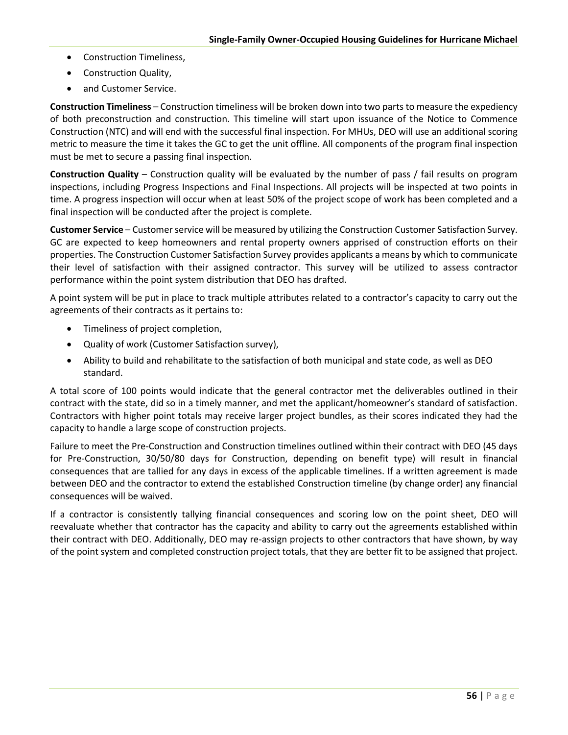- Construction Timeliness,
- Construction Quality,
- and Customer Service.

**Construction Timeliness** – Construction timeliness will be broken down into two parts to measure the expediency of both preconstruction and construction. This timeline will start upon issuance of the Notice to Commence Construction (NTC) and will end with the successful final inspection. For MHUs, DEO will use an additional scoring metric to measure the time it takes the GC to get the unit offline. All components of the program final inspection must be met to secure a passing final inspection.

**Construction Quality** – Construction quality will be evaluated by the number of pass / fail results on program inspections, including Progress Inspections and Final Inspections. All projects will be inspected at two points in time. A progress inspection will occur when at least 50% of the project scope of work has been completed and a final inspection will be conducted after the project is complete.

**Customer Service** – Customer service will be measured by utilizing the Construction Customer Satisfaction Survey. GC are expected to keep homeowners and rental property owners apprised of construction efforts on their properties. The Construction Customer Satisfaction Survey provides applicants a means by which to communicate their level of satisfaction with their assigned contractor. This survey will be utilized to assess contractor performance within the point system distribution that DEO has drafted.

A point system will be put in place to track multiple attributes related to a contractor's capacity to carry out the agreements of their contracts as it pertains to:

- Timeliness of project completion,
- Quality of work (Customer Satisfaction survey),
- Ability to build and rehabilitate to the satisfaction of both municipal and state code, as well as DEO standard.

A total score of 100 points would indicate that the general contractor met the deliverables outlined in their contract with the state, did so in a timely manner, and met the applicant/homeowner's standard of satisfaction. Contractors with higher point totals may receive larger project bundles, as their scores indicated they had the capacity to handle a large scope of construction projects.

Failure to meet the Pre-Construction and Construction timelines outlined within their contract with DEO (45 days for Pre-Construction, 30/50/80 days for Construction, depending on benefit type) will result in financial consequences that are tallied for any days in excess of the applicable timelines. If a written agreement is made between DEO and the contractor to extend the established Construction timeline (by change order) any financial consequences will be waived.

If a contractor is consistently tallying financial consequences and scoring low on the point sheet, DEO will reevaluate whether that contractor has the capacity and ability to carry out the agreements established within their contract with DEO. Additionally, DEO may re-assign projects to other contractors that have shown, by way of the point system and completed construction project totals, that they are better fit to be assigned that project.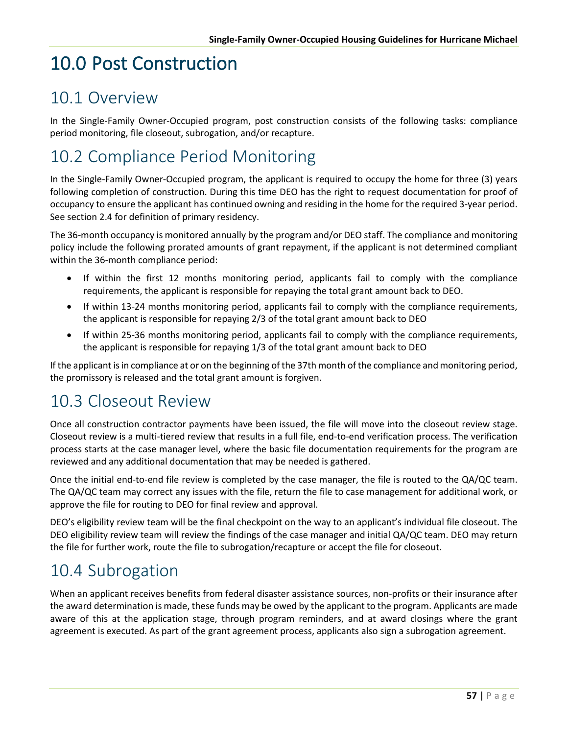# 10.0 Post Construction

## 10.1 Overview

In the Single-Family Owner-Occupied program, post construction consists of the following tasks: compliance period monitoring, file closeout, subrogation, and/or recapture.

# 10.2 Compliance Period Monitoring

In the Single-Family Owner-Occupied program, the applicant is required to occupy the home for three (3) years following completion of construction. During this time DEO has the right to request documentation for proof of occupancy to ensure the applicant has continued owning and residing in the home for the required 3-year period. See section 2.4 for definition of primary residency.

The 36-month occupancy is monitored annually by the program and/or DEO staff. The compliance and monitoring policy include the following prorated amounts of grant repayment, if the applicant is not determined compliant within the 36-month compliance period:

- If within the first 12 months monitoring period, applicants fail to comply with the compliance requirements, the applicant is responsible for repaying the total grant amount back to DEO.
- If within 13-24 months monitoring period, applicants fail to comply with the compliance requirements, the applicant is responsible for repaying 2/3 of the total grant amount back to DEO
- If within 25-36 months monitoring period, applicants fail to comply with the compliance requirements, the applicant is responsible for repaying 1/3 of the total grant amount back to DEO

If the applicant is in compliance at or on the beginning of the 37th month of the compliance and monitoring period, the promissory is released and the total grant amount is forgiven.

## 10.3 Closeout Review

Once all construction contractor payments have been issued, the file will move into the closeout review stage. Closeout review is a multi-tiered review that results in a full file, end-to-end verification process. The verification process starts at the case manager level, where the basic file documentation requirements for the program are reviewed and any additional documentation that may be needed is gathered.

Once the initial end-to-end file review is completed by the case manager, the file is routed to the QA/QC team. The QA/QC team may correct any issues with the file, return the file to case management for additional work, or approve the file for routing to DEO for final review and approval.

DEO's eligibility review team will be the final checkpoint on the way to an applicant's individual file closeout. The DEO eligibility review team will review the findings of the case manager and initial QA/QC team. DEO may return the file for further work, route the file to subrogation/recapture or accept the file for closeout.

## 10.4 Subrogation

When an applicant receives benefits from federal disaster assistance sources, non-profits or their insurance after the award determination is made, these funds may be owed by the applicant to the program. Applicants are made aware of this at the application stage, through program reminders, and at award closings where the grant agreement is executed. As part of the grant agreement process, applicants also sign a subrogation agreement.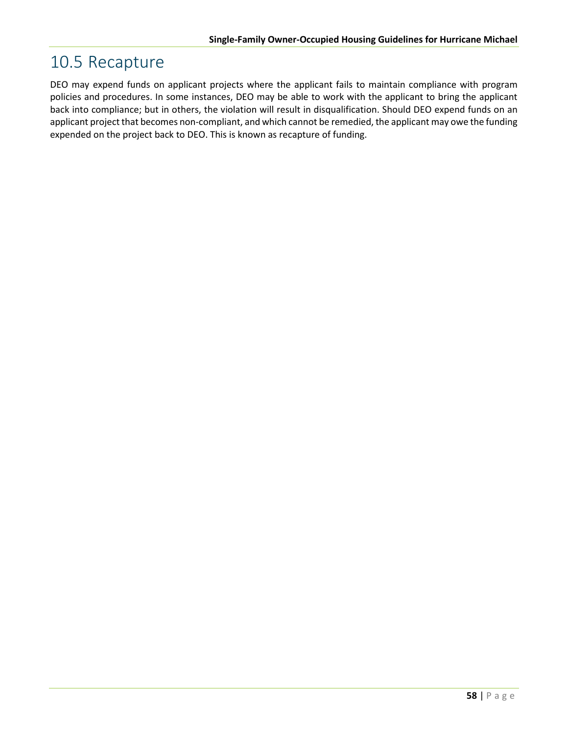## 10.5 Recapture

DEO may expend funds on applicant projects where the applicant fails to maintain compliance with program policies and procedures. In some instances, DEO may be able to work with the applicant to bring the applicant back into compliance; but in others, the violation will result in disqualification. Should DEO expend funds on an applicant project that becomes non-compliant, and which cannot be remedied, the applicant may owe the funding expended on the project back to DEO. This is known as recapture of funding.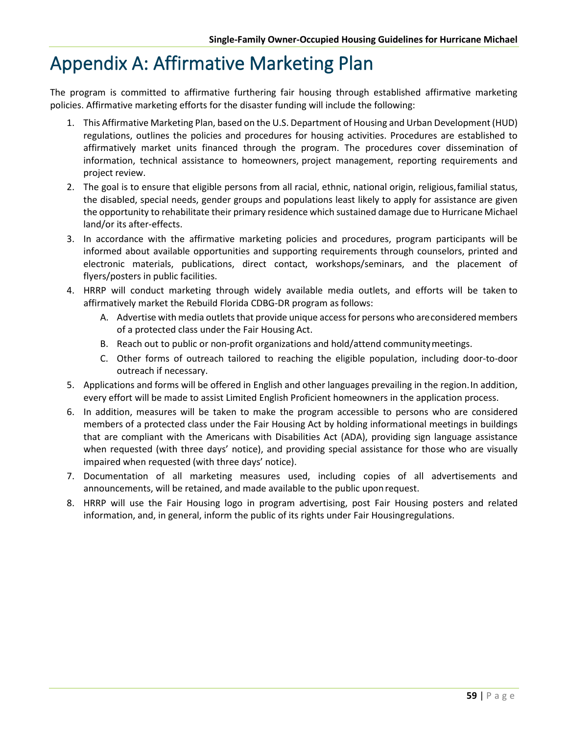## Appendix A: Affirmative Marketing Plan

The program is committed to affirmative furthering fair housing through established affirmative marketing policies. Affirmative marketing efforts for the disaster funding will include the following:

- 1. This Affirmative Marketing Plan, based on the U.S. Department of Housing and Urban Development (HUD) regulations, outlines the policies and procedures for housing activities. Procedures are established to affirmatively market units financed through the program. The procedures cover dissemination of information, technical assistance to homeowners, project management, reporting requirements and project review.
- 2. The goal is to ensure that eligible persons from all racial, ethnic, national origin, religious,familial status, the disabled, special needs, gender groups and populations least likely to apply for assistance are given the opportunity to rehabilitate their primary residence which sustained damage due to Hurricane Michael land/or its after-effects.
- 3. In accordance with the affirmative marketing policies and procedures, program participants will be informed about available opportunities and supporting requirements through counselors, printed and electronic materials, publications, direct contact, workshops/seminars, and the placement of flyers/posters in public facilities.
- 4. HRRP will conduct marketing through widely available media outlets, and efforts will be taken to affirmatively market the Rebuild Florida CDBG-DR program as follows:
	- A. Advertise with media outlets that provide unique access for persons who areconsidered members of a protected class under the Fair Housing Act.
	- B. Reach out to public or non-profit organizations and hold/attend communitymeetings.
	- C. Other forms of outreach tailored to reaching the eligible population, including door-to-door outreach if necessary.
- 5. Applications and forms will be offered in English and other languages prevailing in the region.In addition, every effort will be made to assist Limited English Proficient homeowners in the application process.
- 6. In addition, measures will be taken to make the program accessible to persons who are considered members of a protected class under the Fair Housing Act by holding informational meetings in buildings that are compliant with the Americans with Disabilities Act (ADA), providing sign language assistance when requested (with three days' notice), and providing special assistance for those who are visually impaired when requested (with three days' notice).
- 7. Documentation of all marketing measures used, including copies of all advertisements and announcements, will be retained, and made available to the public uponrequest.
- 8. HRRP will use the Fair Housing logo in program advertising, post Fair Housing posters and related information, and, in general, inform the public of its rights under Fair Housingregulations.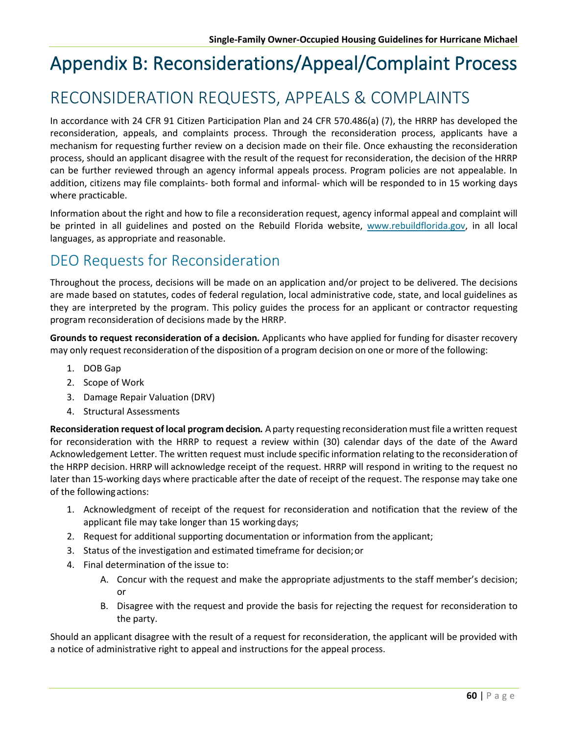# Appendix B: Reconsiderations/Appeal/Complaint Process

## RECONSIDERATION REQUESTS, APPEALS & COMPLAINTS

In accordance with 24 CFR 91 Citizen Participation Plan and 24 CFR 570.486(a) (7), the HRRP has developed the reconsideration, appeals, and complaints process. Through the reconsideration process, applicants have a mechanism for requesting further review on a decision made on their file. Once exhausting the reconsideration process, should an applicant disagree with the result of the request for reconsideration, the decision of the HRRP can be further reviewed through an agency informal appeals process. Program policies are not appealable. In addition, citizens may file complaints- both formal and informal- which will be responded to in 15 working days where practicable.

Information about the right and how to file a reconsideration request, agency informal appeal and complaint will be printed in all guidelines and posted on the Rebuild Florida website, www.rebuildflorida.gov, in all local languages, as appropriate and reasonable.

#### DEO Requests for Reconsideration

Throughout the process, decisions will be made on an application and/or project to be delivered. The decisions are made based on statutes, codes of federal regulation, local administrative code, state, and local guidelines as they are interpreted by the program. This policy guides the process for an applicant or contractor requesting program reconsideration of decisions made by the HRRP.

**Grounds to request reconsideration of a decision***.* Applicants who have applied for funding for disaster recovery may only request reconsideration of the disposition of a program decision on one or more of the following:

- 1. DOB Gap
- 2. Scope of Work
- 3. Damage Repair Valuation (DRV)
- 4. Structural Assessments

**Reconsideration request of local program decision***.* Aparty requesting reconsiderationmust file a written request for reconsideration with the HRRP to request a review within (30) calendar days of the date of the Award Acknowledgement Letter. The written request must include specific information relating to the reconsideration of the HRPP decision. HRRP will acknowledge receipt of the request. HRRP will respond in writing to the request no later than 15-working days where practicable after the date of receipt of the request. The response may take one of the followingactions:

- 1. Acknowledgment of receipt of the request for reconsideration and notification that the review of the applicant file may take longer than 15 workingdays;
- 2. Request for additional supporting documentation or information from the applicant;
- 3. Status of the investigation and estimated timeframe for decision;or
- 4. Final determination of the issue to:
	- A. Concur with the request and make the appropriate adjustments to the staff member's decision; or
	- B. Disagree with the request and provide the basis for rejecting the request for reconsideration to the party.

Should an applicant disagree with the result of a request for reconsideration, the applicant will be provided with a notice of administrative right to appeal and instructions for the appeal process.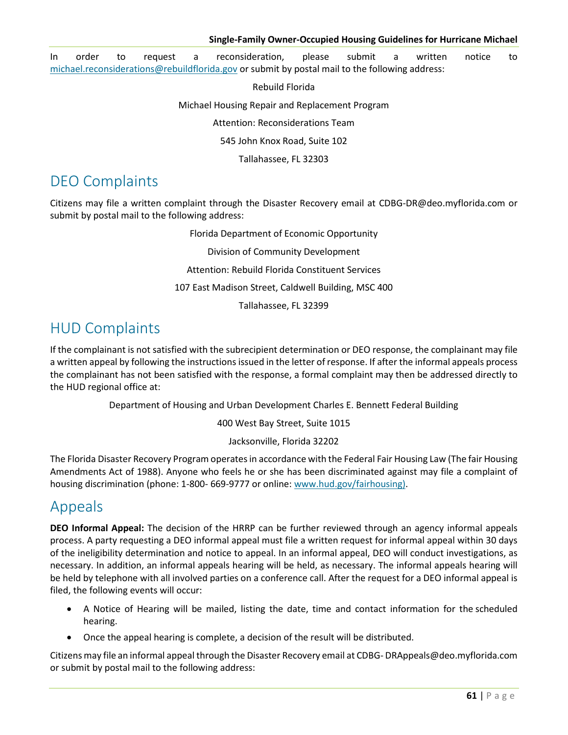In order to request a reconsideration, please submit a written notice to [michael.reconsiderations@rebuildflorida.gov](mailto:michael.reconsiderations@rebuildflorida.gov) or submit by postal mail to the following address:

Rebuild Florida

Michael Housing Repair and Replacement Program

Attention: Reconsiderations Team

545 John Knox Road, Suite 102

Tallahassee, FL 32303

#### DEO Complaints

Citizens may file a written complaint through the Disaster Recovery email at [CDBG-DR@deo.myflorida.com o](mailto:CDBG-DR@deo.myflorida.com)r submit by postal mail to the following address:

> Florida Department of Economic Opportunity Division of Community Development Attention: Rebuild Florida Constituent Services 107 East Madison Street, Caldwell Building, MSC 400 Tallahassee, FL 32399

#### HUD Complaints

If the complainant is not satisfied with the subrecipient determination or DEO response, the complainant may file a written appeal by following the instructions issued in the letter of response. If after the informal appeals process the complainant has not been satisfied with the response, a formal complaint may then be addressed directly to the HUD regional office at:

Department of Housing and Urban Development Charles E. Bennett Federal Building

400 West Bay Street, Suite 1015

#### Jacksonville, Florida 32202

The Florida Disaster Recovery Program operates in accordance with the Federal Fair Housing Law (The fair Housing Amendments Act of 1988). Anyone who feels he or she has been discriminated against may file a complaint of housing discrimination (phone: 1-800- 669-9777 or online: www.hud.gov/fairhousing).

#### Appeals

**DEO Informal Appeal:** The decision of the HRRP can be further reviewed through an agency informal appeals process. A party requesting a DEO informal appeal must file a written request for informal appeal within 30 days of the ineligibility determination and notice to appeal. In an informal appeal, DEO will conduct investigations, as necessary. In addition, an informal appeals hearing will be held, as necessary. The informal appeals hearing will be held by telephone with all involved parties on a conference call. After the request for a DEO informal appeal is filed, the following events will occur:

- A Notice of Hearing will be mailed, listing the date, time and contact information for the scheduled hearing.
- Once the appeal hearing is complete, a decision of the result will be distributed.

Citizens may file an informal appeal through the Disaster Recovery email a[t CDBG-](mailto:CDBG-DRAppeals@deo.myflorida.com) [DRAppeals@deo.myflorida.com](mailto:CDBG-DRAppeals@deo.myflorida.com)  or submit by postal mail to the following address: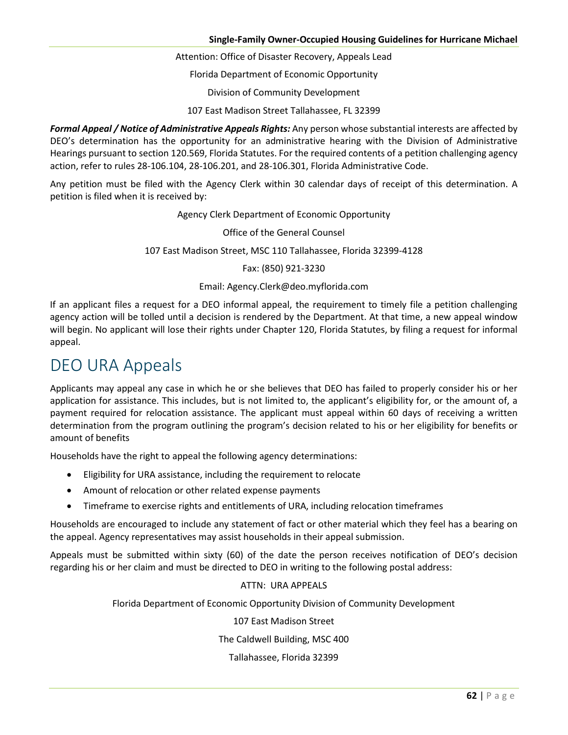Attention: Office of Disaster Recovery, Appeals Lead

Florida Department of Economic Opportunity

Division of Community Development

107 East Madison Street Tallahassee, FL 32399

*Formal Appeal / Notice of Administrative Appeals Rights:* Any person whose substantial interests are affected by DEO's determination has the opportunity for an administrative hearing with the Division of Administrative Hearings pursuant to section 120.569, Florida Statutes. For the required contents of a petition challenging agency action, refer to rules [28-106.104, 28-106.201, and 28-106.301, F](https://www.flrules.org/gateway/ChapterHome.asp?Chapter=28-106)lorida Administrative Code.

Any petition must be filed with the Agency Clerk within 30 calendar days of receipt of this determination. A petition is filed when it is received by:

Agency Clerk Department of Economic Opportunity

Office of the General Counsel

107 East Madison Street, MSC 110 Tallahassee, Florida 32399-4128

#### Fax: (850) 921-3230

#### Email[: Agency.Clerk@deo.myflorida.com](mailto:Agency.Clerk@deo.myflorida.com)

If an applicant files a request for a DEO informal appeal, the requirement to timely file a petition challenging agency action will be tolled until a decision is rendered by the Department. At that time, a new appeal window will begin. No applicant will lose their rights under Chapter 120, Florida Statutes, by filing a request for informal appeal.

#### DEO URA Appeals

Applicants may appeal any case in which he or she believes that DEO has failed to properly consider his or her application for assistance. This includes, but is not limited to, the applicant's eligibility for, or the amount of, a payment required for relocation assistance. The applicant must appeal within 60 days of receiving a written determination from the program outlining the program's decision related to his or her eligibility for benefits or amount of benefits

Households have the right to appeal the following agency determinations:

- Eligibility for URA assistance, including the requirement to relocate
- Amount of relocation or other related expense payments
- Timeframe to exercise rights and entitlements of URA, including relocation timeframes

Households are encouraged to include any statement of fact or other material which they feel has a bearing on the appeal. Agency representatives may assist households in their appeal submission.

Appeals must be submitted within sixty (60) of the date the person receives notification of DEO's decision regarding his or her claim and must be directed to DEO in writing to the following postal address:

#### ATTN: URA APPEALS

Florida Department of Economic Opportunity Division of Community Development

107 East Madison Street

The Caldwell Building, MSC 400

Tallahassee, Florida 32399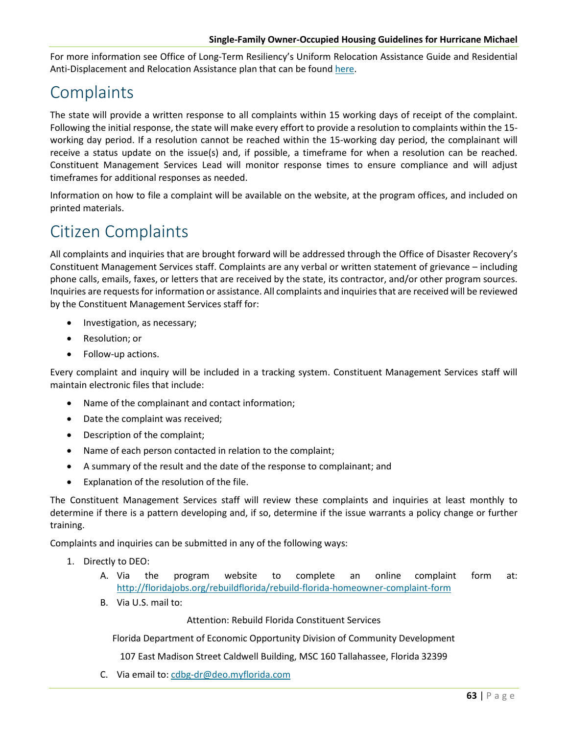For more information see Office of Long-Term Resiliency's Uniform Relocation Assistance Guide and Residential Anti-Displacement and Relocation Assistance plan that can be found [here.](https://floridajobs.org/docs/default-source/office-of-disaster-recovery/office-of-disaster-recovery-main-page/master-v1-0-oltr-ura-rarap-(9-14-2021).pdf?sfvrsn=793b51b0_2)

### **Complaints**

The state will provide a written response to all complaints within 15 working days of receipt of the complaint. Following the initial response, the state will make every effort to provide a resolution to complaints within the 15 working day period. If a resolution cannot be reached within the 15-working day period, the complainant will receive a status update on the issue(s) and, if possible, a timeframe for when a resolution can be reached. Constituent Management Services Lead will monitor response times to ensure compliance and will adjust timeframes for additional responses as needed.

Information on how to file a complaint will be available on the website, at the program offices, and included on printed materials.

# Citizen Complaints

All complaints and inquiries that are brought forward will be addressed through the Office of Disaster Recovery's Constituent Management Services staff. Complaints are any verbal or written statement of grievance – including phone calls, emails, faxes, or letters that are received by the state, its contractor, and/or other program sources. Inquiries are requests for information or assistance. All complaints and inquiries that are received will be reviewed by the Constituent Management Services staff for:

- Investigation, as necessary;
- Resolution; or
- Follow-up actions.

Every complaint and inquiry will be included in a tracking system. Constituent Management Services staff will maintain electronic files that include:

- Name of the complainant and contact information;
- Date the complaint was received;
- Description of the complaint;
- Name of each person contacted in relation to the complaint;
- A summary of the result and the date of the response to complainant; and
- Explanation of the resolution of the file.

The Constituent Management Services staff will review these complaints and inquiries at least monthly to determine if there is a pattern developing and, if so, determine if the issue warrants a policy change or further training.

Complaints and inquiries can be submitted in any of the following ways:

- 1. Directly to DEO:
	- A. Via the program website to complete an online complaint form at: <http://floridajobs.org/rebuildflorida/rebuild-florida-homeowner-complaint-form>
	- B. Via U.S. mail to:

Attention: Rebuild Florida Constituent Services

Florida Department of Economic Opportunity Division of Community Development

107 East Madison Street Caldwell Building, MSC 160 Tallahassee, Florida 32399

C. Via email to: [cdbg-dr@deo.myflorida.com](mailto:cdbg-dr@deo.myflorida.com)